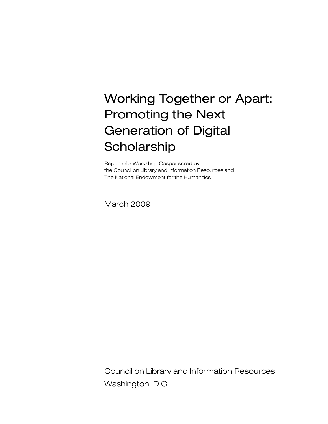# Working Together or Apart: Promoting the Next Generation of Digital **Scholarship**

Report of a Workshop Cosponsored by the Council on Library and Information Resources and The National Endowment for the Humanities

March 2009

Council on Library and Information Resources Washington, D.C.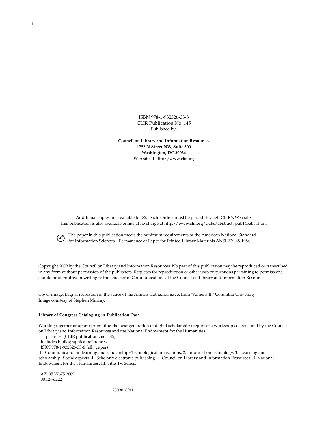ISBN 978-1-932326-33-8 CLIR Publication No. 145 Published by:

**Council on Library and Information Resources 1752 N Street NW, Suite 800 Washington, DC 20036** Web site at http://www.clir.org

Additional copies are available for \$25 each. Orders must be placed through CLIR's Web site. This publication is also available online at no charge at http://www.clir.org/pubs/abstract/pub145abst.html.



 The paper in this publication meets the minimum requirements of the American National Standard for Information Sciences—Permanence of Paper for Printed Library Materials ANSI Z39.48-1984.

Copyright 2009 by the Council on Library and Information Resources. No part of this publication may be reproduced or transcribed in any form without permission of the publishers. Requests for reproduction or other uses or questions pertaining to permissions should be submitted in writing to the Director of Communications at the Council on Library and Information Resources.

Cover image: Digital recreation of the space of the Amiens Cathedral nave, from "Amiens II," Columbia University. Image courtesy of Stephen Murray.

#### **Library of Congress Cataloging-in-Publication Data**

Working together or apart : promoting the next generation of digital scholarship : report of a workshop cosponsored by the Council on Library and Information Resources and the National Endowment for the Humanities.

p. cm. -- (CLIR publication ; no. 145)

Includes bibliographical references.

ISBN 978-1-932326-33-8 (alk. paper)

 1. Communication in learning and scholarship--Technological innovations. 2. Information technology. 3. Learning and scholarship--Social aspects. 4. Scholarly electronic publishing. I. Council on Library and Information Resources. II. National Endowment for the Humanities. III. Title. IV. Series.

 AZ195.W675 2009 001.2--dc22

2009010911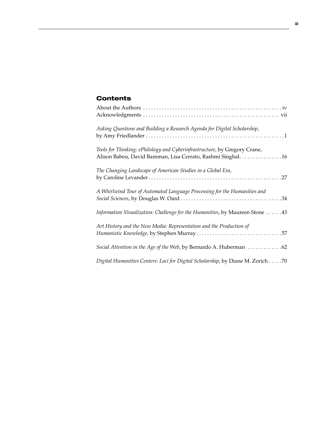# **Contents**

| Asking Questions and Building a Research Agenda for Digital Scholarship,                                                                |
|-----------------------------------------------------------------------------------------------------------------------------------------|
| Tools for Thinking: ePhilology and Cyberinfrastructure, by Gregory Crane,<br>Alison Babeu, David Bamman, Lisa Cerrato, Rashmi Singhal16 |
| The Changing Landscape of American Studies in a Global Era,                                                                             |
| A Whirlwind Tour of Automated Language Processing for the Humanities and                                                                |
| Information Visualization: Challenge for the Humanities, by Maureen Stone 43                                                            |
| Art History and the New Media: Representation and the Production of                                                                     |
| Social Attention in the Age of the Web, by Bernardo A. Huberman 62                                                                      |
| Digital Humanities Centers: Loci for Digital Scholarship, by Diane M. Zorich 70                                                         |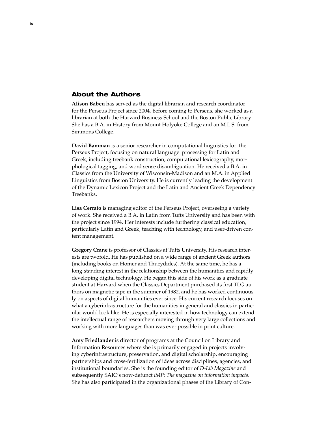# About the Authors

**Alison Babeu** has served as the digital librarian and research coordinator for the Perseus Project since 2004. Before coming to Perseus, she worked as a librarian at both the Harvard Business School and the Boston Public Library. She has a B.A. in History from Mount Holyoke College and an M.L.S. from Simmons College.

**David Bamman** is a senior researcher in computational linguistics for the Perseus Project, focusing on natural language processing for Latin and Greek, including treebank construction, computational lexicography, morphological tagging, and word sense disambiguation. He received a B.A. in Classics from the University of Wisconsin-Madison and an M.A. in Applied Linguistics from Boston University. He is currently leading the development of the Dynamic Lexicon Project and the Latin and Ancient Greek Dependency Treebanks.

**Lisa Cerrato** is managing editor of the Perseus Project, overseeing a variety of work. She received a B.A. in Latin from Tufts University and has been with the project since 1994. Her interests include furthering classical education, particularly Latin and Greek, teaching with technology, and user-driven content management.

**Gregory Crane** is professor of Classics at Tufts University. His research interests are twofold. He has published on a wide range of ancient Greek authors (including books on Homer and Thucydides). At the same time, he has a long-standing interest in the relationship between the humanities and rapidly developing digital technology. He began this side of his work as a graduate student at Harvard when the Classics Department purchased its first TLG authors on magnetic tape in the summer of 1982, and he has worked continuously on aspects of digital humanities ever since. His current research focuses on what a cyberinfrastructure for the humanities in general and classics in particular would look like. He is especially interested in how technology can extend the intellectual range of researchers moving through very large collections and working with more languages than was ever possible in print culture.

**Amy Friedlander** is director of programs at the Council on Library and Information Resources where she is primarily engaged in projects involving cyberinfrastructure, preservation, and digital scholarship, encouraging partnerships and cross-fertilization of ideas across disciplines, agencies, and institutional boundaries. She is the founding editor of *D-Lib Magazine* and subsequently SAIC's now-defunct *iMP: The magazine on information impacts*. She has also participated in the organizational phases of the Library of Con-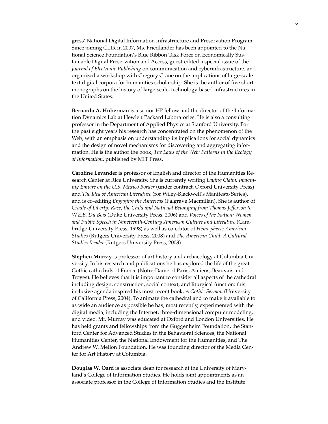gress' National Digital Information Infrastructure and Preservation Program. Since joining CLIR in 2007, Ms. Friedlander has been appointed to the National Science Foundation's Blue Ribbon Task Force on Economically Sustainable Digital Preservation and Access, guest-edited a special issue of the *Journal of Electronic Publishing* on communication and cyberinfrastructure, and organized a workshop with Gregory Crane on the implications of large-scale text digital corpora for humanities scholarship. She is the author of five short monographs on the history of large-scale, technology-based infrastructures in the United States.

**Bernardo A. Huberman** is a senior HP fellow and the director of the Information Dynamics Lab at Hewlett Packard Laboratories. He is also a consulting professor in the Department of Applied Physics at Stanford University. For the past eight years his research has concentrated on the phenomenon of the Web, with an emphasis on understanding its implications for social dynamics and the design of novel mechanisms for discovering and aggregating information. He is the author the book, *The Laws of the Web: Patterns in the Ecology of Information*, published by MIT Press.

**Caroline Levander** is professor of English and director of the Humanities Research Center at Rice University. She is currently writing *Laying Claim: Imagining Empire on the U.S. Mexico Border* (under contract, Oxford University Press) and *The Idea of American Literature* (for Wiley-Blackwell's Manifesto Series), and is co-editing *Engaging the Americas* (Palgrave Macmillan). She is author of *Cradle of Liberty: Race, the Child and National Belonging from Thomas Jefferson to W.E.B. Du Bois* (Duke University Press, 2006) and *Voices of the Nation: Women and Public Speech in Nineteenth-Century American Culture and Literature* (Cambridge University Press, 1998) as well as co-editor of *Hemispheric American Studies* (Rutgers University Press, 2008) and *The American Child: A Cultural Studies Reader* (Rutgers University Press, 2003).

**Stephen Murray** is professor of art history and archaeology at Columbia University. In his research and publications he has explored the life of the great Gothic cathedrals of France (Notre-Dame of Paris, Amiens, Beauvais and Troyes). He believes that it is important to consider all aspects of the cathedral including design, construction, social context, and liturgical function: this inclusive agenda inspired his most recent book, *A Gothic Sermon* (University of California Press, 2004). To animate the cathedral and to make it available to as wide an audience as possible he has, most recently, experimented with the digital media, including the Internet, three-dimensional computer modeling, and video. Mr. Murray was educated at Oxford and London Universities. He has held grants and fellowships from the Guggenheim Foundation, the Stanford Center for Advanced Studies in the Behavioral Sciences, the National Humanities Center, the National Endowment for the Humanities, and The Andrew W. Mellon Foundation. He was founding director of the Media Center for Art History at Columbia.

**Douglas W. Oard** is associate dean for research at the University of Maryland's College of Information Studies. He holds joint appointments as an associate professor in the College of Information Studies and the Institute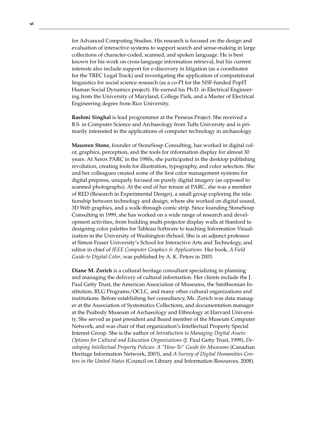for Advanced Computing Studies. His research is focused on the design and evaluation of interactive systems to support search and sense-making in large collections of character-coded, scanned, and spoken language. He is best known for his work on cross-language information retrieval, but his current interests also include support for e-discovery in litigation (as a coordinator for the TREC Legal Track) and investigating the application of computational linguistics for social science research (as a co-PI for the NSF-funded PopIT Human Social Dynamics project). He earned his Ph.D. in Electrical Engineering from the University of Maryland, College Park, and a Master of Electrical Engineering degree from Rice University.

**Rashmi Singhal** is lead programmer at the Perseus Project. She received a B.S. in Computer Science and Archaeology from Tufts University and is primarily interested in the applications of computer technology in archaeology.

**Maureen Stone**, founder of StoneSoup Consulting, has worked in digital color, graphics, perception, and the tools for information display for almost 30 years. At Xerox PARC in the 1980s, she participated in the desktop publishing revolution, creating tools for illustration, typography, and color selection. She and her colleagues created some of the first color management systems for digital prepress, uniquely focused on purely digital imagery (as opposed to scanned photographs). At the end of her tenure at PARC, she was a member of RED (Research in Experimental Design), a small group exploring the relationship between technology and design, where she worked on digital sound, 3D Web graphics, and a walk-through comic strip. Since founding StoneSoup Consulting in 1999, she has worked on a wide range of research and development activities, from building multi-projector display walls at Stanford to designing color palettes for Tableau Software to teaching Information Visualization in the University of Washington iSchool. She is an adjunct professor at Simon Fraser University's School for Interactive Arts and Technology, and editor in chief of *IEEE Computer Graphics & Applications*. Her book, *A Field Guide to Digital Color*, was published by A. K. Peters in 2003.

**Diane M. Zorich** is a cultural heritage consultant specializing in planning and managing the delivery of cultural information. Her clients include the J. Paul Getty Trust, the American Association of Museums, the Smithsonian Institution, RLG Programs/OCLC, and many other cultural organizations and institutions. Before establishing her consultancy, Ms. Zorich was data manager at the Association of Systematics Collections, and documentation manager at the Peabody Museum of Archaeology and Ethnology at Harvard University. She served as past president and Board member of the Museum Computer Network, and was chair of that organization's Intellectual Property Special Interest Group. She is the author of *Introduction to Managing Digital Assets: Options for Cultural and Education Organizations* (J. Paul Getty Trust, 1999), *Developing Intellectual Property Policies: A "How-To" Guide for Museums* (Canadian Heritage Information Network, 2003), and *A Survey of Digital Humanities Centers in the United States* (Council on Library and Information Resources, 2008).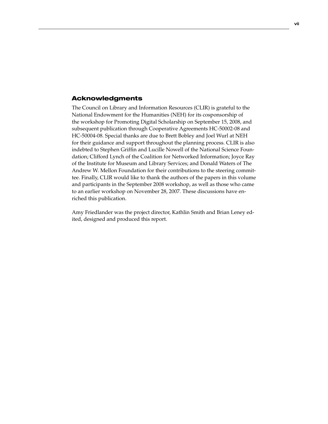# Acknowledgments

The Council on Library and Information Resources (CLIR) is grateful to the National Endowment for the Humanities (NEH) for its cosponsorship of the workshop for Promoting Digital Scholarship on September 15, 2008, and subsequent publication through Cooperative Agreements HC-50002-08 and HC-50004-08. Special thanks are due to Brett Bobley and Joel Wurl at NEH for their guidance and support throughout the planning process. CLIR is also indebted to Stephen Griffin and Lucille Nowell of the National Science Foundation; Clifford Lynch of the Coalition for Networked Information; Joyce Ray of the Institute for Museum and Library Services; and Donald Waters of The Andrew W. Mellon Foundation for their contributions to the steering committee. Finally, CLIR would like to thank the authors of the papers in this volume and participants in the September 2008 workshop, as well as those who came to an earlier workshop on November 28, 2007. These discussions have enriched this publication.

Amy Friedlander was the project director, Kathlin Smith and Brian Leney edited, designed and produced this report.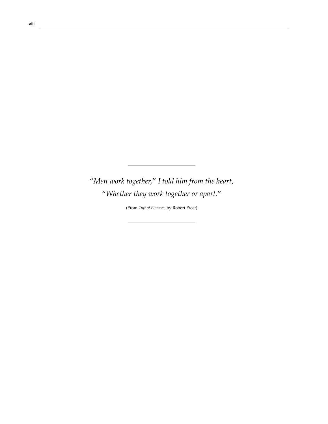"*Men work together,*" *I told him from the heart,* "*Whether they work together or apart.*"

(From *Tuft of Flowers*, by Robert Frost)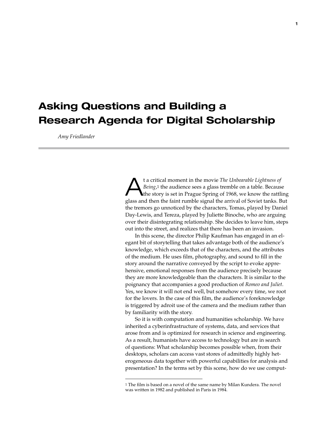# Asking Questions and Building a Research Agenda for Digital Scholarship

 *Amy Friedlander*

t a critical moment in the movie *The Unbearable Lightness of*<br> *Being*,<sup>1</sup> the audience sees a glass tremble on a table. Because<br>
the story is set in Prague Spring of 1968, we know the rattling<br>
also and the state would s *Being*,1 the audience sees a glass tremble on a table. Because glass and then the faint rumble signal the arrival of Soviet tanks. But the tremors go unnoticed by the characters, Tomas, played by Daniel Day-Lewis, and Tereza, played by Juliette Binoche, who are arguing over their disintegrating relationship. She decides to leave him, steps out into the street, and realizes that there has been an invasion.

In this scene, the director Philip Kaufman has engaged in an elegant bit of storytelling that takes advantage both of the audience's knowledge, which exceeds that of the characters, and the attributes of the medium. He uses film, photography, and sound to fill in the story around the narrative conveyed by the script to evoke apprehensive, emotional responses from the audience precisely because they are more knowledgeable than the characters. It is similar to the poignancy that accompanies a good production of *Romeo and Juliet*. Yes, we know it will not end well, but somehow every time, we root for the lovers. In the case of this film, the audience's foreknowledge is triggered by adroit use of the camera and the medium rather than by familiarity with the story.

So it is with computation and humanities scholarship. We have inherited a cyberinfrastructure of systems, data, and services that arose from and is optimized for research in science and engineering. As a result, humanists have access to technology but are in search of questions: What scholarship becomes possible when, from their desktops, scholars can access vast stores of admittedly highly heterogeneous data together with powerful capabilities for analysis and presentation? In the terms set by this scene, how do we use comput-

<sup>1</sup> The film is based on a novel of the same name by Milan Kundera. The novel was written in 1982 and published in Paris in 1984.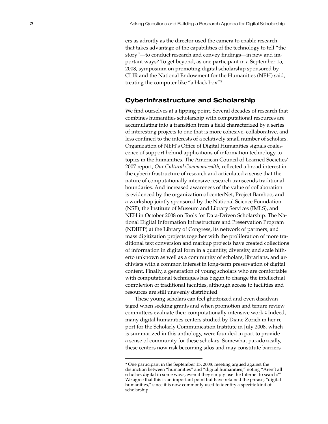ers as adroitly as the director used the camera to enable research that takes advantage of the capabilities of the technology to tell "the story"—to conduct research and convey findings—in new and im portant ways? To get beyond, as one participant in a September 15, 2008, symposium on promoting digital scholarship sponsored by CLIR and the National Endowment for the Humanities (NEH) said, treating the computer like "a black box"?

## Cyberinfrastructure and Scholarship

We find ourselves at a tipping point. Several decades of research that combines humanities scholarship with computational resources are accumulating into a transition from a field characterized by a series of interesting projects to one that is more cohesive, collaborative, and less confined to the interests of a relatively small number of scholars. Organization of NEH's Office of Digital Humanities signals coales cence of support behind applications of information technology to topics in the humanities. The American Council of Learned Societies' 2007 report, *Our Cultural Commonwealth,* reflected a broad interest in the cyberinfrastructure of research and articulated a sense that the nature of computationally intensive research transcends traditional boundaries. And increased awareness of the value of collaboration is evidenced by the organization of centerNet, Project Bamboo, and a workshop jointly sponsored by the National Science Foundation (NSF), the Institute of Museum and Library Services (IMLS), and NEH in October 2008 on Tools for Data-Driven Scholarship. The Na tional Digital Information Infrastructure and Preservation Program (NDIIPP) at the Library of Congress, its network of partners, and mass digitization projects together with the proliferation of more tra ditional text conversion and markup projects have created collections of information in digital form in a quantity, diversity, and scale hith erto unknown as well as a community of scholars, librarians, and ar chivists with a common interest in long-term preservation of digital content. Finally, a generation of young scholars who are comfortable with computational techniques has begun to change the intellectual complexion of traditional faculties, although access to facilities and resources are still unevenly distributed.

These young scholars can feel ghettoized and even disadvan taged when seeking grants and when promotion and tenure review committees evaluate their computationally intensive work. 2 Indeed, many digital humanities centers studied by Diane Zorich in her re port for the Scholarly Communication Institute in July 2008, which is summarized in this anthology, were founded in part to provide a sense of community for these scholars. Somewhat paradoxically, these centers now risk becoming silos and may constitute barriers<br>
2 One participant in the September 15, 2008, meeting argued against the

distinction between "humanities" and "digital humanities," noting "Aren't all scholars digital in some ways, even if they simply use the Internet to search?" We agree that this is an important point but have retained the phrase, "digital humanities," since it is now commonly used to identify a specific kind of scholarship.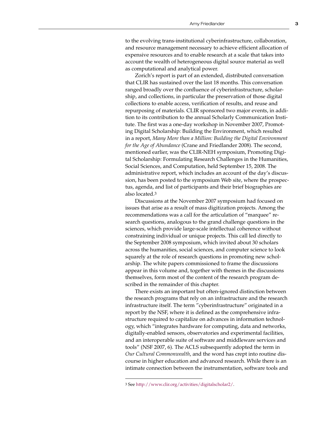to the evolving trans-institutional cyberinfrastructure, collaboration, and resource management necessary to achieve efficient allocation of expensive resources and to enable research at a scale that takes into account the wealth of heterogeneous digital source material as well as computational and analytical power.

Zorich's report is part of an extended, distributed conversation that CLIR has sustained over the last 18 months. This conversation ranged broadly over the confluence of cyberinfrastructure, scholarship, and collections, in particular the preservation of those digital collections to enable access, verification of results, and reuse and repurposing of materials. CLIR sponsored two major events, in addition to its contribution to the annual Scholarly Communication Institute. The first was a one-day workshop in November 2007, Promoting Digital Scholarship: Building the Environment, which resulted in a report, *Many More than a Million: Building the Digital Environment for the Age of Abundance* (Crane and Friedlander 2008). The second, mentioned earlier, was the CLIR-NEH symposium, Promoting Digital Scholarship: Formulating Research Challenges in the Humanities, Social Sciences, and Computation, held September 15, 2008. The administrative report, which includes an account of the day's discussion, has been posted to the symposium Web site, where the prospectus, agenda, and list of participants and their brief biographies are also located.3

Discussions at the November 2007 symposium had focused on issues that arise as a result of mass digitization projects. Among the recommendations was a call for the articulation of "marquee" research questions, analogous to the grand challenge questions in the sciences, which provide large-scale intellectual coherence without constraining individual or unique projects. This call led directly to the September 2008 symposium, which invited about 30 scholars across the humanities, social sciences, and computer science to look squarely at the role of research questions in promoting new scholarship. The white papers commissioned to frame the discussions appear in this volume and, together with themes in the discussions themselves, form most of the content of the research program described in the remainder of this chapter.

There exists an important but often-ignored distinction between the research programs that rely on an infrastructure and the research infrastructure itself. The term "cyberinfrastructure" originated in a report by the NSF, where it is defined as the comprehensive infrastructure required to capitalize on advances in information technology, which "integrates hardware for computing, data and networks, digitally-enabled sensors, observatories and experimental facilities, and an interoperable suite of software and middleware services and tools" (NSF 2007, 6). The ACLS subsequently adopted the term in *Our Cultural Commonwealth*, and the word has crept into routine discourse in higher education and advanced research. While there is an intimate connection between the instrumentation, software tools and

<sup>3</sup> See<http://www.clir.org/activities/digitalscholar2/>.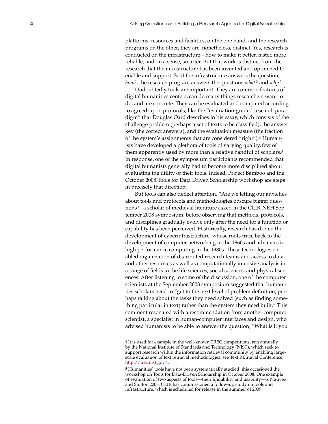platforms, resources and facilities, on the one hand, and the research programs on the other, they are, nonetheless, distinct. Yes, research is conducted on the infrastructure—how to make it better, faster, more reliable, and, in a sense, smarter. But that work is distinct from the research that the infrastructure has been invented and optimized to enable and support. So if the infrastructure answers the question, *how*?, the research program answers the questions *what?* and *why?*

Undoubtedly tools are important. They are common features of digital humanities centers, can do many things researchers want to do, and are concrete. They can be evaluated and compared according to agreed-upon protocols, like the "evaluation-guided research para digm" that Douglas Oard describes in his essay, which consists of the challenge problem (perhaps a set of texts to be classified), the answer key (the correct answers), and the evaluation measure (the fraction of the system's assignments that are considered "right"). 4 Human ists have developed a plethora of tools of varying quality, few of them apparently used by more than a relative handful of scholars. 5 In response, one of the symposium participants recommended that digital humanists generally had to become more disciplined about evaluating the utility of their tools. Indeed, Project Bamboo and the October 2008 Tools for Data Driven Scholarship workshop are steps in precisely that direction.

But tools can also deflect attention. "Are we letting our anxieties about tools and protocols and methodologies obscure bigger ques tions?" a scholar of medieval literature asked in the CLIR-NEH Sep tember 2008 symposium, before observing that methods, protocols, and disciplines gradually evolve only after the need for a function or capability has been perceived. Historically, research has driven the development of cyberinfrastructure, whose roots trace back to the development of computer networking in the 1960s and advances in high performance computing in the 1980s. These technologies en abled organization of distributed research teams and access to data and other resources as well as computationally intensive analysis in a range of fields in the life sciences, social sciences, and physical sci ences. After listening to some of the discussion, one of the computer scientists at the September 2008 symposium suggested that humani ties scholars need to "get to the next level of problem definition, per haps talking about the tasks they need solved (such as finding some thing particular in text) rather than the system they need built." This comment resonated with a recommendation from another computer scientist, a specialist in human-computer interfaces and design, who advised humanists to be able to answer the question, "What is it you  $\overline{\phantom{a}}$  4 It is used for example in the well-known TREC competitions, run annually

by the National Institute of Standards and Technology (NIST), which seek to support research within the information retrieval community by enabling largescale evaluation of text retrieval methodologies; see Text REtrieval Conference, [http://trec.nist.gov](http://trec.nist.gov/) / .

<sup>5</sup> Humanities' tools have not been systematically studied; this occasioned the workshop on Tools for Data-Driven Scholarship in October 2008. One example of evaluation of two aspects of tools—their findability and usability—is Nguyen and Shilton 2008. CLIR has commissioned a follow-up study on tools and infrastructure, which is scheduled for release in the summer of 2009.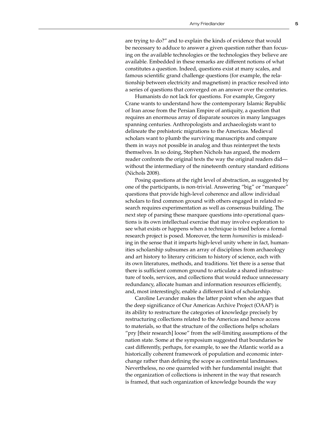are trying to do?" and to explain the kinds of evidence that would be necessary to adduce to answer a given question rather than focusing on the available technologies or the technologies they believe are available. Embedded in these remarks are different notions of what constitutes a question. Indeed, questions exist at many scales, and famous scientific grand challenge questions (for example, the relationship between electricity and magnetism) in practice resolved into a series of questions that converged on an answer over the centuries.

Humanists do not lack for questions. For example, Gregory Crane wants to understand how the contemporary Islamic Republic of Iran arose from the Persian Empire of antiquity, a question that requires an enormous array of disparate sources in many languages spanning centuries. Anthropologists and archaeologists want to delineate the prehistoric migrations to the Americas. Medieval scholars want to plumb the surviving manuscripts and compare them in ways not possible in analog and thus reinterpret the texts themselves. In so doing, Stephen Nichols has argued, the modern reader confronts the original texts the way the original readers did without the intermediary of the nineteenth century standard editions (Nichols 2008).

Posing questions at the right level of abstraction, as suggested by one of the participants, is non-trivial. Answering "big" or "marquee" questions that provide high-level coherence and allow individual scholars to find common ground with others engaged in related research requires experimentation as well as consensus building. The next step of parsing these marquee questions into operational questions is its own intellectual exercise that may involve exploration to see what exists or happens when a technique is tried before a formal research project is posed. Moreover, the term *humanities* is misleading in the sense that it imparts high-level unity where in fact, humanities scholarship subsumes an array of disciplines from archaeology and art history to literary criticism to history of science, each with its own literatures, methods, and traditions. Yet there is a sense that there is sufficient common ground to articulate a shared infrastructure of tools, services, and collections that would reduce unnecessary redundancy, allocate human and information resources efficiently, and, most interestingly, enable a different kind of scholarship.

Caroline Levander makes the latter point when she argues that the deep significance of Our Americas Archive Project (OAAP) is its ability to restructure the categories of knowledge precisely by restructuring collections related to the Americas and hence access to materials, so that the structure of the collections helps scholars "pry [their research] loose" from the self-limiting assumptions of the nation state. Some at the symposium suggested that boundaries be cast differently, perhaps, for example, to see the Atlantic world as a historically coherent framework of population and economic interchange rather than defining the scope as continental landmasses. Nevertheless, no one quarreled with her fundamental insight: that the organization of collections is inherent in the way that research is framed, that such organization of knowledge bounds the way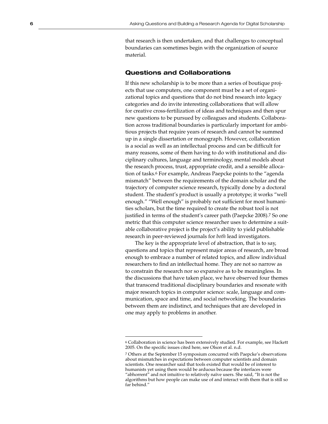that research is then undertaken, and that challenges to conceptual boundaries can sometimes begin with the organization of source material.

## Questions and Collaborations

If this new scholarship is to be more than a series of boutique proj ects that use computers, one component must be a set of organi zational topics and questions that do not bind research into legacy categories and do invite interesting collaborations that will allow for creative cross-fertilization of ideas and techniques and then spur new questions to be pursued by colleagues and students. Collabora tion across traditional boundaries is particularly important for ambi tious projects that require years of research and cannot be summed up in a single dissertation or monograph. However, collaboration is a social as well as an intellectual process and can be difficult for many reasons, some of them having to do with institutional and dis ciplinary cultures, language and terminology, mental models about the research process, trust, appropriate credit, and a sensible alloca tion of tasks. 6 For example, Andreas Paepcke points to the "agenda mismatch" between the requirements of the domain scholar and the trajectory of computer science research, typically done by a doctoral student. The student's product is usually a prototype; it works "well enough." "Well enough" is probably not sufficient for most humani ties scholars, but the time required to create the robust tool is not justified in terms of the student's career path (Paepcke 2008). 7 So one metric that this computer science researcher uses to determine a suit able collaborative project is the project's ability to yield publishable research in peer-reviewed journals for *both* lead investigators.

The key is the appropriate level of abstraction, that is to say, questions and topics that represent major areas of research, are broad enough to embrace a number of related topics, and allow individual researchers to find an intellectual home. They are not so narrow as to constrain the research nor so expansive as to be meaningless. In the discussions that have taken place, we have observed four themes that transcend traditional disciplinary boundaries and resonate with major research topics in computer science: scale, language and com munication, space and time, and social networking. The boundaries between them are indistinct, and techniques that are developed in one may apply to problems in another.

<sup>6</sup> Collaboration in science has been extensively studied. For example, see Hackett

<sup>&</sup>lt;sup>7</sup> Others at the September 15 symposium concurred with Paepcke's observations about mismatches in expectations between computer scientists and domain scientists. One researcher said that tools existed that would be of interest to humanists yet using them would be arduous because the interfaces were "abhorrent" and not intuitive to relatively naïve users. She said, "It is not the algorithms but how people can make use of and interact with them that is still so far behind."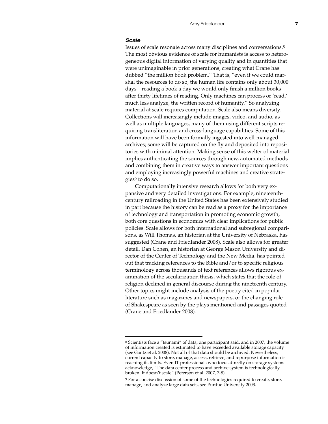#### *Scale*

Issues of scale resonate across many disciplines and conversations.8 The most obvious evidence of scale for humanists is access to heterogeneous digital information of varying quality and in quantities that were unimaginable in prior generations, creating what Crane has dubbed "the million book problem." That is, "even if we could marshal the resources to do so, the human life contains only about 30,000 days—reading a book a day we would only finish a million books after thirty lifetimes of reading. Only machines can process or 'read,' much less analyze, the written record of humanity." So analyzing material at scale requires computation. Scale also means diversity. Collections will increasingly include images, video, and audio, as well as multiple languages, many of them using different scripts requiring transliteration and cross-language capabilities. Some of this information will have been formally ingested into well-managed archives; some will be captured on the fly and deposited into repositories with minimal attention. Making sense of this welter of material implies authenticating the sources through new, automated methods and combining them in creative ways to answer important questions and employing increasingly powerful machines and creative strategies9 to do so.

Computationally intensive research allows for both very expansive and very detailed investigations. For example, nineteenthcentury railroading in the United States has been extensively studied in part because the history can be read as a proxy for the importance of technology and transportation in promoting economic growth, both core questions in economics with clear implications for public policies. Scale allows for both international and subregional comparisons, as Will Thomas, an historian at the University of Nebraska, has suggested (Crane and Friedlander 2008). Scale also allows for greater detail. Dan Cohen, an historian at George Mason University and director of the Center of Technology and the New Media, has pointed out that tracking references to the Bible and/or to specific religious terminology across thousands of text references allows rigorous examination of the secularization thesis, which states that the role of religion declined in general discourse during the nineteenth century. Other topics might include analysis of the poetry cited in popular literature such as magazines and newspapers, or the changing role of Shakespeare as seen by the plays mentioned and passages quoted (Crane and Friedlander 2008).

<sup>8</sup> Scientists face a "tsunami" of data, one participant said, and in 2007, the volume of information created is estimated to have exceeded available storage capacity (see Gantz et al. 2008). Not all of that data should be archived. Nevertheless, current capacity to store, manage, access, retrieve, and repurpose information is reaching its limits. Even IT professionals who focus directly on storage systems acknowledge, "The data center process and archive system is technologically broken. It doesn't scale" (Peterson et al. 2007, 7-8).

<sup>9</sup> For a concise discussion of some of the technologies required to create, store, manage, and analyze large data sets, see Purdue University 2003.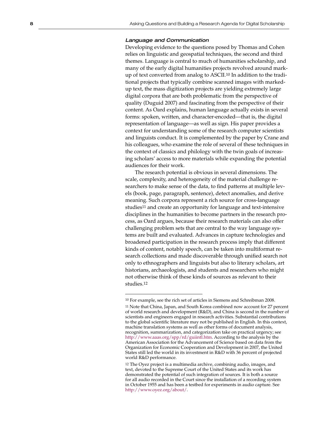#### *Language and Communication*

Developing evidence to the questions posed by Thomas and Cohen relies on linguistic and geospatial techniques, the second and third themes. Language is central to much of humanities scholarship, and many of the early digital humanities projects revolved around markup of text converted from analog to ASCII.10 In addition to the traditional projects that typically combine scanned images with markedup text, the mass digitization projects are yielding extremely large digital corpora that are both problematic from the perspective of quality (Duguid 2007) and fascinating from the perspective of their content. As Oard explains, human language actually exists in several forms: spoken, written, and character-encoded—that is, the digital representation of language—as well as sign. His paper provides a context for understanding some of the research computer scientists and linguists conduct. It is complemented by the paper by Crane and his colleagues, who examine the role of several of these techniques in the context of classics and philology with the twin goals of increas ing scholars' access to more materials while expanding the potential audiences for their work.

The research potential is obvious in several dimensions. The scale, complexity, and heterogeneity of the material challenge re searchers to make sense of the data, to find patterns at multiple lev els (book, page, paragraph, sentence), detect anomalies, and derive meaning. Such corpora represent a rich source for cross-language studies<sup>11</sup> and create an opportunity for language and text-intensive disciplines in the humanities to become partners in the research pro cess, as Oard argues, because their research materials can also offer challenging problem sets that are central to the way language sys tems are built and evaluated. Advances in capture technologies and broadened participation in the research process imply that different kinds of content, notably speech, can be taken into multiformat re search collections and made discoverable through unified search not only to ethnographers and linguists but also to literary scholars, art historians, archaeologists, and students and researchers who might not otherwise think of these kinds of sources as relevant to their studies.12

<sup>10</sup> For example, see the rich set of articles in Siemens and Schreibman 2008.

<sup>11</sup> Note that China, Japan, and South Korea combined now account for 27 percent of world research and development (R&D), and China is second in the number of scientists and engineers engaged in research activities. Substantial contributions to the global scientific literature may not be published in English. In this context, machine translation systems as well as other forms of document analysis, recognition, summarization, and categorization take on practical urgency; see [http://www.aaas.org/spp/rd/guiintl.ht](http://www.aaas.org/spp/rd/guiintl.htm) m. According to the analysis by the American Association for the Advancement of Science based on data from the Organization for Economic Cooperation and Development in 2007, the United States still led the world in its investment in R&D with 36 percent of projected world R&D performance.

<sup>12</sup> The Oyez project is a multimedia archive, combining audio, images, and text, devoted to the Supreme Court of the United States and its work has demonstrated the potential of such integration of sources. It is both a source for all audio recorded in the Court since the installation of a recording system in October 1955 and has been a testbed for experiments in audio capture. See [http://www.oyez.org/about](http://www.oyez.org/about/) / .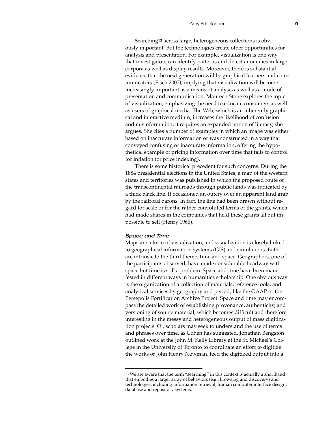Searching13 across large, heterogeneous collections is obviously important. But the technologies create other opportunities for analysis and presentation. For example, visualization is one way that investigators can identify patterns and detect anomalies in large corpora as well as display results. Moreover, there is substantial evidence that the next generation will be graphical learners and communicators (Fisch 2007), implying that visualization will become increasingly important as a means of analysis as well as a mode of presentation and communication. Maureen Stone explores the topic of visualization, emphasizing the need to educate consumers as well as users of graphical media. The Web, which is an inherently graphical and interactive medium, increases the likelihood of confusion and misinformation; it requires an expanded notion of literacy, she argues. She cites a number of examples in which an image was either based on inaccurate information or was constructed in a way that conveyed confusing or inaccurate information, offering the hypothetical example of pricing information over time that fails to control for inflation (or price indexing).

There is some historical precedent for such concerns. During the 1884 presidential elections in the United States, a map of the western states and territories was published in which the proposed route of the transcontinental railroads through public lands was indicated by a thick black line. It occasioned an outcry over an apparent land grab by the railroad barons. In fact, the line had been drawn without regard for scale or for the rather convoluted terms of the grants, which had made shares in the companies that held these grants all but impossible to sell (Henry 1966).

#### *Space and Time*

Maps are a form of visualization, and visualization is closely linked to geographical information systems (GIS) and simulations. Both are intrinsic to the third theme, time and space. Geographers, one of the participants observed, have made considerable headway with space but time is still a problem. Space and time have been manifested in different ways in humanities scholarship. One obvious way is the organization of a collection of materials, reference tools, and analytical services by geography and period, like the OAAP or the Persepolis Fortification Archive Project. Space and time may encompass the detailed work of establishing provenance, authenticity, and versioning of source material, which becomes difficult and therefore interesting in the messy and heterogeneous output of mass digitization projects. Or, scholars may seek to understand the use of terms and phrases over time, as Cohen has suggested. Jonathan Bengston outlined work at the John M. Kelly Library at the St. Michael's College in the University of Toronto to coordinate an effort to digitize the works of John Henry Newman, feed the digitized output into a

<sup>13</sup> We are aware that the term "searching" in this context is actually a shorthand that embodies a larger array of behaviors (e.g., browsing and discovery) and technologies, including information retrieval, human computer interface design, database and repository systems.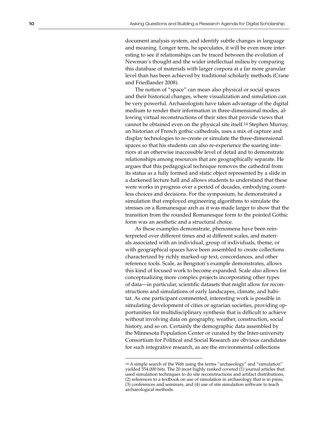document analysis system, and identify subtle changes in language and meaning. Longer term, he speculates, it will be even more inter esting to see if relationships can be traced between the evolution of Newman's thought and the wider intellectual milieu by comparing this database of materials with larger corpora at a far more granular level than has been achieved by traditional scholarly methods (Crane and Friedlander 2008).

The notion of "space" can mean also physical or social spaces and their historical changes, where visualization and simulation can be very powerful. Archaeologists have taken advantage of the digital medium to render their information in three-dimensional modes, al lowing virtual reconstructions of their sites that provide views that cannot be obtained even on the physical site itself.14 Stephen Murray, an historian of French gothic cathedrals, uses a mix of capture and display technologies to re-create or simulate the three-dimensional spaces so that his students can also re-experience the soaring inte riors at an otherwise inaccessible level of detail and to demonstrate relationships among resources that are geographically separate. He argues that this pedagogical technique removes the cathedral from its status as a fully formed and static object represented by a slide in a darkened lecture hall and allows students to understand that these were works in progress over a period of decades, embodying count less choices and decisions. For the symposium, he demonstrated a simulation that employed engineering algorithms to simulate the stresses on a Romanesque arch as it was made larger to show that the transition from the rounded Romanesque form to the pointed Gothic form was an aesthetic and a structural choice.

As these examples demonstrate, phenomena have been rein terpreted over different times and at different scales, and materi als associated with an individual, group of individuals, theme, or with geographical spaces have been assembled to create collections characterized by richly marked-up text, concordances, and other reference tools. Scale, as Bengston's example demonstrates, allows this kind of focused work to become expanded. Scale also allows for conceptualizing more complex projects incorporating other types of data—in particular, scientific datasets that might allow for recon structions and simulations of early landscapes, climate, and habi tat. As one participant commented, interesting work is possible in simulating development of cities or agrarian societies, providing op portunities for multidisciplinary synthesis that is difficult to achieve without involving data on geography, weather, construction, social history, and so on. Certainly the demographic data assembled by the Minnesota Population Center or curated by the Inter-university Consortium for Political and Social Research are obvious candidates for such integrative research, as are the environmental collections

<sup>14</sup> A simple search of the Web using the terms "archaeology" and "simulation" yielded 554,000 hits. The 20 most highly ranked covered (1) journal articles that used simulation techniques to do site reconstructions and artifact distributions, (2) references to a textbook on use of simulation in archaeology that is in press, (3) conferences and seminars, and (4) use of site simulation software to teach archaeological methods.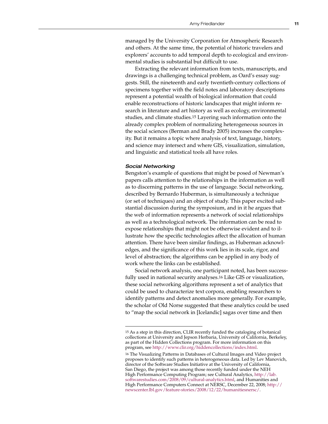managed by the University Corporation for Atmospheric Research and others. At the same time, the potential of historic travelers and explorers' accounts to add temporal depth to ecological and environmental studies is substantial but difficult to use.

Extracting the relevant information from texts, manuscripts, and drawings is a challenging technical problem, as Oard's essay suggests. Still, the nineteenth and early twentieth-century collections of specimens together with the field notes and laboratory descriptions represent a potential wealth of biological information that could enable reconstructions of historic landscapes that might inform research in literature and art history as well as ecology, environmental studies, and climate studies.15 Layering such information onto the already complex problem of normalizing heterogeneous sources in the social sciences (Berman and Brady 2005) increases the complexity. But it remains a topic where analysis of text, language, history, and science may intersect and where GIS, visualization, simulation, and linguistic and statistical tools all have roles.

#### *Social Networking*

Bengston's example of questions that might be posed of Newman's papers calls attention to the relationships in the information as well as to discerning patterns in the use of language. Social networking, described by Bernardo Huberman, is simultaneously a technique (or set of techniques) and an object of study. This paper excited substantial discussion during the symposium, and in it he argues that the web of information represents a network of social relationships as well as a technological network. The information can be read to expose relationships that might not be otherwise evident and to illustrate how the specific technologies affect the allocation of human attention. There have been similar findings, as Huberman acknowledges, and the significance of this work lies in its scale, rigor, and level of abstraction; the algorithms can be applied in any body of work where the links can be established.

Social network analysis, one participant noted, has been successfully used in national security analyses.16 Like GIS or visualization, these social networking algorithms represent a set of analytics that could be used to characterize text corpora, enabling researchers to identify patterns and detect anomalies more generally. For example, the scholar of Old Norse suggested that these analytics could be used to "map the social network in [Icelandic] sagas over time and then

<sup>15</sup> As a step in this direction, CLIR recently funded the cataloging of botanical collections at University and Jepson Herbaria, University of California, Berkeley, as part of the Hidden Collections program. For more information on this program, see <http://www.clir.org/hiddencollections/index.html>.

<sup>16</sup> The Visualizing Patterns in Databases of Cultural Images and Video project proposes to identify such patterns in heterogeneous data. Led by Lev Manovich, director of the Software Studies Initiative at the University of California, San Diego, the project was among those recently funded under the NEH High Performance Computing Program; see Cultural Analytics, [http://lab.](http://lab.softwarestudies.com/2008/09/cultural-analytics.html) [softwarestudies.com/2008/09/cultural-analytics.html,](http://lab.softwarestudies.com/2008/09/cultural-analytics.html) and Humanities and High Performance Computers Connect at NERSC, December 22, 2008; [http://](http://newscenter.lbl.gov/feature-stories/2008/12/22/humanitiesnersc/) [newscenter.lbl.gov/feature-stories/2008/12/22/humanitiesnersc/.](http://newscenter.lbl.gov/feature-stories/2008/12/22/humanitiesnersc/)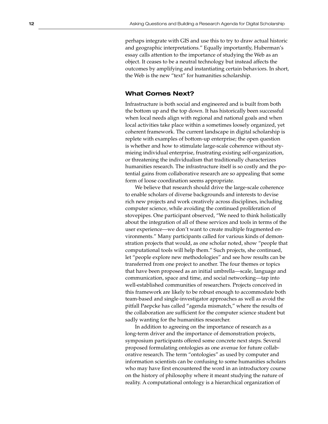perhaps integrate with GIS and use this to try to draw actual historic and geographic interpretations." Equally importantly, Huberman's essay calls attention to the importance of studying the Web as an object. It ceases to be a neutral technology but instead affects the outcomes by amplifying and instantiating certain behaviors. In short, the Web is the new "text" for humanities scholarship.

### What Comes Next?

Infrastructure is both social and engineered and is built from both the bottom up and the top down. It has historically been successful when local needs align with regional and national goals and when local activities take place within a sometimes loosely organized, yet coherent framework. The current landscape in digital scholarship is replete with examples of bottom-up enterprise; the open question is whether and how to stimulate large-scale coherence without sty mieing individual enterprise, frustrating existing self-organization, or threatening the individualism that traditionally characterizes humanities research. The infrastructure itself is so costly and the po tential gains from collaborative research are so appealing that some form of loose coordination seems appropriate.

We believe that research should drive the large-scale coherence to enable scholars of diverse backgrounds and interests to devise rich new projects and work creatively across disciplines, including computer science, while avoiding the continued proliferation of stovepipes. One participant observed, "We need to think holistically about the integration of all of these services and tools in terms of the user experience—we don't want to create multiple fragmented en vironments." Many participants called for various kinds of demon stration projects that would, as one scholar noted, show "people that computational tools will help them." Such projects, she continued, let "people explore new methodologies" and see how results can be transferred from one project to another. The four themes or topics that have been proposed as an initial umbrella—scale, language and communication, space and time, and social networking—tap into well-established communities of researchers. Projects conceived in this framework are likely to be robust enough to accommodate both team-based and single-investigator approaches as well as avoid the pitfall Paepcke has called "agenda mismatch," where the results of the collaboration are sufficient for the computer science student but sadly wanting for the humanities researcher.

In addition to agreeing on the importance of research as a long-term driver and the importance of demonstration projects, symposium participants offered some concrete next steps. Several proposed formulating ontologies as one avenue for future collab orative research. The term "ontologies" as used by computer and information scientists can be confusing to some humanities scholars who may have first encountered the word in an introductory course on the history of philosophy where it meant studying the nature of reality. A computational ontology is a hierarchical organization of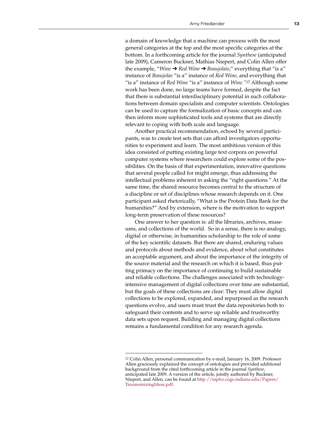a domain of knowledge that a machine can process with the most general categories at the top and the most specific categories at the bottom. In a forthcoming article for the journal *Synthese* (anticipated late 2009), Cameron Buckner, Mathias Niepert, and Colin Allen offer the example, "*Wine* ➔ *Red Wine* ➔ *Beaujolais*;" everything that "is a" instance of *Beaujolas* "is a" instance of *Red Wine*, and everything that "is a" instance of *Red Wine* "is a" instance of *Wine."*17 Although some work has been done, no large teams have formed, despite the fact that there is substantial interdisciplinary potential in such collaborations between domain specialists and computer scientists. Ontologies can be used to capture the formalization of basic concepts and can then inform more sophisticated tools and systems that are directly relevant to coping with both scale and language.

Another practical recommendation, echoed by several participants, was to create test sets that can afford investigators opportunities to experiment and learn. The most ambitious version of this idea consisted of putting existing large text corpora on powerful computer systems where researchers could explore some of the possibilities. On the basis of that experimentation, innovative questions that several people called for might emerge, thus addressing the intellectual problems inherent in asking the "right questions." At the same time, the shared resource becomes central to the structure of a discipline or set of disciplines whose research depends on it. One participant asked rhetorically, "What is the Protein Data Bank for the humanities?" And by extension, where is the motivation to support long-term preservation of these resources?

One answer to her question is: all the libraries, archives, museums, and collections of the world. So in a sense, there is no analogy, digital or otherwise, in humanities scholarship to the role of some of the key scientific datasets. But there are shared, enduring values and protocols about methods and evidence, about what constitutes an acceptable argument, and about the importance of the integrity of the source material and the research on which it is based, thus putting primacy on the importance of continuing to build sustainable and reliable collections. The challenges associated with technologyintensive management of digital collections over time are substantial, but the goals of these collections are clear: They must allow digital collections to be explored, expanded, and repurposed as the research questions evolve, and users must trust the data repositories both to safeguard their contents and to serve up reliable and trustworthy data sets upon request. Building and managing digital collections remains a fundamental condition for any research agenda.

<sup>17</sup> Colin Allen, personal communication by e-mail, January 16, 2009. Professor Allen graciously explained the concept of ontologies and provided additional background from the cited forthcoming article in the journal *Synthese*, anticipated late 2009. A version of the article, jointly authored by Buckner, Niepert, and Allen, can be found at [http://inpho.cogs.indiana.edu/Papers/](http://inpho.cogs.indiana.edu/Papers/TaxonomizingIdeas.pdf) [TaxonomizingIdeas.pdf.](http://inpho.cogs.indiana.edu/Papers/TaxonomizingIdeas.pdf)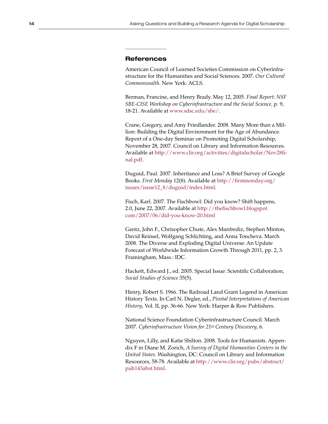### References

American Council of Learned Societies Commission on Cyberinfrastructure for the Humanities and Social Sciences. 2007. *Our Cultural Commonwealth*. New York: ACLS.

Berman, Francine, and Henry Brady. May 12, 2005. *Final Report: NSF SBE-CISE Workshop on Cyberinfrastructure and the Social Science,* p. 9, 18-21. Available at [www.sdsc.edu/sbe/.](http://www.sdsc.edu/sbe/)

Crane, Gregory, and Amy Friedlander. 2008. Many More than a Million: Building the Digital Environment for the Age of Abundance. Report of a One-day Seminar on Promoting Digital Scholarship, November 28, 2007. Council on Library and Information Resources. Available at [http://www.clir.org/activities/digitalscholar/Nov28fi](http://www.clir.org/activities/digitalscholar/Nov28final.pdf)[nal.pdf.](http://www.clir.org/activities/digitalscholar/Nov28final.pdf)

Duguid, Paul. 2007. Inheritance and Loss? A Brief Survey of Google Books. *First Monday* 12(8). Available at [http://firstmonday.org/](http://firstmonday.org/issues/issue12_8/duguid/index.html) [issues/issue12\\_8/duguid/index.html.](http://firstmonday.org/issues/issue12_8/duguid/index.html)

Fisch, Karl. 2007. The Fischbowl: Did you know? Shift happens, 2.0, June 22, 2007. Available at [http://thefischbowl.blogspot.](http://thefischbowl.blogspot.com/2007/06/did-you-know-20.html) [com/2007/06/did-you-know-20.html](http://thefischbowl.blogspot.com/2007/06/did-you-know-20.html)

Gantz, John F., Chrisopher Chute, Alex Manfrediz, Stephen Minton, David Reinsel, Wolfgang Schlichting, and Anna Toncheva. March 2008. The Diverse and Exploding Digital Universe: An Update Forecast of Worldwide Information Growth Through 2011, pp. 2, 3. Framingham, Mass.: IDC.

Hackett, Edward J., ed. 2005. Special Issue: Scientific Collaboration, *Social Studies of Science* 35(5).

Henry, Robert S. 1966. The Railroad Land Grant Legend in American History Texts. In Carl N. Degler, ed., *Pivotal Interpretations of American History*, Vol. II, pp. 36-66. New York: Harper & Row Publishers.

National Science Foundation Cyberinfrastructure Council. March 2007. *Cyberinfrastructure Vision for 21st Century Discovery*, 6.

Nguyen, Lilly, and Katie Shilton. 2008. Tools for Humanists. Appendix F in Diane M. Zorich, *A Survey of Digital Humanities Centers in the United States*. Washington, DC: Council on Library and Information Resources, 58-78. Available at [http://www.clir.org/pubs/abstract/](http://www.clir.org/pubs/abstract/pub143abst.html) [pub143abst.html.](http://www.clir.org/pubs/abstract/pub143abst.html)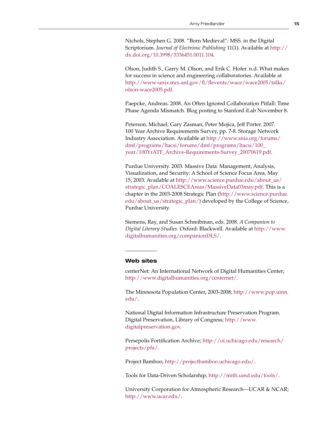Nichols, Stephen G. 2008. "Born Medieval": MSS. in the Digital Scriptorium. *Journal of Electronic Publishing* 11(1). Available at [http://](http://dx.doi.org/10.3998/3336451.0011.104) [dx.doi.org/10.3998/3336451.0011.104.](http://dx.doi.org/10.3998/3336451.0011.104)

Olson, Judith S., Garry M. Olson, and Erik C. Hofer. n.d. What makes for success in science and engineering collaboratories. Available at [http://www-unix.mcs.anl.gov/fl/flevents/wace/wace2005/talks/](http://www-unix.mcs.anl.gov/fl/flevents/wace/wace2005/talks/olson-wace2005.pdf) [olson-wace2005.pdf.](http://www-unix.mcs.anl.gov/fl/flevents/wace/wace2005/talks/olson-wace2005.pdf)

Paepcke, Andreas. 2008. An Often Ignored Collaboration Pitfall: Time Phase Agenda Mismatch. Blog posting to Stanford iLab November 8.

Peterson, Michael, Gary Zasman, Peter Mojica, Jeff Porter. 2007. 100 Year Archive Requirements Survey, pp. 7-8. Storage Network Industry Association. Available at [http://www.snia.org/forums/](http://www.snia.org/forums/dmf/programs/ltacsi/forums/dmf/programs/ltacsi/100_year/100YrATF_Archive-Requirements-Survey_20070619.pdf) [dmf/programs/ltacsi/forums/dmf/programs/ltacsi/100\\_](http://www.snia.org/forums/dmf/programs/ltacsi/forums/dmf/programs/ltacsi/100_year/100YrATF_Archive-Requirements-Survey_20070619.pdf) [year/100YrATF\\_Archive-Requirements-Survey\\_20070619.pdf](http://www.snia.org/forums/dmf/programs/ltacsi/forums/dmf/programs/ltacsi/100_year/100YrATF_Archive-Requirements-Survey_20070619.pdf).

Purdue University. 2003. Massive Data: Management, Analysis, Visualization, and Security: A School of Science Focus Area, May 15, 2003. Available at [http://www.science.purdue.edu/about\\_us/](http://www.science.purdue.edu/about_us/strategic_plan/COALESCEAreas/MassiveData03may.pdf) [strategic\\_plan/COALESCEAreas/MassiveData03may.pdf.](http://www.science.purdue.edu/about_us/strategic_plan/COALESCEAreas/MassiveData03may.pdf) This is a chapter in the 2003-2008 Strategic Plan ([http://www.science.purdue.](http://www.science.purdue.edu/about_us/strategic_plan/) [edu/about\\_us/strategic\\_plan/\)](http://www.science.purdue.edu/about_us/strategic_plan/) developed by the College of Science, Purdue University.

Siemens, Ray, and Susan Schreibman, eds. 2008. *A Companion to Digital Literary Studies*. Oxford: Blackwell. Available at [http://www.](http://www.digitalhumanities.org/companionDLS/) [digitalhumanities.org/companionDLS/.](http://www.digitalhumanities.org/companionDLS/)

#### Web sites

centerNet: An International Network of Digital Humanities Center; <http://www.digitalhumanities.org/centernet/>.

The Minnesota Population Center, 2003-2008; [http://www.pop.umn.](http://www.pop.umn.edu/) [edu/.](http://www.pop.umn.edu/)

National Digital Information Infrastructure Preservation Program. Digital Preservation, Library of Congress; [http://www.](http://www.digitalpreservation.gov) [digitalpreservation.gov](http://www.digitalpreservation.gov).

Persepolis Fortification Archive; [http://oi.uchicago.edu/research/](http://oi.uchicago.edu/research/projects/pfa/) [projects/pfa/.](http://oi.uchicago.edu/research/projects/pfa/)

Project Bamboo; <http://projectbamboo.uchicago.edu/>.

Tools for Data-Driven Scholarship; [http://mith.umd.edu/tools/.](http://mith.umd.edu/tools/)

University Corporation for Atmospheric Research—UCAR & NCAR; [http://www.ucar.edu/.](http://www.ucar.edu/)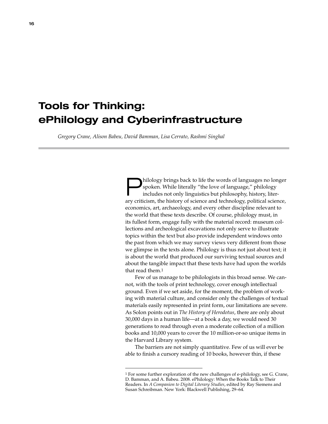# Tools for Thinking: ePhilology and Cyberinfrastructure

 *Gregory Crane, Alison Babeu, David Bamman, Lisa Cerrato, Rashmi Singhal*

hilology brings back to life the words of languages no longer<br>spoken. While literally "the love of language," philology<br>includes not only linguistics but philosophy, history, literspoken. While literally "the love of language," philology includes not only linguistics but philosophy, history, literary criticism, the history of science and technology, political science, economics, art, archaeology, and every other discipline relevant to the world that these texts describe. Of course, philology must, in its fullest form, engage fully with the material record: museum collections and archeological excavations not only serve to illustrate topics within the text but also provide independent windows onto the past from which we may survey views very different from those we glimpse in the texts alone. Philology is thus not just about text; it is about the world that produced our surviving textual sources and about the tangible impact that these texts have had upon the worlds that read them.1

Few of us manage to be philologists in this broad sense. We cannot, with the tools of print technology, cover enough intellectual ground. Even if we set aside, for the moment, the problem of working with material culture, and consider only the challenges of textual materials easily represented in print form, our limitations are severe. As Solon points out in *The History of Herodotus*, there are only about 30,000 days in a human life—at a book a day, we would need 30 generations to read through even a moderate collection of a million books and 10,000 years to cover the 10 million-or-so unique items in the Harvard Library system.

The barriers are not simply quantitative. Few of us will ever be able to finish a cursory reading of 10 books, however thin, if these

<sup>1</sup> For some further exploration of the new challenges of e-philology, see G. Crane, D. Bamman, and A. Babeu. 2008. ePhilology: When the Books Talk to Their Readers. In *A Companion to Digital Literary Studies*, edited by Ray Siemens and Susan Schreibman. New York: Blackwell Publishing, 29–64.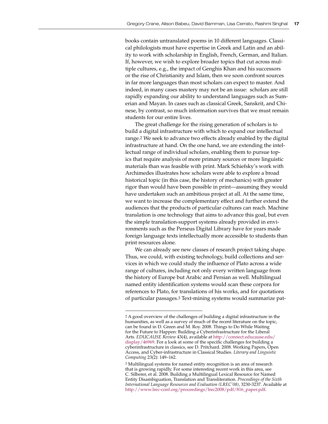books contain untranslated poems in 10 different languages. Classical philologists must have expertise in Greek and Latin and an ability to work with scholarship in English, French, German, and Italian. If, however, we wish to explore broader topics that cut across multiple cultures, e.g., the impact of Genghis Khan and his successors or the rise of Christianity and Islam, then we soon confront sources in far more languages than most scholars can expect to master. And indeed, in many cases mastery may not be an issue: scholars are still rapidly expanding our ability to understand languages such as Sumerian and Mayan. In cases such as classical Greek, Sanskrit, and Chinese, by contrast, so much information survives that we must remain students for our entire lives.

The great challenge for the rising generation of scholars is to build a digital infrastructure with which to expand our intellectual range.2 We seek to advance two effects already enabled by the digital infrastructure at hand. On the one hand, we are extending the intellectual range of individual scholars, enabling them to pursue topics that require analysis of more primary sources or more linguistic materials than was feasible with print. Mark Schiefsky's work with Archimedes illustrates how scholars were able to explore a broad historical topic (in this case, the history of mechanics) with greater rigor than would have been possible in print—assuming they would have undertaken such an ambitious project at all. At the same time, we want to increase the complementary effect and further extend the audiences that the products of particular cultures can reach. Machine translation is one technology that aims to advance this goal, but even the simple translation-support systems already provided in environments such as the Perseus Digital Library have for years made foreign language texts intellectually more accessible to students than print resources alone.

We can already see new classes of research project taking shape. Thus, we could, with existing technology, build collections and services in which we could study the influence of Plato across a wide range of cultures, including not only every written language from the history of Europe but Arabic and Persian as well. Multilingual named entity identification systems would scan these corpora for references to Plato, for translations of his works, and for quotations of particular passages.3 Text-mining systems would summarize pat-

<sup>2</sup> A good overview of the challenges of building a digital infrastructure in the humanities, as well as a survey of much of the recent literature on the topic, can be found in D. Green and M. Roy. 2008. Things to Do While Waiting for the Future to Happen: Building a Cyberinfrastructure for the Liberal Arts. *EDUCAUSE Review* 43(4), available at [http://connect.educause.edu/](http://connect.educause.edu/display/46969) [display/46969](http://connect.educause.edu/display/46969). For a look at some of the specific challenges for building a cyberinfrastructure in classics, see D. Pritchard. 2008. Working Papers, Open Access, and Cyber-infrastructure in Classical Studies. *Literary and Linguistic Computing* 23(2): 149–162.

<sup>3</sup> Multilingual systems for named entity recognition is an area of research that is growing rapidly. For some interesting recent work in this area, see C. Silberer, et al. 2008. Building a Multilingual Lexical Resource for Named Entity Disambiguation, Translation and Transliteration. *Proceedings of the Sixth International Language Resources and Evaluation (LREC'08)*, 3230-3237. Available at [http://www.lrec-conf.org/proceedings/lrec2008/pdf/816\\_paper.pdf](http://www.lrec-conf.org/proceedings/lrec2008/pdf/816_paper.pdf).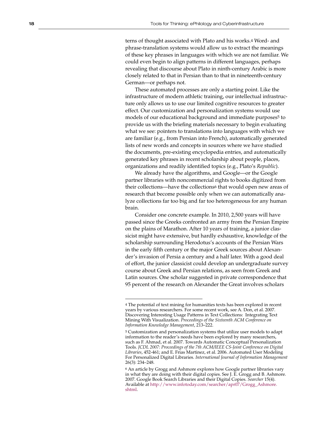terns of thought associated with Plato and his works. 4 Word- and phrase-translation systems would allow us to extract the meanings of these key phrases in languages with which we are not familiar. We could even begin to align patterns in different languages, perhaps revealing that discourse about Plato in ninth-century Arabic is more closely related to that in Persian than to that in nineteenth-century German—or perhaps not.

These automated processes are only a starting point. Like the infrastructure of modern athletic training, our intellectual infrastruc ture only allows us to use our limited cognitive resources to greater effect. Our customization and personalization systems would use models of our educational background and immediate purposes 5 to provide us with the briefing materials necessary to begin evaluating what we see: pointers to translations into languages with which we are familiar (e.g., from Persian into French), automatically generated lists of new words and concepts in sources where we have studied the documents, pre-existing encyclopedia entries, and automatically generated key phrases in recent scholarship about people, places, organizations and readily identified topics (e.g., Plato's *Republic*).

We already have the algorithms, and Google—or the Google partner libraries with noncommercial rights to books digitized from their collections—have the collections 6 that would open new areas of research that become possible only when we can automatically ana lyze collections far too big and far too heterogeneous for any human brain.

Consider one concrete example. In 2010, 2,500 years will have passed since the Greeks confronted an army from the Persian Empire on the plains of Marathon. After 10 years of training, a junior clas sicist might have extensive, but hardly exhaustive, knowledge of the scholarship surrounding Herodotus's accounts of the Persian Wars in the early fifth century or the major Greek sources about Alexan der's invasion of Persia a century and a half later. With a good deal of effort, the junior classicist could develop an undergraduate survey course about Greek and Persian relations, as seen from Greek and Latin sources. One scholar suggested in private correspondence that 95 percent of the research on Alexander the Great involves scholars<br>  $\overline{\phantom{a}}$ <br>
<sup>4</sup> The potential of text mining for humanities texts has been explored in recent

years by various researchers. For some recent work, see A. Don, et al. 2007. Discovering Interesting Usage Patterns in Text Collections: Integrating Text Mining With Visualization. *Proceedings of the Sixteenth ACM Conference on* 

*Information Knowledge Management*, 213–222. 5 Customization and personalization systems that utilize user models to adapt information to the reader's needs have been explored by many researchers, such as F. Ahmad, et al. 2007. Towards Automatic Conceptual Personalization Tools. *JCDL 2007: Proceedings of the 7th ACM/IEEE CS-Joint Conference on Digital Libraries*, 452-461; and E. Frias Martinez, et al. 2006. Automated User Modeling For Personalized Digital Libraries*. International Journal of Information Management* 26(3): 234–248.

<sup>6</sup> An article by Grogg and Ashmore explores how Google partner libraries vary in what they are doing with their digital copies. See J. E. Grogg and B. Ashmore. 2007. Google Book Search Libraries and their Digital Copies. *Searcher* 15(4). Available at [http://www.infotoday.com/searcher/apr07/Grogg\\_Ashmore.](http://www.infotoday.com/searcher/apr07/Grogg_Ashmore.shtml) [shtm](http://www.infotoday.com/searcher/apr07/Grogg_Ashmore.shtml) l .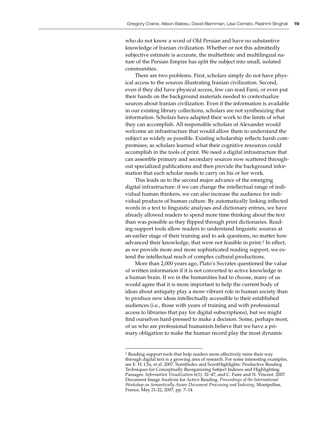who do not know a word of Old Persian and have no substantive knowledge of Iranian civilization. Whether or not this admittedly subjective estimate is accurate, the multiethnic and multilingual nature of the Persian Empire has split the subject into small, isolated communities.

There are two problems. First, scholars simply do not have physical access to the sources illustrating Iranian civilization. Second, even if they did have physical access, few can read Farsi, or even put their hands on the background materials needed to contextualize sources about Iranian civilization. Even if the information is available in our existing library collections, scholars are not synthesizing that information. Scholars have adapted their work to the limits of what they can accomplish. All responsible scholars of Alexander would welcome an infrastructure that would allow them to understand the subject as widely as possible. Existing scholarship reflects harsh compromises, as scholars learned what their cognitive resources could accomplish in the tools of print. We need a digital infrastructure that can assemble primary and secondary sources now scattered throughout specialized publications and then provide the background information that each scholar needs to carry on his or her work.

This leads us to the second major advance of the emerging digital infrastructure: if we can change the intellectual range of individual human thinkers, we can also increase the audience for individual products of human culture. By automatically linking inflected words in a text to linguistic analyses and dictionary entries, we have already allowed readers to spend more time thinking about the text than was possible as they flipped through print dictionaries. Reading-support tools allow readers to understand linguistic sources at an earlier stage of their training and to ask questions, no matter how advanced their knowledge, that were not feasible in print.7 In effect, as we provide more and more sophisticated reading support, we extend the intellectual reach of complex cultural productions.

More than 2,000 years ago, Plato's Socrates questioned the value of written information if it is not converted to active knowledge in a human brain. If we in the humanities had to choose, many of us would agree that it is more important to help the current body of ideas about antiquity play a more vibrant role in human society than to produce new ideas intellectually accessible to their established audiences (i.e., those with years of training and with professional access to libraries that pay for digital subscriptions), but we might find ourselves hard-pressed to make a decision. Some, perhaps most, of us who are professional humanists believe that we have a primary obligation to make the human record play the most dynamic

<sup>7</sup> Reading support tools that help readers more effectively mine their way through digital text is a growing area of research. For some interesting examples, see E. H. Chi, et al. 2007. ScentIndex and ScentHighlights: Productive Reading Techniques for Conceptually Reorganizing Subject Indexes and Highlighting Passages. *Information Visualization* 6(1): 32–47; and C. Faire and N. Vincent. 2007. Document Image Analysis for Active Reading. *Proceedings of the International Workshop on Semantically Aware Document Processing and Indexing,* Montpellier, France, May 21-22, 2007, pp. 7–14.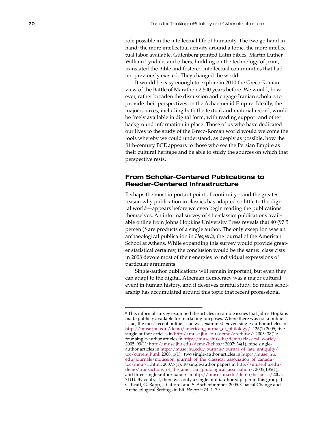role possible in the intellectual life of humanity. The two go hand in hand: the more intellectual activity around a topic, the more intellec tual labor available. Gutenberg printed Latin bibles. Martin Luther, William Tyndale, and others, building on the technology of print, translated the Bible and fostered intellectual communities that had not previously existed. They changed the world.

It would be easy enough to explore in 2010 the Greco-Roman view of the Battle of Marathon 2,500 years before. We would, how ever, rather broaden the discussion and engage Iranian scholars to provide their perspectives on the Achaemenid Empire. Ideally, the major sources, including both the textual and material record, would be freely available in digital form, with reading support and other background information in place. Those of us who have dedicated our lives to the study of the Greco-Roman world would welcome the tools whereby we could understand, as deeply as possible, how the fifth-century BCE appears to those who see the Persian Empire as their cultural heritage and be able to study the sources on which that perspective rests.

# From Scholar-Centered Publications to Reader-Centered Infrastructure

Perhaps the most important point of continuity—and the greatest reason why publication in classics has adapted so little to the digi tal world—appears before we even begin reading the publications themselves. An informal survey of 41 e-classics publications avail able online from Johns Hopkins University Press reveals that 40 (97.5 percent) 8 are products of a single author. The only exception was an archaeological publication in *Hesperia*, the journal of the American School at Athens. While expanding this survey would provide great er statistical certainty, the conclusion would be the same: classicists in 2008 devote most of their energies to individual expressions of particular arguments.

Single-author publications will remain important, but even they can adapt to the digital. Athenian democracy was a major cultural event in human history, and it deserves careful study. So much schol arship has accumulated around this topic that recent professional<br>
8 This informal survey examined the articles in sample issues that Johns Hopkins

made publicly available for marketing purposes. Where there was not a public issue, the most recent online issue was examined. Seven single-author articles in [http://muse.jhu.edu/demo/american\\_journal\\_of\\_philology](http://muse.jhu.edu/demo/american_journal_of_philology/) /: 126(1) 2005; five single-author articles in [http://muse.jhu.edu/demo/arethusa](http://muse.jhu.edu/demo/arethusa/) /: 2005: 38(1); four single-author articles in [http://muse.jhu.edu/demo/classical\\_world](http://muse.jhu.edu/demo/classical_world/) /: 2005: 99(1); [http://muse.jhu.edu/demo/helios](http://muse.jhu.edu/demo/helios/) /: 2007: 34(1); nine singleauthor articles in [http://muse.jhu.edu/journals/journal\\_of\\_late\\_antiquity/](http://muse.jhu.edu/journals/journal_of_late_antiquity/toc/current.html) [toc/current.htm](http://muse.jhu.edu/journals/journal_of_late_antiquity/toc/current.html) l: 2008: 1(1); two single-author articles in [http://muse.jhu.](http://muse.jhu.edu/journals/mouseion_journal_of_the_classical_association_of_canada/toc/mou.7.1.html) [edu/journals/mouseion\\_journal\\_of\\_the\\_classical\\_association\\_of\\_canada/](http://muse.jhu.edu/journals/mouseion_journal_of_the_classical_association_of_canada/toc/mou.7.1.html) [toc/mou.7.1.htm](http://muse.jhu.edu/journals/mouseion_journal_of_the_classical_association_of_canada/toc/mou.7.1.html) l: 2007:7(1); 10 single-author papers in [http://muse.jhu.edu/](http://muse.jhu.edu/demo/transactions_of_the_american_philological_association/) [demo/transactions\\_of\\_the\\_american\\_philological\\_association](http://muse.jhu.edu/demo/transactions_of_the_american_philological_association/) /: 2005;135(1); and three single-author papers in [http://muse.jhu.edu/demo/hesperia](http://muse.jhu.edu/demo/hesperia/) /2005: 71(1). By contrast, there was only a single multiauthored paper in this group: J. C. Kraft, G. Rapp, J. Gifford, and S. Aschenbrenner. 2005. Coastal Change and Archaeological Settings in Eli. *Hesperia* 74: 1–39.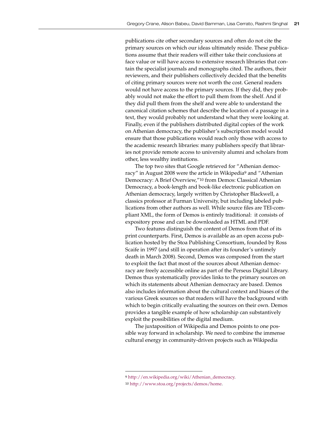publications cite other secondary sources and often do not cite the primary sources on which our ideas ultimately reside. These publications assume that their readers will either take their conclusions at face value or will have access to extensive research libraries that contain the specialist journals and monographs cited. The authors, their reviewers, and their publishers collectively decided that the benefits of citing primary sources were not worth the cost. General readers would not have access to the primary sources. If they did, they probably would not make the effort to pull them from the shelf. And if they did pull them from the shelf and were able to understand the canonical citation schemes that describe the location of a passage in a text, they would probably not understand what they were looking at. Finally, even if the publishers distributed digital copies of the work on Athenian democracy, the publisher's subscription model would ensure that those publications would reach only those with access to the academic research libraries: many publishers specify that libraries not provide remote access to university alumni and scholars from other, less wealthy institutions.

The top two sites that Google retrieved for "Athenian democracy" in August 2008 were the article in Wikipedia9 and "Athenian Democracy: A Brief Overview,"10 from Demos: Classical Athenian Democracy, a book-length and book-like electronic publication on Athenian democracy, largely written by Christopher Blackwell, a classics professor at Furman University, but including labeled publications from other authors as well. While source files are TEI-compliant XML, the form of Demos is entirely traditional: it consists of expository prose and can be downloaded as HTML and PDF.

Two features distinguish the content of Demos from that of its print counterparts. First, Demos is available as an open access publication hosted by the Stoa Publishing Consortium, founded by Ross Scaife in 1997 (and still in operation after its founder's untimely death in March 2008). Second, Demos was composed from the start to exploit the fact that most of the sources about Athenian democracy are freely accessible online as part of the Perseus Digital Library. Demos thus systematically provides links to the primary sources on which its statements about Athenian democracy are based. Demos also includes information about the cultural context and biases of the various Greek sources so that readers will have the background with which to begin critically evaluating the sources on their own. Demos provides a tangible example of how scholarship can substantively exploit the possibilities of the digital medium.

The juxtaposition of Wikipedia and Demos points to one possible way forward in scholarship. We need to combine the immense cultural energy in community-driven projects such as Wikipedia

<sup>9</sup> [http://en.wikipedia.org/wiki/Athenian\\_democracy.](http://en.wikipedia.org/wiki/Athenian_democracy) 10 [http://www.stoa.org/projects/demos/home.](http://www.stoa.org/projects/demos/home)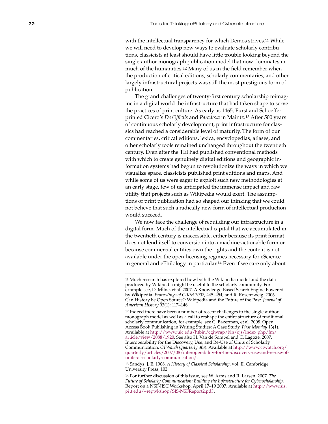with the intellectual transparency for which Demos strives.11 While we will need to develop new ways to evaluate scholarly contribu tions, classicists at least should have little trouble looking beyond the single-author monograph publication model that now dominates in much of the humanities.12 Many of us in the field remember when the production of critical editions, scholarly commentaries, and other largely infrastructural projects was still the most prestigious form of publication.

The grand challenges of twenty-first century scholarship reimag ine in a digital world the infrastructure that had taken shape to serve the practices of print culture. As early as 1465, Furst and Schoeffer printed Cicero's *De Officiis* and *Paradoxa* in Maintz.13 After 500 years of continuous scholarly development, print infrastructure for clas sics had reached a considerable level of maturity. The form of our commentaries, critical editions, lexica, encyclopedias, atlases, and other scholarly tools remained unchanged throughout the twentieth century. Even after the TEI had published conventional methods with which to create genuinely digital editions and geographic in formation systems had begun to revolutionize the ways in which we visualize space, classicists published print editions and maps. And while some of us were eager to exploit such new methodologies at an early stage, few of us anticipated the immense impact and raw utility that projects such as Wikipedia would exert. The assump tions of print publication had so shaped our thinking that we could not believe that such a radically new form of intellectual production would succeed.

We now face the challenge of rebuilding our infrastructure in a digital form. Much of the intellectual capital that we accumulated in the twentieth century is inaccessible, either because its print format does not lend itself to conversion into a machine-actionable form or because commercial entities own the rights and the content is not available under the open-licensing regimes necessary for eScience in general and ePhilology in particular.14 Even if we care only about

<sup>11</sup> Much research has explored how both the Wikipedia model and the data produced by Wikipedia might be useful to the scholarly community. For example see, D. Milne, et al. 2007. A Knowledge-Based Search Engine Powered by Wikipedia. *Proceedings of CIKM 2007*, 445–454; and R. Rosenzweig. 2006. Can History be Open Source?: Wikipedia and the Future of the Past. *Journal of American History* 93(1): 117–146.

<sup>12</sup> Indeed there have been a number of recent challenges to the single-author monograph model as well as a call to reshape the entire structure of traditional scholarly communication, for example, see C. Bazerman, et al. 2008. Open Access Book Publishing in Writing Studies: A Case Study. *First Monday* 13(1). Available at [http://www.uic.edu/htbin/cgiwrap/bin/ojs/index.php/fm/](http://www.uic.edu/htbin/cgiwrap/bin/ojs/index.php/fm/article/view/2088/1920) [article/view/2088/192](http://www.uic.edu/htbin/cgiwrap/bin/ojs/index.php/fm/article/view/2088/1920) 0. See also H. Van de Sompel and C. Lagoze. 2007. Interoperability for the Discovery, Use, and Re-Use of Units of Scholarly Communication. *CTWatch Quarterly* 3(3). Available at [http://www.ctwatch.org/](http://www.ctwatch.org/quarterly/articles/2007/08/interoperability-for-the-discovery-use-and-re-use-of-units-of-scholarly-communication/) [quarterly/articles/2007/08/interoperability-for-the-discovery-use-and-re-use-of](http://www.ctwatch.org/quarterly/articles/2007/08/interoperability-for-the-discovery-use-and-re-use-of-units-of-scholarly-communication/)[units-of-scholarly-communication/](http://www.ctwatch.org/quarterly/articles/2007/08/interoperability-for-the-discovery-use-and-re-use-of-units-of-scholarly-communication/).

<sup>13</sup> Sandys, J. E. 1908. *A History of Classical Scholarship*, vol. II. Cambridge University Press, 102.

<sup>14</sup> For further discussion of this issue, see W. Arms and R. Larsen. 2007. *The Future of Scholarly Communication: Building the Infrastructure for Cyberscholarship*. Report on a NSF-JISC Workshop, April 17-19 2007. Available at [http://www.sis.](http://www.sis.pitt.edu/~repwkshop/SIS-NSFReport2.pdf) [pitt.edu/~repwkshop/SIS-NSFReport2.pd](http://www.sis.pitt.edu/~repwkshop/SIS-NSFReport2.pdf) f .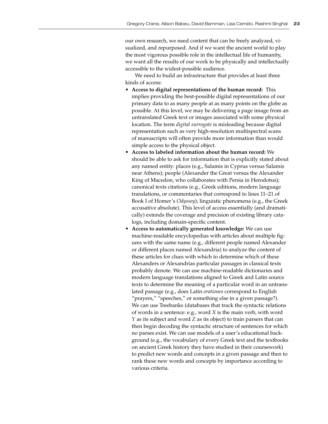our own research, we need content that can be freely analyzed, visualized, and repurposed. And if we want the ancient world to play the most vigorous possible role in the intellectual life of humanity, we want all the results of our work to be physically and intellectually accessible to the widest-possible audience.

We need to build an infrastructure that provides at least three kinds of access:

- • **Access to digital representations of the human record:** This implies providing the best-possible digital representations of our primary data to as many people at as many points on the globe as possible. At this level, we may be delivering a page image from an untranslated Greek text or images associated with some physical location. The term *digital surrogate* is misleading because digital representation such as very high-resolution multispectral scans of manuscripts will often provide more information than would simple access to the physical object.
- Access to labeled information about the human record: We should be able to ask for information that is explicitly stated about any named entity: places (e.g., Salamis in Cyprus versus Salamis near Athens); people (Alexander the Great versus the Alexander King of Macedon, who collaborates with Persia in Herodotus); canonical texts citations (e.g., Greek editions, modern language translations, or commentaries that correspond to lines 11–21 of Book I of Homer's *Odyssey*); linguistic phenomena (e.g., the Greek accusative absolute). This level of access essentially (and dramatically) extends the coverage and precision of existing library catalogs, including domain-specific content.
- **Access to automatically generated knowledge:** We can use machine-readable encyclopedias with articles about multiple figures with the same name (e.g., different people named Alexander or different places named Alexandria) to analyze the content of these articles for clues with which to determine which of these Alexanders or Alexandrias particular passages in classical texts probably denote. We can use machine-readable dictionaries and modern language translations aligned to Greek and Latin source texts to determine the meaning of a particular word in an untranslated passage (e.g., does Latin *orationes* correspond to English "prayers," "speeches," or something else in a given passage?). We can use Treebanks (databases that track the syntactic relations of words in a sentence: e.g., word *X* is the main verb, with word *Y* as its subject and word *Z* as its object) to train parsers that can then begin decoding the syntactic structure of sentences for which no parses exist. We can use models of a user's educational background (e.g., the vocabulary of every Greek text and the textbooks on ancient Greek history they have studied in their coursework) to predict new words and concepts in a given passage and then to rank these new words and concepts by importance according to various criteria.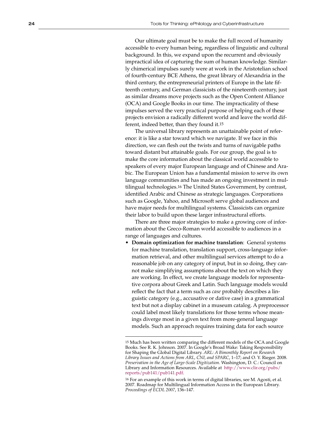Our ultimate goal must be to make the full record of humanity accessible to every human being, regardless of linguistic and cultural background. In this, we expand upon the recurrent and obviously impractical idea of capturing the sum of human knowledge. Similar ly chimerical impulses surely were at work in the Aristotelian school of fourth-century BCE Athens, the great library of Alexandria in the third century, the entrepreneurial printers of Europe in the late fif teenth century, and German classicists of the nineteenth century, just as similar dreams move projects such as the Open Content Alliance (OCA) and Google Books in our time. The impracticality of these impulses served the very practical purpose of helping each of these projects envision a radically different world and leave the world dif ferent, indeed better, than they found it.15

The universal library represents an unattainable point of refer ence: it is like a star toward which we navigate. If we face in this direction, we can flesh out the twists and turns of navigable paths toward distant but attainable goals. For our group, the goal is to make the core information about the classical world accessible to speakers of every major European language and of Chinese and Ara bic. The European Union has a fundamental mission to serve its own language communities and has made an ongoing investment in mul tilingual technologies.16 The United States Government, by contrast, identified Arabic and Chinese as strategic languages. Corporations such as Google, Yahoo, and Microsoft serve global audiences and have major needs for multilingual systems. Classicists can organize their labor to build upon these larger infrastructural efforts.

There are three major strategies to make a growing core of infor mation about the Greco-Roman world accessible to audiences in a range of languages and cultures.

• **Domain optimization for machine translation**: General systems for machine translation, translation support, cross-language infor mation retrieval, and other multilingual services attempt to do a reasonable job on any category of input, but in so doing, they can not make simplifying assumptions about the text on which they are working. In effect, we create language models for representa tive corpora about Greek and Latin. Such language models would reflect the fact that a term such as *case* probably describes a lin guistic category (e.g., accusative or dative case) in a grammatical text but not a display cabinet in a museum catalog. A preprocessor could label most likely translations for those terms whose mean ings diverge most in a given text from more-general language models. Such an approach requires training data for each source

<sup>15</sup> Much has been written comparing the different models of the OCA and Google Books. See R. K. Johnson. 2007. In Google's Broad Wake: Taking Responsibility for Shaping the Global Digital Library. *ARL: A Bimonthly Report on Research Library Issues and Actions from ARL, CNI, and SPARC*, 1–17; and O. Y. Rieger. 2008. *Preservation in the Age of Large-Scale Digitization*. Washington, D. C.: Council on Library and Information Resources. Available at [http://www.clir.org/pubs/](http://www.clir.org/pubs/reports/pub141/pub141.pdf) [reports/pub141/pub141.pd](http://www.clir.org/pubs/reports/pub141/pub141.pdf) f .

<sup>16</sup> For an example of this work in terms of digital libraries, see M. Agosti, et al. 2007. Roadmap for Multilingual Information Access in the European Library. *Proceedings of ECDL 2007*, 136–147.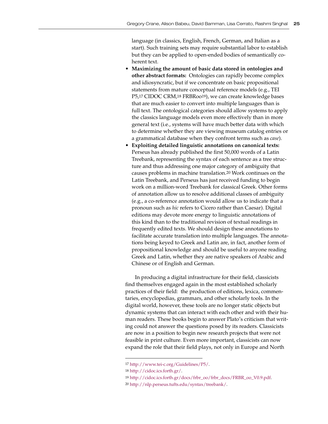language (in classics, English, French, German, and Italian as a start). Such training sets may require substantial labor to establish but they can be applied to open-ended bodies of semantically coherent text.

- **Maximizing the amount of basic data stored in ontologies and other abstract formats:** Ontologies can rapidly become complex and idiosyncratic, but if we concentrate on basic propositional statements from mature conceptual reference models (e.g., TEI P5,17 CIDOC CRM,18 FRBRoo19), we can create knowledge bases that are much easier to convert into multiple languages than is full text. The ontological categories should allow systems to apply the classics language models even more effectively than in more general text (i.e., systems will have much better data with which to determine whether they are viewing museum catalog entries or a grammatical database when they confront terms such as *case*).
- **Exploiting detailed linguistic annotations on canonical texts:** Perseus has already published the first 50,000 words of a Latin Treebank, representing the syntax of each sentence as a tree structure and thus addressing one major category of ambiguity that causes problems in machine translation.20 Work continues on the Latin Treebank, and Perseus has just received funding to begin work on a million-word Treebank for classical Greek. Other forms of annotation allow us to resolve additional classes of ambiguity (e.g., a co-reference annotation would allow us to indicate that a pronoun such as *hic* refers to Cicero rather than Caesar). Digital editions may devote more energy to linguistic annotations of this kind than to the traditional revision of textual readings in frequently edited texts. We should design these annotations to facilitate accurate translation into multiple languages. The annotations being keyed to Greek and Latin are, in fact, another form of propositional knowledge and should be useful to anyone reading Greek and Latin, whether they are native speakers of Arabic and Chinese or of English and German.

In producing a digital infrastructure for their field, classicists find themselves engaged again in the most established scholarly practices of their field: the production of editions, lexica, commentaries, encyclopedias, grammars, and other scholarly tools. In the digital world, however, these tools are no longer static objects but dynamic systems that can interact with each other and with their human readers. These books begin to answer Plato's criticism that writing could not answer the questions posed by its readers. Classicists are now in a position to begin new research projects that were not feasible in print culture. Even more important, classicists can now expand the role that their field plays, not only in Europe and North

<sup>17</sup> [http://www.tei-c.org/Guidelines/P5/.](http://www.tei-c.org/Guidelines/P5/)

<sup>18</sup> <http://cidoc.ics.forth.gr/>.

<sup>19</sup> [http://cidoc.ics.forth.gr/docs/frbr\\_oo/frbr\\_docs/FRBR\\_oo\\_V0.9.pdf.](http://cidoc.ics.forth.gr/docs/frbr_oo/frbr_docs/FRBR_oo_V0.9.pdf)

<sup>20</sup> [http://nlp.perseus.tufts.edu/syntax/treebank/.](http://nlp.perseus.tufts.edu/syntax/treebank/)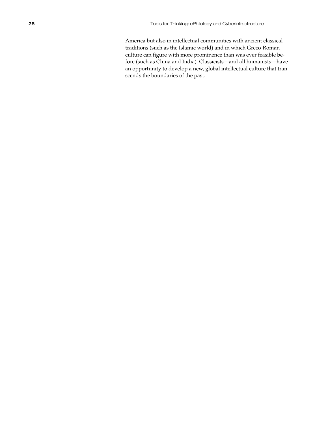America but also in intellectual communities with ancient classical traditions (such as the Islamic world) and in which Greco-Roman culture can figure with more prominence than was ever feasible before (such as China and India). Classicists—and all humanists—have an opportunity to develop a new, global intellectual culture that transcends the boundaries of the past.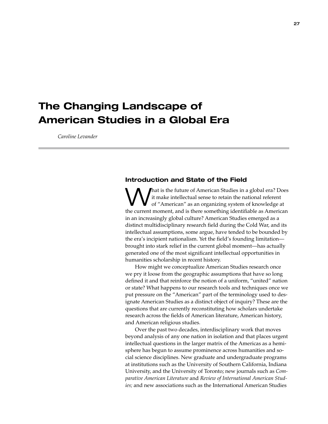# The Changing Landscape of American Studies in a Global Era

 *Caroline Levander*

# Introduction and State of the Field

What is the future of American Studies in a global era? Does<br>it make intellectual sense to retain the national referent<br>of "American" as an organizing system of knowledge at it make intellectual sense to retain the national referent of "American" as an organizing system of knowledge at the current moment, and is there something identifiable as American in an increasingly global culture? American Studies emerged as a distinct multidisciplinary research field during the Cold War, and its intellectual assumptions, some argue, have tended to be bounded by the era's incipient nationalism. Yet the field's founding limitation brought into stark relief in the current global moment—has actually generated one of the most significant intellectual opportunities in humanities scholarship in recent history.

How might we conceptualize American Studies research once we pry it loose from the geographic assumptions that have so long defined it and that reinforce the notion of a uniform, "united" nation or state? What happens to our research tools and techniques once we put pressure on the "American" part of the terminology used to designate American Studies as a distinct object of inquiry? These are the questions that are currently reconstituting how scholars undertake research across the fields of American literature, American history, and American religious studies.

Over the past two decades, interdisciplinary work that moves beyond analysis of any one nation in isolation and that places urgent intellectual questions in the larger matrix of the Americas as a hemisphere has begun to assume prominence across humanities and social science disciplines. New graduate and undergraduate programs at institutions such as the University of Southern California, Indiana University, and the University of Toronto; new journals such as *Comparative American Literature* and *Review of International American Studies;* and new associations such as the International American Studies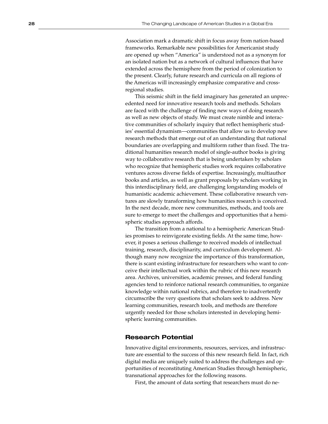Association mark a dramatic shift in focus away from nation-based frameworks. Remarkable new possibilities for Americanist study are opened up when "America" is understood not as a synonym for an isolated nation but as a network of cultural influences that have extended across the hemisphere from the period of colonization to the present. Clearly, future research and curricula on all regions of the Americas will increasingly emphasize comparative and crossregional studies.

This seismic shift in the field imaginary has generated an unprec edented need for innovative research tools and methods. Scholars are faced with the challenge of finding new ways of doing research as well as new objects of study. We must create nimble and interac tive communities of scholarly inquiry that reflect hemispheric stud ies' essential dynamism—communities that allow us to develop new research methods that emerge out of an understanding that national boundaries are overlapping and multiform rather than fixed. The tra ditional humanities research model of single-author books is giving way to collaborative research that is being undertaken by scholars who recognize that hemispheric studies work requires collaborative ventures across diverse fields of expertise. Increasingly, multiauthor books and articles, as well as grant proposals by scholars working in this interdisciplinary field, are challenging longstanding models of humanistic academic achievement. These collaborative research ven tures are slowly transforming how humanities research is conceived. In the next decade, more new communities, methods, and tools are sure to emerge to meet the challenges and opportunities that a hemi spheric studies approach affords.

The transition from a national to a hemispheric American Stud ies promises to reinvigorate existing fields. At the same time, how ever, it poses a serious challenge to received models of intellectual training, research, disciplinarity, and curriculum development. Al though many now recognize the importance of this transformation, there is scant existing infrastructure for researchers who want to con ceive their intellectual work within the rubric of this new research area. Archives, universities, academic presses, and federal funding agencies tend to reinforce national research communities, to organize knowledge within national rubrics, and therefore to inadvertently circumscribe the very questions that scholars seek to address. New learning communities, research tools, and methods are therefore urgently needed for those scholars interested in developing hemi spheric learning communities.

# Research Potential

Innovative digital environments, resources, services, and infrastruc ture are essential to the success of this new research field. In fact, rich digital media are uniquely suited to address the challenges and op portunities of reconstituting American Studies through hemispheric, transnational approaches for the following reasons.

First, the amount of data sorting that researchers must do ne -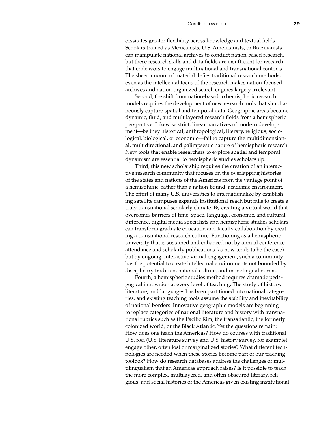cessitates greater flexibility across knowledge and textual fields. Scholars trained as Mexicanists, U.S. Americanists, or Brazilianists can manipulate national archives to conduct nation-based research, but these research skills and data fields are insufficient for research that endeavors to engage multinational and transnational contexts. The sheer amount of material defies traditional research methods, even as the intellectual focus of the research makes nation-focused archives and nation-organized search engines largely irrelevant.

Second, the shift from nation-based to hemispheric research models requires the development of new research tools that simultaneously capture spatial and temporal data. Geographic areas become dynamic, fluid, and multilayered research fields from a hemispheric perspective. Likewise strict, linear narratives of modern development—be they historical, anthropological, literary, religious, sociological, biological, or economic—fail to capture the multidimensional, multidirectional, and palimpsestic nature of hemispheric research. New tools that enable researchers to explore spatial and temporal dynamism are essential to hemispheric studies scholarship.

Third, this new scholarship requires the creation of an interactive research community that focuses on the overlapping histories of the states and nations of the Americas from the vantage point of a hemispheric, rather than a nation-bound, academic environment. The effort of many U.S. universities to internationalize by establishing satellite campuses expands institutional reach but fails to create a truly transnational scholarly climate. By creating a virtual world that overcomes barriers of time, space, language, economic, and cultural difference, digital media specialists and hemispheric studies scholars can transform graduate education and faculty collaboration by creating a transnational research culture. Functioning as a hemispheric university that is sustained and enhanced not by annual conference attendance and scholarly publications (as now tends to be the case) but by ongoing, interactive virtual engagement, such a community has the potential to create intellectual environments not bounded by disciplinary tradition, national culture, and monolingual norms.

Fourth, a hemispheric studies method requires dramatic pedagogical innovation at every level of teaching. The study of history, literature, and languages has been partitioned into national categories, and existing teaching tools assume the stability and inevitability of national borders. Innovative geographic models are beginning to replace categories of national literature and history with transnational rubrics such as the Pacific Rim, the transatlantic, the formerly colonized world, or the Black Atlantic. Yet the questions remain: How does one teach the Americas? How do courses with traditional U.S. foci (U.S. literature survey and U.S. history survey, for example) engage other, often lost or marginalized stories? What different technologies are needed when these stories become part of our teaching toolbox? How do research databases address the challenges of multilingualism that an Americas approach raises? Is it possible to teach the more complex, multilayered, and often-obscured literary, religious, and social histories of the Americas given existing institutional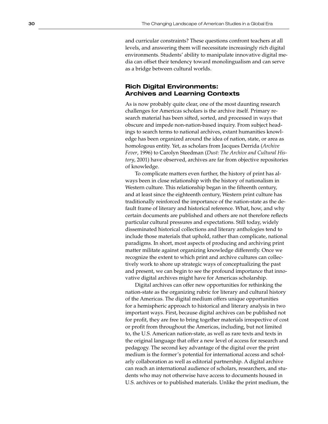and curricular constraints? These questions confront teachers at all levels, and answering them will necessitate increasingly rich digital environments. Students' ability to manipulate innovative digital me dia can offset their tendency toward monolingualism and can serve as a bridge between cultural worlds.

# Rich Digital Environments: Archives and Learning Contexts

As is now probably quite clear, one of the most daunting research challenges for Americas scholars is the archive itself. Primary re search material has been sifted, sorted, and processed in ways that obscure and impede non-nation-based inquiry. From subject head ings to search terms to national archives, extant humanities knowl edge has been organized around the idea of nation, state, or area as homologous entity. Yet, as scholars from Jacques Derrida (*Archive Fever*, 1996) to Carolyn Steedman (*Dust: The Archive and Cultural His tory*, 2001) have observed, archives are far from objective repositories of knowledge.

To complicate matters even further, the history of print has al ways been in close relationship with the history of nationalism in Western culture. This relationship began in the fifteenth century, and at least since the eighteenth century, Western print culture has traditionally reinforced the importance of the nation-state as the de fault frame of literary and historical reference. What, how, and why certain documents are published and others are not therefore reflects particular cultural pressures and expectations. Still today, widely disseminated historical collections and literary anthologies tend to include those materials that uphold, rather than complicate, national paradigms. In short, most aspects of producing and archiving print matter militate against organizing knowledge differently. Once we recognize the extent to which print and archive cultures can collec tively work to shore up strategic ways of conceptualizing the past and present, we can begin to see the profound importance that inno vative digital archives might have for Americas scholarship.

Digital archives can offer new opportunities for rethinking the nation-state as the organizing rubric for literary and cultural history of the Americas. The digital medium offers unique opportunities for a hemispheric approach to historical and literary analysis in two important ways. First, because digital archives can be published not for profit, they are free to bring together materials irrespective of cost or profit from throughout the Americas, including, but not limited to, the U.S. American nation-state, as well as rare texts and texts in the original language that offer a new level of access for research and pedagogy. The second key advantage of the digital over the print medium is the former's potential for international access and schol arly collaboration as well as editorial partnership. A digital archive can reach an international audience of scholars, researchers, and stu dents who may not otherwise have access to documents housed in U.S. archives or to published materials. Unlike the print medium, the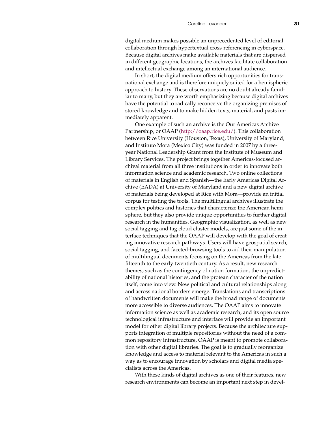digital medium makes possible an unprecedented level of editorial collaboration through hypertextual cross-referencing in cyberspace. Because digital archives make available materials that are dispersed in different geographic locations, the archives facilitate collaboration and intellectual exchange among an international audience.

In short, the digital medium offers rich opportunities for transnational exchange and is therefore uniquely suited for a hemispheric approach to history. These observations are no doubt already familiar to many, but they are worth emphasizing because digital archives have the potential to radically reconceive the organizing premises of stored knowledge and to make hidden texts, material, and pasts immediately apparent.

One example of such an archive is the Our Americas Archive Partnership, or OAAP (<http://oaap.rice.edu/>). This collaboration between Rice University (Houston, Texas), University of Maryland, and Instituto Mora (Mexico City) was funded in 2007 by a threeyear National Leadership Grant from the Institute of Museum and Library Services. The project brings together Americas-focused archival material from all three institutions in order to innovate both information science and academic research. Two online collections of materials in English and Spanish—the Early Americas Digital Archive (EADA) at University of Maryland and a new digital archive of materials being developed at Rice with Mora—provide an initial corpus for testing the tools. The multilingual archives illustrate the complex politics and histories that characterize the American hemisphere, but they also provide unique opportunities to further digital research in the humanities. Geographic visualization, as well as new social tagging and tag cloud cluster models, are just some of the interface techniques that the OAAP will develop with the goal of creating innovative research pathways. Users will have geospatial search, social tagging, and faceted-browsing tools to aid their manipulation of multilingual documents focusing on the Americas from the late fifteenth to the early twentieth century. As a result, new research themes, such as the contingency of nation formation, the unpredictability of national histories, and the protean character of the nation itself, come into view. New political and cultural relationships along and across national borders emerge. Translations and transcriptions of handwritten documents will make the broad range of documents more accessible to diverse audiences. The OAAP aims to innovate information science as well as academic research, and its open source technological infrastructure and interface will provide an important model for other digital library projects. Because the architecture supports integration of multiple repositories without the need of a common repository infrastructure, OAAP is meant to promote collaboration with other digital libraries. The goal is to gradually reorganize knowledge and access to material relevant to the Americas in such a way as to encourage innovation by scholars and digital media specialists across the Americas.

With these kinds of digital archives as one of their features, new research environments can become an important next step in devel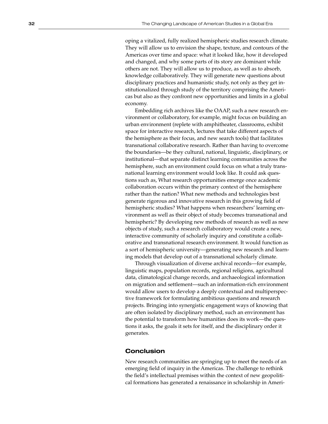oping a vitalized, fully realized hemispheric studies research climate. They will allow us to envision the shape, texture, and contours of the Americas over time and space: what it looked like, how it developed and changed, and why some parts of its story are dominant while others are not. They will allow us to produce, as well as to absorb, knowledge collaboratively. They will generate new questions about disciplinary practices and humanistic study, not only as they get in stitutionalized through study of the territory comprising the Ameri cas but also as they confront new opportunities and limits in a global economy.

Embedding rich archives like the OAAP, such a new research en vironment or collaboratory, for example, might focus on building an urban environment (replete with amphitheater, classrooms, exhibit space for interactive research, lectures that take different aspects of the hemisphere as their focus, and new search tools) that facilitates transnational collaborative research. Rather than having to overcome the boundaries—be they cultural, national, linguistic, disciplinary, or institutional—that separate distinct learning communities across the hemisphere, such an environment could focus on what a truly trans national learning environment would look like. It could ask ques tions such as, What research opportunities emerge once academic collaboration occurs within the primary context of the hemisphere rather than the nation? What new methods and technologies best generate rigorous and innovative research in this growing field of hemispheric studies? What happens when researchers' learning en vironment as well as their object of study becomes transnational and hemispheric? By developing new methods of research as well as new objects of study, such a research collaboratory would create a new, interactive community of scholarly inquiry and constitute a collab orative and transnational research environment. It would function as a sort of hemispheric university—generating new research and learn ing models that develop out of a transnational scholarly climate.

Through visualization of diverse archival records—for example, linguistic maps, population records, regional religions, agricultural data, climatological change records, and archaeological information on migration and settlement—such an information-rich environment would allow users to develop a deeply contextual and multiperspec tive framework for formulating ambitious questions and research projects. Bringing into synergistic engagement ways of knowing that are often isolated by disciplinary method, such an environment has the potential to transform how humanities does its work—the ques tions it asks, the goals it sets for itself, and the disciplinary order it generates.

# Conclusion

New research communities are springing up to meet the needs of an emerging field of inquiry in the Americas. The challenge to rethink the field's intellectual premises within the context of new geopoliti cal formations has generated a renaissance in scholarship in Ameri -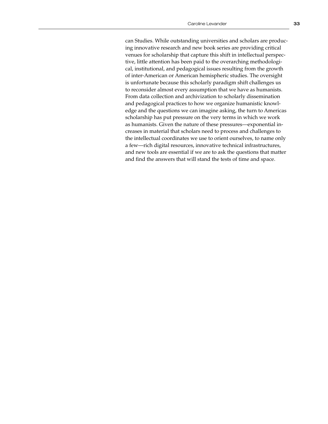can Studies. While outstanding universities and scholars are producing innovative research and new book series are providing critical venues for scholarship that capture this shift in intellectual perspective, little attention has been paid to the overarching methodological, institutional, and pedagogical issues resulting from the growth of inter-American or American hemispheric studies. The oversight is unfortunate because this scholarly paradigm shift challenges us to reconsider almost every assumption that we have as humanists. From data collection and archivization to scholarly dissemination and pedagogical practices to how we organize humanistic knowledge and the questions we can imagine asking, the turn to Americas scholarship has put pressure on the very terms in which we work as humanists. Given the nature of these pressures—exponential increases in material that scholars need to process and challenges to the intellectual coordinates we use to orient ourselves, to name only a few—rich digital resources, innovative technical infrastructures, and new tools are essential if we are to ask the questions that matter and find the answers that will stand the tests of time and space.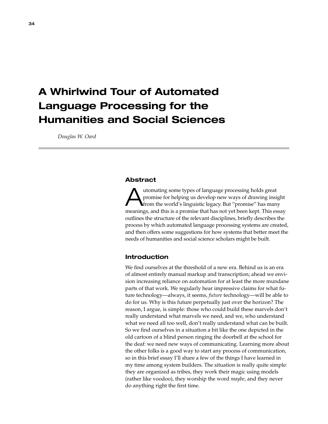# A Whirlwind Tour of Automated Language Processing for the Humanities and Social Sciences

 *Douglas W. Oard*

# Abstract

Automating some types of language processing holds great<br>
from the world's linguistic legacy. But "promise" has many promise for helping us develop new ways of drawing insight meanings, and this is a promise that has not yet been kept. This essay outlines the structure of the relevant disciplines, briefly describes the process by which automated language processing systems are created, and then offers some suggestions for how systems that better meet the needs of humanities and social science scholars might be built.

## Introduction

We find ourselves at the threshold of a new era. Behind us is an era of almost entirely manual markup and transcription; ahead we envision increasing reliance on automation for at least the more mundane parts of that work. We regularly hear impressive claims for what future technology—always, it seems, *future* technology—will be able to do for us. Why is this future perpetually just over the horizon? The reason, I argue, is simple: those who could build these marvels don't really understand what marvels we need, and we, who understand what we need all too well, don't really understand what can be built. So we find ourselves in a situation a bit like the one depicted in the old cartoon of a blind person ringing the doorbell at the school for the deaf: we need new ways of communicating. Learning more about the other folks is a good way to start any process of communication, so in this brief essay I'll share a few of the things I have learned in my time among system builders. The situation is really quite simple: they are organized as tribes, they work their magic using models (rather like voodoo), they worship the word *maybe*, and they never do anything right the first time.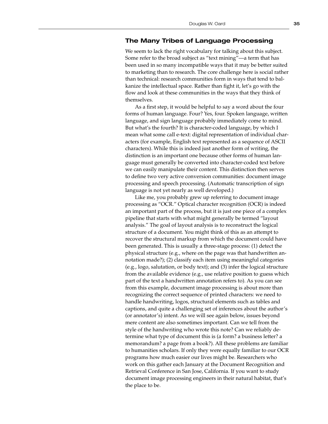#### The Many Tribes of Language Processing

We seem to lack the right vocabulary for talking about this subject. Some refer to the broad subject as "text mining"—a term that has been used in so many incompatible ways that it may be better suited to marketing than to research. The core challenge here is social rather than technical: research communities form in ways that tend to balkanize the intellectual space. Rather than fight it, let's go with the flow and look at these communities in the ways that they think of themselves.

As a first step, it would be helpful to say a word about the four forms of human language. Four? Yes, four. Spoken language, written language, and sign language probably immediately come to mind. But what's the fourth? It is character-coded language, by which I mean what some call e-text: digital representation of individual characters (for example, English text represented as a sequence of ASCII characters). While this is indeed just another form of writing, the distinction is an important one because other forms of human language must generally be converted into character-coded text before we can easily manipulate their content. This distinction then serves to define two very active conversion communities: document image processing and speech processing. (Automatic transcription of sign language is not yet nearly as well developed.)

Like me, you probably grew up referring to document image processing as "OCR." Optical character recognition (OCR) is indeed an important part of the process, but it is just one piece of a complex pipeline that starts with what might generally be termed "layout analysis." The goal of layout analysis is to reconstruct the logical structure of a document. You might think of this as an attempt to recover the structural markup from which the document could have been generated. This is usually a three-stage process: (1) detect the physical structure (e.g., where on the page was that handwritten annotation made?); (2) classify each item using meaningful categories (e.g., logo, salutation, or body text); and (3) infer the logical structure from the available evidence (e.g., use relative position to guess which part of the text a handwritten annotation refers to). As you can see from this example, document image processing is about more than recognizing the correct sequence of printed characters: we need to handle handwriting, logos, structural elements such as tables and captions, and quite a challenging set of inferences about the author's (or annotator's) intent. As we will see again below, issues beyond mere content are also sometimes important. Can we tell from the style of the handwriting who wrote this note? Can we reliably determine what type of document this is (a form? a business letter? a memorandum? a page from a book?). All these problems are familiar to humanities scholars. If only they were equally familiar to our OCR programs how much easier our lives might be. Researchers who work on this gather each January at the Document Recognition and Retrieval Conference in San Jose, California. If you want to study document image processing engineers in their natural habitat, that's the place to be.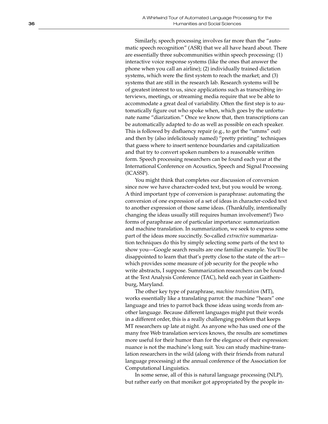Similarly, speech processing involves far more than the "auto matic speech recognition" (ASR) that we all have heard about. There are essentially three subcommunities within speech processing: (1) interactive voice response systems (like the ones that answer the phone when you call an airline); (2) individually trained dictation systems, which were the first system to reach the market; and (3) systems that are still in the research lab. Research systems will be of greatest interest to us, since applications such as transcribing in terviews, meetings, or streaming media require that we be able to accommodate a great deal of variability. Often the first step is to au tomatically figure out who spoke when, which goes by the unfortu nate name "diarization." Once we know that, then transcriptions can be automatically adapted to do as well as possible on each speaker. This is followed by disfluency repair (e.g., to get the "umms" out) and then by (also infelicitously named) "pretty printing" techniques that guess where to insert sentence boundaries and capitalization and that try to convert spoken numbers to a reasonable written form. Speech processing researchers can be found each year at the International Conference on Acoustics, Speech and Signal Processing (ICASSP).

You might think that completes our discussion of conversion since now we have character-coded text, but you would be wrong. A third important type of conversion is paraphrase: automating the conversion of one expression of a set of ideas in character-coded text to another expression of those same ideas. (Thankfully, intentionally changing the ideas usually still requires human involvement!) Two forms of paraphrase are of particular importance: summarization and machine translation. In summarization, we seek to express some part of the ideas more succinctly. So-called *extractive* summariza tion techniques do this by simply selecting some parts of the text to show you—Google search results are one familiar example. You'll be disappointed to learn that that's pretty close to the state of the art which provides some measure of job security for the people who write abstracts, I suppose. Summarization researchers can be found at the Text Analysis Conference (TAC), held each year in Gaithers burg, Maryland.

The other key type of paraphrase, *machine translation* (MT), works essentially like a translating parrot: the machine "hears" one language and tries to parrot back those ideas using words from an other language. Because different languages might put their words in a different order, this is a really challenging problem that keeps MT researchers up late at night. As anyone who has used one of the many free Web translation services knows, the results are sometimes more useful for their humor than for the elegance of their expression: nuance is not the machine's long suit. You can study machine-trans lation researchers in the wild (along with their friends from natural language processing) at the annual conference of the Association for Computational Linguistics.

In some sense, all of this is natural language processing (NLP), but rather early on that moniker got appropriated by the people in -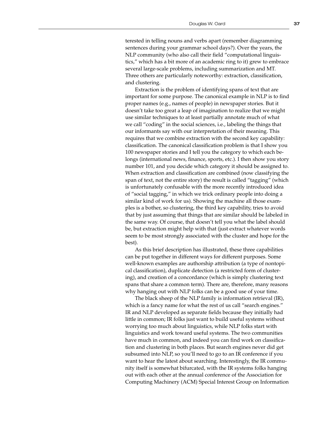terested in telling nouns and verbs apart (remember diagramming sentences during your grammar school days?). Over the years, the NLP community (who also call their field "computational linguistics," which has a bit more of an academic ring to it) grew to embrace several large-scale problems, including summarization and MT. Three others are particularly noteworthy: extraction, classification, and clustering.

Extraction is the problem of identifying spans of text that are important for some purpose. The canonical example in NLP is to find proper names (e.g., names of people) in newspaper stories. But it doesn't take too great a leap of imagination to realize that we might use similar techniques to at least partially annotate much of what we call "coding" in the social sciences, i.e., labeling the things that our informants say with our interpretation of their meaning. This requires that we combine extraction with the second key capability: classification. The canonical classification problem is that I show you 100 newspaper stories and I tell you the category to which each belongs (international news, finance, sports, etc.). I then show you story number 101, and you decide which category it should be assigned to. When extraction and classification are combined (now classifying the span of text, not the entire story) the result is called "tagging" (which is unfortunately confusable with the more recently introduced idea of "social tagging," in which we trick ordinary people into doing a similar kind of work for us). Showing the machine all those examples is a bother, so clustering, the third key capability, tries to avoid that by just assuming that things that are similar should be labeled in the same way. Of course, that doesn't tell you what the label should be, but extraction might help with that (just extract whatever words seem to be most strongly associated with the cluster and hope for the best).

As this brief description has illustrated, these three capabilities can be put together in different ways for different purposes. Some well-known examples are authorship attribution (a type of nontopical classification), duplicate detection (a restricted form of clustering), and creation of a concordance (which is simply clustering text spans that share a common term). There are, therefore, many reasons why hanging out with NLP folks can be a good use of your time.

The black sheep of the NLP family is information retrieval (IR), which is a fancy name for what the rest of us call "search engines." IR and NLP developed as separate fields because they initially had little in common; IR folks just want to build useful systems without worrying too much about linguistics, while NLP folks start with linguistics and work toward useful systems. The two communities have much in common, and indeed you can find work on classification and clustering in both places. But search engines never did get subsumed into NLP, so you'll need to go to an IR conference if you want to hear the latest about searching. Interestingly, the IR community itself is somewhat bifurcated, with the IR systems folks hanging out with each other at the annual conference of the Association for Computing Machinery (ACM) Special Interest Group on Information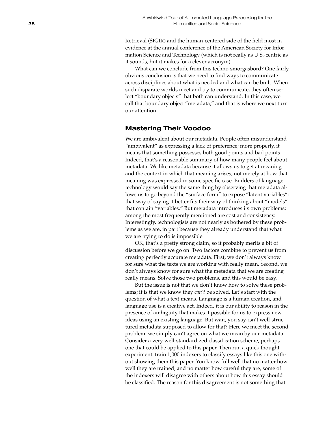Retrieval (SIGIR) and the human-centered side of the field most in evidence at the annual conference of the American Society for Infor mation Science and Technology (which is not really as U.S.-centric as it sounds, but it makes for a clever acronym).

What can we conclude from this techno-smorgasbord? One fairly obvious conclusion is that we need to find ways to communicate across disciplines about what is needed and what can be built. When such disparate worlds meet and try to communicate, they often se lect "boundary objects" that both can understand. In this case, we call that boundary object "metadata," and that is where we next turn our attention.

# Mastering Their Voodoo

We are ambivalent about our metadata. People often misunderstand "ambivalent" as expressing a lack of preference; more properly, it means that something possesses both good points and bad points. Indeed, that's a reasonable summary of how many people feel about metadata. We like metadata because it allows us to get at meaning and the context in which that meaning arises, not merely at how that meaning was expressed in some specific case. Builders of language technology would say the same thing by observing that metadata al lows us to go beyond the "surface form" to expose "latent variables": that way of saying it better fits their way of thinking about "models" that contain "variables." But metadata introduces its own problems; among the most frequently mentioned are cost and consistency. Interestingly, technologists are not nearly as bothered by these prob lems as we are, in part because they already understand that what we are trying to do is impossible.

OK, that's a pretty strong claim, so it probably merits a bit of discussion before we go on. Two factors combine to prevent us from creating perfectly accurate metadata. First, we don't always know for sure what the texts we are working with really mean. Second, we don't always know for sure what the metadata that we are creating really means. Solve those two problems, and this would be easy.

But the issue is not that we don't know how to solve these prob lems; it is that we know they *can't* be solved. Let's start with the question of what a text means. Language is a human creation, and language use is a creative act. Indeed, it is our ability to reason in the presence of ambiguity that makes it possible for us to express new ideas using an existing language. But wait, you say, isn't well-struc tured metadata supposed to allow for that? Here we meet the second problem: we simply can't agree on what we mean by our metadata. Consider a very well-standardized classification scheme, perhaps one that could be applied to this paper. Then run a quick thought experiment: train 1,000 indexers to classify essays like this one with out showing them this paper. You know full well that no matter how well they are trained, and no matter how careful they are, some of the indexers will disagree with others about how this essay should be classified. The reason for this disagreement is not something that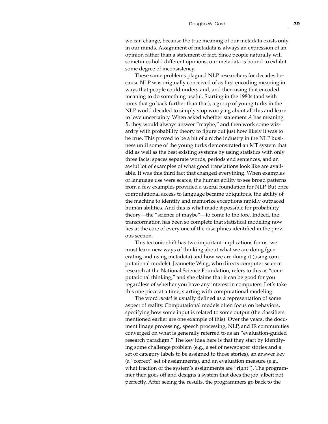we can change, because the true meaning of our metadata exists only in our minds. Assignment of metadata is always an expression of an opinion rather than a statement of fact. Since people naturally will sometimes hold different opinions, our metadata is bound to exhibit some degree of inconsistency.

These same problems plagued NLP researchers for decades because NLP was originally conceived of as first encoding meaning in ways that people could understand, and then using that encoded meaning to do something useful. Starting in the 1980s (and with roots that go back further than that), a group of young turks in the NLP world decided to simply stop worrying about all this and learn to love uncertainty. When asked whether statement *A* has meaning *B*, they would always answer "maybe," and then work some wizardry with probability theory to figure out just how likely it was to be true. This proved to be a bit of a niche industry in the NLP business until some of the young turks demonstrated an MT system that did as well as the best existing systems by using statistics with only three facts: spaces separate words, periods end sentences, and an awful lot of examples of what good translations look like are available. It was this third fact that changed everything. When examples of language use were scarce, the human ability to see broad patterns from a few examples provided a useful foundation for NLP. But once computational access to language became ubiquitous, the ability of the machine to identify and memorize exceptions rapidly outpaced human abilities. And this is what made it possible for probability theory—the "science of maybe"—to come to the fore. Indeed, the transformation has been so complete that statistical modeling now lies at the core of every one of the disciplines identified in the previous section.

This tectonic shift has two important implications for us: we must learn new ways of thinking about what we are doing (generating and using metadata) and how we are doing it (using computational models). Jeannette Wing, who directs computer science research at the National Science Foundation, refers to this as "computational thinking," and she claims that it can be good for you regardless of whether you have any interest in computers. Let's take this one piece at a time, starting with computational modeling.

The word *model* is usually defined as a representation of some aspect of reality. Computational models often focus on behaviors, specifying how some input is related to some output (the classifiers mentioned earlier are one example of this). Over the years, the document image processing, speech processing, NLP, and IR communities converged on what is generally referred to as an "evaluation-guided research paradigm." The key idea here is that they start by identifying some challenge problem (e.g., a set of newspaper stories and a set of category labels to be assigned to those stories), an answer key (a "correct" set of assignments), and an evaluation measure (e.g., what fraction of the system's assignments are "right"). The programmer then goes off and designs a system that does the job, albeit not perfectly. After seeing the results, the programmers go back to the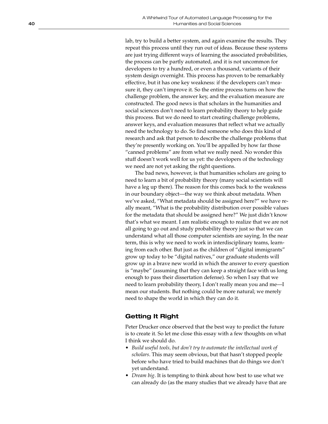lab, try to build a better system, and again examine the results. They repeat this process until they run out of ideas. Because these systems are just trying different ways of learning the associated probabilities, the process can be partly automated, and it is not uncommon for developers to try a hundred, or even a thousand, variants of their system design overnight. This process has proven to be remarkably effective, but it has one key weakness: if the developers can't mea sure it, they can't improve it. So the entire process turns on how the challenge problem, the answer key, and the evaluation measure are constructed. The good news is that scholars in the humanities and social sciences don't need to learn probability theory to help guide this process. But we do need to start creating challenge problems, answer keys, and evaluation measures that reflect what we actually need the technology to do. So find someone who does this kind of research and ask that person to describe the challenge problems that they're presently working on. You'll be appalled by how far those "canned problems" are from what we really need. No wonder this stuff doesn't work well for us yet: the developers of the technology we need are not yet asking the right questions.

The bad news, however, is that humanities scholars are going to need to learn a bit of probability theory (many social scientists will have a leg up there). The reason for this comes back to the weakness in our boundary object—the way we think about metadata. When we've asked, "What metadata should be assigned here?" we have re ally meant, "What is the probability distribution over possible values for the metadata that should be assigned here?" We just didn't know that's what we meant. I am realistic enough to realize that we are not all going to go out and study probability theory just so that we can understand what all those computer scientists are saying. In the near term, this is why we need to work in interdisciplinary teams, learn ing from each other. But just as the children of "digital immigrants" grow up today to be "digital natives," our graduate students will grow up in a brave new world in which the answer to every question is "maybe" (assuming that they can keep a straight face with us long enough to pass their dissertation defense). So when I say that we need to learn probability theory, I don't really mean you and me—I mean our students. But nothing could be more natural; we merely need to shape the world in which they can do it.

# Getting It Right

Peter Drucker once observed that the best way to predict the future is to create it. So let me close this essay with a few thoughts on what I think we should do.

- • *Build useful tools, but don't try to automate the intellectual work of scholars*. This may seem obvious, but that hasn't stopped people before who have tried to build machines that do things we don't yet understand.
- *Dream big*. It is tempting to think about how best to use what we can already do (as the many studies that we already have that are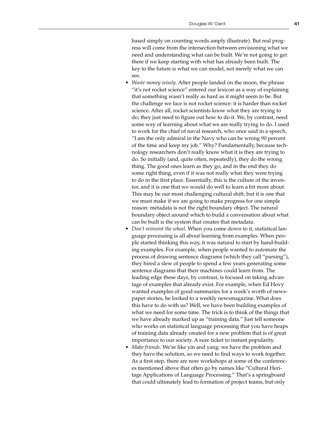based simply on counting words amply illustrate). But real progress will come from the intersection between envisioning what we need and understanding what can be built. We're not going to get there if we keep starting with what has already been built. The key to the future is what we can model, not merely what we can see.

- *Waste money wisely.* After people landed on the moon, the phrase "it's not rocket science" entered our lexicon as a way of explaining that something wasn't really as hard as it might seem to be. But the challenge we face is not rocket science: it is harder than rocket science. After all, rocket scientists know what they are trying to do; they just need to figure out how to do it. We, by contrast, need some way of learning about what we are really trying to do. I used to work for the chief of naval research, who once said in a speech, "I am the only admiral in the Navy who can be wrong 90 percent of the time and keep my job." Why? Fundamentally, because technology researchers don't really know what it is they are trying to do. So initially (and, quite often, repeatedly), they do the wrong thing. The good ones learn as they go, and in the end they do some right thing, even if it was not really what they were trying to do in the first place. Essentially, this is the culture of the inventor, and it is one that we would do well to learn a bit more about. This may be our most challenging cultural shift, but it is one that we must make if we are going to make progress for one simple reason: metadata is not the right boundary object. The natural boundary object around which to build a conversation about what can be built is the system that creates that metadata.
- *Don't reinvent the wheel*. When you come down to it, statistical language processing is all about learning from examples. When people started thinking this way, it was natural to start by hand-building examples. For example, when people wanted to automate the process of drawing sentence diagrams (which they call "parsing"), they hired a slew of people to spend a few years generating some sentence diagrams that their machines could learn from. The leading edge these days, by contrast, is focused on taking advantage of examples that already exist. For example, when Ed Hovy wanted examples of good summaries for a week's worth of newspaper stories, he looked to a weekly newsmagazine. What does this have to do with us? Well, we have been building examples of what we need for some time. The trick is to think of the things that we have already marked up as "training data." Just tell someone who works on statistical language processing that you have heaps of training data already created for a new problem that is of great importance to our society. A sure ticket to instant popularity.
- *Make friends*. We're like yin and yang: we have the problem and they have the solution, so we need to find ways to work together. As a first step, there are now workshops at some of the conferences mentioned above that often go by names like "Cultural Heritage Applications of Language Processing." That's a springboard that could ultimately lead to formation of project teams, but only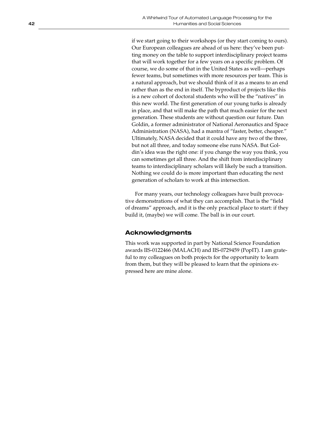if we start going to their workshops (or they start coming to ours). Our European colleagues are ahead of us here: they've been put ting money on the table to support interdisciplinary project teams that will work together for a few years on a specific problem. Of course, we do some of that in the United States as well—perhaps fewer teams, but sometimes with more resources per team. This is a natural approach, but we should think of it as a means to an end rather than as the end in itself. The byproduct of projects like this is a new cohort of doctoral students who will be the "natives" in this new world. The first generation of our young turks is already in place, and that will make the path that much easier for the next generation. These students are without question our future. Dan Goldin, a former administrator of National Aeronautics and Space Administration (NASA), had a mantra of "faster, better, cheaper." Ultimately, NASA decided that it could have any two of the three, but not all three, and today someone else runs NASA. But Gol din's idea was the right one: if you change the way you think, you can sometimes get all three. And the shift from interdisciplinary teams to interdisciplinary scholars will likely be such a transition. Nothing we could do is more important than educating the next generation of scholars to work at this intersection.

For many years, our technology colleagues have built provoca tive demonstrations of what they can accomplish. That is the "field of dreams" approach, and it is the only practical place to start: if they build it, (maybe) we will come. The ball is in our court.

# Acknowledgments

This work was supported in part by National Science Foundation awards IIS-0122466 (MALACH) and IIS-0729459 (PopIT). I am grate ful to my colleagues on both projects for the opportunity to learn from them, but they will be pleased to learn that the opinions ex pressed here are mine alone.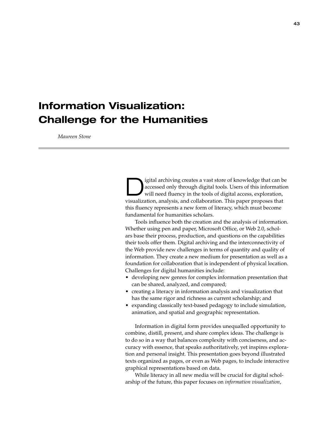# Information Visualization: Challenge for the Humanities

 *Maureen Stone*

Digital archiving creates a vast store of knowledge that can be will need fluency in the tools of digital access, exploration, accessed only through digital tools. Users of this information visualization, analysis, and collaboration. This paper proposes that this fluency represents a new form of literacy, which must become fundamental for humanities scholars.

Tools influence both the creation and the analysis of information. Whether using pen and paper, Microsoft Office, or Web 2.0, scholars base their process, production, and questions on the capabilities their tools offer them. Digital archiving and the interconnectivity of the Web provide new challenges in terms of quantity and quality of information. They create a new medium for presentation as well as a foundation for collaboration that is independent of physical location. Challenges for digital humanities include:

- developing new genres for complex information presentation that can be shared, analyzed, and compared;
- • creating a literacy in information analysis and visualization that has the same rigor and richness as current scholarship; and
- expanding classically text-based pedagogy to include simulation, animation, and spatial and geographic representation.

Information in digital form provides unequalled opportunity to combine, distill, present, and share complex ideas. The challenge is to do so in a way that balances complexity with conciseness, and accuracy with essence, that speaks authoritatively, yet inspires exploration and personal insight. This presentation goes beyond illustrated texts organized as pages, or even as Web pages, to include interactive graphical representations based on data.

While literacy in all new media will be crucial for digital scholarship of the future, this paper focuses on *information visualization*,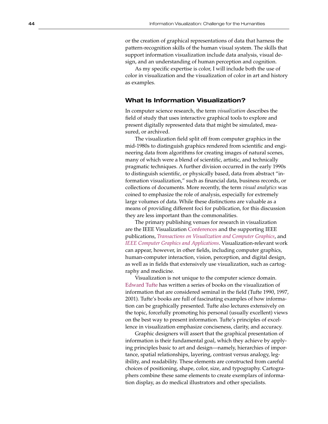or the creation of graphical representations of data that harness the pattern-recognition skills of the human visual system. The skills that support information visualization include data analysis, visual de sign, and an understanding of human perception and cognition.

As my specific expertise is color, I will include both the use of color in visualization and the visualization of color in art and history as examples.

## What Is Information Visualization?

In computer science research, the term *visualization* describes the field of study that uses interactive graphical tools to explore and present digitally represented data that might be simulated, mea sured, or archived.

The visualization field split off from computer graphics in the mid-1980s to distinguish graphics rendered from scientific and engi neering data from algorithms for creating images of natural scenes, many of which were a blend of scientific, artistic, and technically pragmatic techniques. A further division occurred in the early 1990s to distinguish scientific, or physically based, data from abstract "in formation visualization," such as financial data, business records, or collections of documents. More recently, the term *visual analytics* was coined to emphasize the role of analysis, especially for extremely large volumes of data. While these distinctions are valuable as a means of providing different foci for publication, for this discussion they are less important than the commonalities.

The primary publishing venues for research in visualization are the IEEE Visualization [Conference](http://vis.computer.org/) s and the supporting IEEE publications, *[Transactions on Visualization and Computer Graphic](http://www.computer.org/tvcg/) s* , and [IEEE Computer Graphics and Application](http://www.computer.org/cga/)s. Visualization-relevant work can appear, however, in other fields, including computer graphics, human-computer interaction, vision, perception, and digital design, as well as in fields that extensively use visualization, such as cartog raphy and medicine.

Visualization is not unique to the computer science domain. [Edward Tuft](http://www.edwardtufte.com/tufte/index) e has written a series of books on the visualization of information that are considered seminal in the field (Tufte 1990, 1997, 2001). Tufte's books are full of fascinating examples of how informa tion can be graphically presented. Tufte also lectures extensively on the topic, forcefully promoting his personal (usually excellent) views on the best way to present information. Tufte's principles of excel lence in visualization emphasize conciseness, clarity, and accuracy.

Graphic designers will assert that the graphical presentation of information is their fundamental goal, which they achieve by apply ing principles basic to art and design—namely, hierarchies of impor tance, spatial relationships, layering, contrast versus analogy, leg ibility, and readability. These elements are constructed from careful choices of positioning, shape, color, size, and typography. Cartogra phers combine these same elements to create exemplars of informa tion display, as do medical illustrators and other specialists.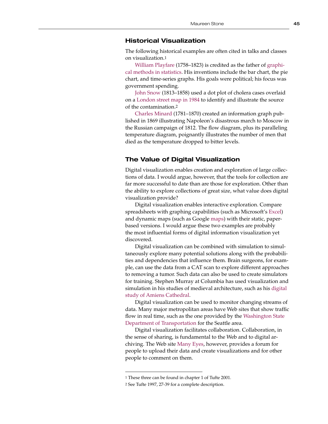#### Historical Visualization

The following historical examples are often cited in talks and classes on visualization.1

[William Playfare](http://en.wikipedia.org/wiki/William_Playfair) (1758–1823) is credited as the father of [graphi](http://en.wikipedia.org/wiki/Statistical_graphics)[cal methods in statistics.](http://en.wikipedia.org/wiki/Statistical_graphics) His inventions include the bar chart, the pie chart, and time-series graphs. His goals were political; his focus was government spending.

[John Snow](http://en.wikipedia.org/wiki/John_Snow_(physician)) (1813–1858) used a dot plot of cholera cases overlaid on a [London street map in 1984](http://en.wikipedia.org/wiki/1854_Broad_Street_cholera_outbreak) to identify and illustrate the source of the contamination.2

[Charles Minard](http://en.wikipedia.org/wiki/Charles_Joseph_Minard) (1781–1870) created an information graph published in 1869 illustrating Napoleon's disastrous march to Moscow in the Russian campaign of 1812. The flow diagram, plus its paralleling temperature diagram, poignantly illustrates the number of men that died as the temperature dropped to bitter levels.

# The Value of Digital Visualization

Digital visualization enables creation and exploration of large collections of data. I would argue, however, that the tools for collection are far more successful to date than are those for exploration. Other than the ability to explore collections of great size, what value does digital visualization provide?

Digital visualization enables interactive exploration. Compare spreadsheets with graphing capabilities (such as Microsoft's [Excel](http://office.microsoft.com/en-us/excel/default.aspx)) and dynamic maps (such as Google [maps\)](http://maps.google.com/) with their static, paperbased versions. I would argue these two examples are probably the most influential forms of digital information visualization yet discovered.

Digital visualization can be combined with simulation to simultaneously explore many potential solutions along with the probabilities and dependencies that influence them. Brain surgeons, for example, can use the data from a CAT scan to explore different approaches to removing a tumor. Such data can also be used to create simulators for training. Stephen Murray at Columbia has used visualization and simulation in his studies of medieval architecture, such as his [digital](http://www.learn.columbia.edu/Mcahweb/Amiens.html)  [study of Amiens Cathedral](http://www.learn.columbia.edu/Mcahweb/Amiens.html).

Digital visualization can be used to monitor changing streams of data. Many major metropolitan areas have Web sites that show traffic flow in real time, such as the one provided by the [Washington State](http://www.wsdot.wa.gov/Traffic/seattle)  [Department of Transportation](http://www.wsdot.wa.gov/Traffic/seattle) for the Seattle area.

Digital visualization facilitates collaboration. Collaboration, in the sense of sharing, is fundamental to the Web and to digital archiving. The Web site [Many Eyes,](http://services.alphaworks.ibm.com/manyeyes/home) however, provides a forum for people to upload their data and create visualizations and for other people to comment on them.

<sup>1</sup> These three can be found in chapter 1 of Tufte 2001*.*

<sup>2</sup> See Tufte 1997, 27-39 for a complete description.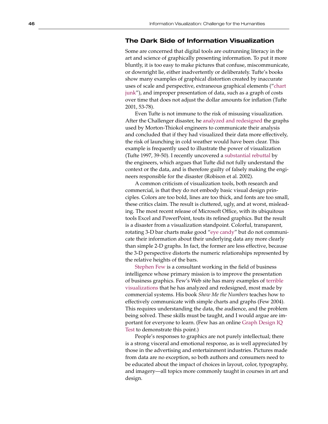## The Dark Side of Information Visualization

Some are concerned that digital tools are outrunning literacy in the art and science of graphically presenting information. To put it more bluntly, it is too easy to make pictures that confuse, miscommunicate, or downright lie, either inadvertently or deliberately. Tufte's books show many examples of graphical distortion created by inaccurate uses of scale and perspective, extraneous graphical elements ("[chart](http://en.wikipedia.org/wiki/Chartjunk)  [jun](http://en.wikipedia.org/wiki/Chartjunk) k"), and improper presentation of data, such as a graph of costs over time that does not adjust the dollar amounts for inflation (Tufte 2001, 53-78).

Even Tufte is not immune to the risk of misusing visualization. After the Challenger disaster, he [analyzed and redesigne](http://www.asktog.com/books/challengerExerpt.html) d the graphs used by Morton-Thiokol engineers to communicate their analysis and concluded that if they had visualized their data more effectively, the risk of launching in cold weather would have been clear. This example is frequently used to illustrate the power of visualization (Tufte 1997, 39-50). I recently uncovered a [substantial rebutta](http://www.onlineethics.org/cms/17453.aspx) l by the engineers, which argues that Tufte did not fully understand the context or the data, and is therefore guilty of falsely making the engi neers responsible for the disaster (Robison et al. 2002).

A common criticism of visualization tools, both research and commercial, is that they do not embody basic visual design prin ciples. Colors are too bold, lines are too thick, and fonts are too small, these critics claim. The result is cluttered, ugly, and at worst, mislead ing. The most recent release of Microsoft Office, with its ubiquitous tools Excel and PowerPoint, touts its refined graphics. But the result is a disaster from a visualization standpoint. Colorful, transparent, rotating 3-D bar charts make good ["eye cand](http://www.winplanet.com/img/screenshots/scr-office2007-4.jpg)y" but do not communicate their information about their underlying data any more clearly than simple 2-D graphs. In fact, the former are less effective, because the 3-D perspective distorts the numeric relationships represented by the relative heights of the bars.

[Stephen Fe](http://www.perceptualedge.com/) w is a consultant working in the field of business intelligence whose primary mission is to improve the presentation of business graphics. Few's Web site has many examples of [terrible](http://www.perceptualedge.com/examples.php)  [visualization](http://www.perceptualedge.com/examples.php) s that he has analyzed and redesigned, most made by commercial systems. His book *Show Me the Numbers* teaches how to effectively communicate with simple charts and graphs (Few 2004). This requires understanding the data, the audience, and the problem being solved. These skills must be taught, and I would argue are im portant for everyone to learn. (Few has an online [Graph Design IQ](http://www.perceptualedge.com/files/GraphDesignIQ.html)  [Tes](http://www.perceptualedge.com/files/GraphDesignIQ.html) t to demonstrate this point.)

People's responses to graphics are not purely intellectual; there is a strong visceral and emotional response, as is well appreciated by those in the advertising and entertainment industries. Pictures made from data are no exception, so both authors and consumers need to be educated about the impact of choices in layout, color, typography, and imagery—all topics more commonly taught in courses in art and design.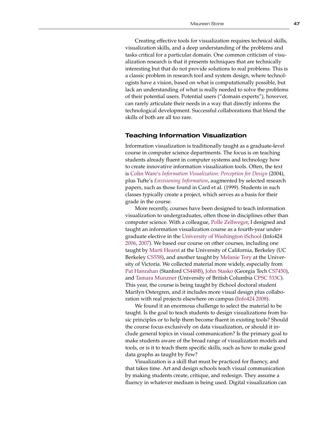Creating effective tools for visualization requires technical skills, visualization skills, and a deep understanding of the problems and tasks critical for a particular domain. One common criticism of visualization research is that it presents techniques that are technically interesting but that do not provide solutions to real problems. This is a classic problem in research tool and system design, where technologists have a vision, based on what is computationally possible, but lack an understanding of what is really needed to solve the problems of their potential users. Potential users ("domain experts"), however, can rarely articulate their needs in a way that directly informs the technological development. Successful collaborations that blend the skills of both are all too rare.

#### Teaching Information Visualization

Information visualization is traditionally taught as a graduate-level course in computer science departments. The focus is on teaching students already fluent in computer systems and technology how to create innovative information visualization tools. Often, the text is [Colin Ware's](http://ccom.unh.edu/vislab/CWBio.html) *[Information Visualization: Perception for Design](http://books.google.com/books?id=ZmG_FiqqyqgC&dq=Colin+Ware+Information+Visualization&pg=PP1&ots=xBvWFuTbwS&sig=rafqEpjwQzCdYdvEFlhkxQmjdU8&hl=en&sa=X&oi=book_result&resnum=1&ct=result)* (2004), plus Tufte's *[Envisioning Information](http://www.edwardtufte.com/tufte/books_ei)*, augmented by selected research papers, such as those found in Card et al. (1999). Students in such classes typically create a project, which serves as a basis for their grade in the course.

More recently, courses have been designed to teach information visualization to undergraduates, often those in disciplines other than computer science. With a colleague, [Polle Zellweger,](http://www.linkedin.com/pub/3/727/74B) I designed and taught an information visualization course as a fourth-year undergraduate elective in the [University of Washington iSchool](http://www.ischool.washington.edu/) (Info424 [2006](http://courses.washington.edu/info424/2006/), [2007](http://courses.washington.edu/info424/2007/)). We based our course on other courses, including one taught by [Marti Hearst](http://people.ischool.berkeley.edu/%7Ehearst/) at the University of California, Berkeley (UC Berkeley [CS558](http://www.cs.washington.edu/education/courses/cse558/05wi/)), and another taught by [Melanie Tory](http://webhome.cs.uvic.ca/%7Emtory/) at the University of Victoria. We collected material more widely, especially from [Pat Hanrahan](http://graphics.stanford.edu/%7Ehanrahan/) (Stanford [CS448B](http://www.graphics.stanford.edu/courses/cs448b-06-winter/)), [John Stasko](http://www.cc.gatech.edu/%7Ejohn.stasko/) (Georgia Tech [CS7450\)](http://www-static.cc.gatech.edu/classes/AY2006/cs7450_spring/resources.html), and [Tamara Munzner](http://www.cs.ubc.ca/%7Etmm/) (University of British Columbia [CPSC 533C](http://www.cs.ubc.ca/%7Etmm/courses/cpsc533c-06-fall/)). This year, the course is being taught by iSchool doctoral student Marilyn Ostergren, and it includes more visual design plus collaboration with real projects elsewhere on campus [\(Info424 2008\)](http://courses.washington.edu/info424).

We found it an enormous challenge to select the material to be taught. Is the goal to teach students to design visualizations from basic principles or to help them become fluent in existing tools? Should the course focus exclusively on data visualization, or should it include general topics in visual communication? Is the primary goal to make students aware of the broad range of visualization models and tools, or is it to teach them specific skills, such as how to make good data graphs as taught by Few?

Visualization is a skill that must be practiced for fluency, and that takes time. Art and design schools teach visual communication by making students create, critique, and redesign. They assume a fluency in whatever medium is being used. Digital visualization can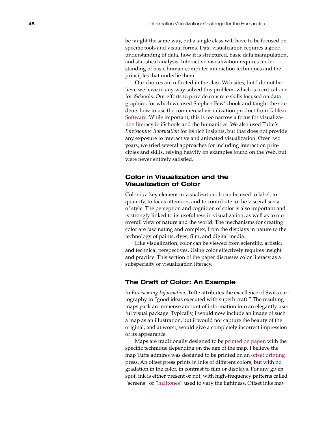be taught the same way, but a single class will have to be focused on specific tools and visual forms. Data visualization requires a good understanding of data, how it is structured, basic data manipulation, and statistical analysis. Interactive visualization requires under standing of basic human-computer interaction techniques and the principles that underlie them.

Our choices are reflected in the class Web sites, but I do not be lieve we have in any way solved this problem, which is a critical one for iSchools. Our efforts to provide concrete skills focused on data graphics, for which we used Stephen Few's book and taught the stu dents how to use the commercial visualization product from [Tableau](http://www.tableausoftware.com/)  [Softwar](http://www.tableausoftware.com/) e. While important, this is too narrow a focus for visualiza tion literacy in iSchools and the humanities. We also used Tufte's *Envisioning Information* for its rich insights, but that does not provide any exposure to interactive and animated visualization. Over two years, we tried several approaches for including interaction prin ciples and skills, relying heavily on examples found on the Web, but were never entirely satisfied.

# Color in Visualization and the Visualization of Color

Color is a key element in visualization. It can be used to label, to quantify, to focus attention, and to contribute to the visceral sense of style. The perception and cognition of color is also important and is strongly linked to its usefulness in visualization, as well as to our overall view of nature and the world. The mechanisms for creating color are fascinating and complex, from the displays in nature to the technology of paints, dyes, film, and digital media.

Like visualization, color can be viewed from scientific, artistic, and technical perspectives. Using color effectively requires insight and practice. This section of the paper discusses color literacy as a subspecialty of visualization literacy.

# The Craft of Color: An Example

In *Envisioning Information*, Tufte attributes the excellence of Swiss car tography to "good ideas executed with superb craft." The resulting maps pack an immense amount of information into an elegantly use ful visual package. Typically, I would now include an image of such a map as an illustration, but it would not capture the beauty of the original, and at worst, would give a completely incorrect impression of its appearance.

Maps are traditionally designed to be [printed on pape](http://www.broward.org/library/bienes/lii14009.htm) r, with the specific technique depending on the age of the map. I believe the map Tufte admires was designed to be printed on an [offset printin](http://en.wikipedia.org/wiki/Offset_printing) g press. An offset press prints in inks of different colors, but with no gradation in the color, in contrast to film or displays. For any given spot, ink is either present or not, with high-frequency patterns called "screens" or "[halftone](http://en.wikipedia.org/wiki/Halftone)s" used to vary the lightness. Offset inks may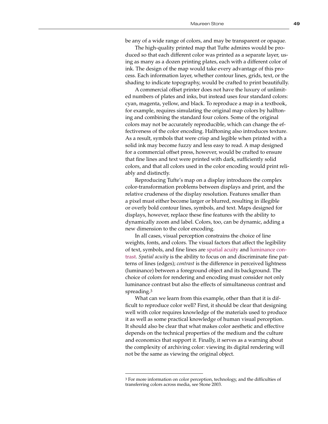be any of a wide range of colors, and may be transparent or opaque.

The high-quality printed map that Tufte admires would be produced so that each different color was printed as a separate layer, using as many as a dozen printing plates, each with a different color of ink. The design of the map would take every advantage of this process. Each information layer, whether contour lines, grids, text, or the shading to indicate topography, would be crafted to print beautifully.

A commercial offset printer does not have the luxury of unlimited numbers of plates and inks, but instead uses four standard colors: cyan, magenta, yellow, and black. To reproduce a map in a textbook, for example, requires simulating the original map colors by halftoning and combining the standard four colors. Some of the original colors may not be accurately reproducible, which can change the effectiveness of the color encoding. Halftoning also introduces texture. As a result, symbols that were crisp and legible when printed with a solid ink may become fuzzy and less easy to read. A map designed for a commercial offset press, however, would be crafted to ensure that fine lines and text were printed with dark, sufficiently solid colors, and that all colors used in the color encoding would print reliably and distinctly.

Reproducing Tufte's map on a display introduces the complex color-transformation problems between displays and print, and the relative crudeness of the display resolution. Features smaller than a pixel must either become larger or blurred, resulting in illegible or overly bold contour lines, symbols, and text. Maps designed for displays, however, replace these fine features with the ability to dynamically zoom and label. Colors, too, can be dynamic, adding a new dimension to the color encoding.

In all cases, visual perception constrains the choice of line weights, fonts, and colors. The visual factors that affect the legibility of text, symbols, and fine lines are [spatial acuity](http://en.wikipedia.org/wiki/Visual_acuity) and [luminance con](http://colorusage.arc.nasa.gov/luminance_cont.php)[trast.](http://colorusage.arc.nasa.gov/luminance_cont.php) *Spatial acuity* is the ability to focus on and discriminate fine patterns of lines (edges); *contrast* is the difference in perceived lightness (luminance) between a foreground object and its background. The choice of colors for rendering and encoding must consider not only luminance contrast but also the effects of simultaneous contrast and spreading.3

What can we learn from this example, other than that it is difficult to reproduce color well? First, it should be clear that designing well with color requires knowledge of the materials used to produce it as well as some practical knowledge of human visual perception. It should also be clear that what makes color aesthetic and effective depends on the technical properties of the medium and the culture and economics that support it. Finally, it serves as a warning about the complexity of archiving color: viewing its digital rendering will not be the same as viewing the original object.

<sup>3</sup> For more information on color perception, technology, and the difficulties of transferring colors across media, see Stone 2003.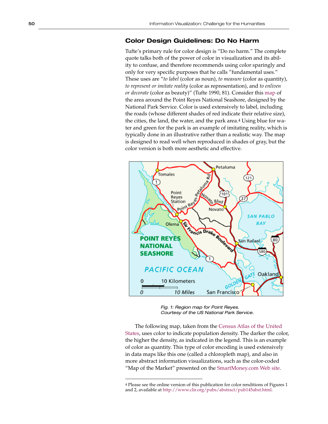## Color Design Guidelines: Do No Harm

Tufte's primary rule for color design is "Do no harm." The complete quote talks both of the power of color in visualization and its ability to confuse, and therefore recommends using color sparingly and only for very specific purposes that he calls "fundamental uses." These uses are "*to label* (color as noun), *to measure* (color as quantity), *to represent or imitate reality* (color as representation), and *to enliven or decorate* (color as beauty)" (Tufte 1990, 81). Consider this [map](http://www.nps.gov/carto/PDF/POREmap2.pdf) of the area around the Point Reyes National Seashore, designed by the National Park Service. Color is used extensively to label, including the roads (whose different shades of red indicate their relative size), the cities, the land, the water, and the park area.<sup>4</sup> Using blue for water and green for the park is an example of imitating reality, which is typically done in an illustrative rather than a realistic way. The map is designed to read well when reproduced in shades of gray, but the color version is both more aesthetic and effective.



*Fig. 1: Region map for Point Reyes. Courtesy of the US National Park Service.*

The following map, taken from the [Census Atlas of the United](http://www.census.gov/population/www/cen2000/censusatlas/)  [States,](http://www.census.gov/population/www/cen2000/censusatlas/) uses color to indicate population density. The darker the color, the higher the density, as indicated in the legend. This is an example of color as quantity. This type of color encoding is used extensively in data maps like this one (called a chloropleth map), and also in more abstract information visualizations, such as the color-coded "Map of the Market" presented on the [SmartMoney.com Web site](http://www.smartmoney.com/map-of-the-market/).

<sup>4</sup> Please see the online version of this publication for color renditions of Figures 1 and 2, available at<http://www.clir.org/pubs/abstract/pub145abst.html>.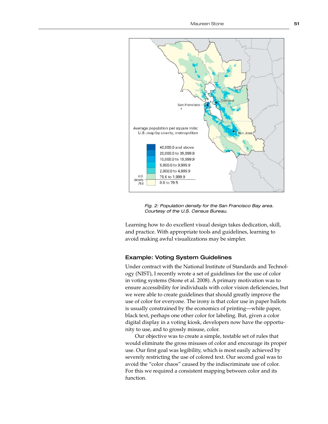

*Fig. 2: Population density for the San Francisco Bay area. Courtesy of the U.S. Census Bureau.*

Learning how to do excellent visual design takes dedication, skill, and practice. With appropriate tools and guidelines, learning to avoid making awful visualizations may be simpler.

#### Example: Voting System Guidelines

Under contract with the National Institute of Standards and Technology (NIST), I recently wrote a set of guidelines for the use of color in voting systems (Stone et al. 2008). A primary motivation was to ensure accessibility for individuals with color vision deficiencies, but we were able to create guidelines that should greatly improve the use of color for everyone. The irony is that color use in paper ballots is usually constrained by the economics of printing—white paper, black text, perhaps one other color for labeling. But, given a color digital display in a voting kiosk, developers now have the opportunity to use, and to grossly misuse, color.

Our objective was to create a simple, testable set of rules that would eliminate the gross misuses of color and encourage its proper use. Our first goal was legibility, which is most easily achieved by severely restricting the use of colored text. Our second goal was to avoid the "color chaos" caused by the indiscriminate use of color. For this we required a consistent mapping between color and its function.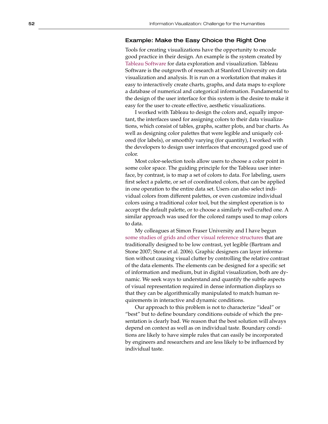#### Example: Make the Easy Choice the Right One

Tools for creating visualizations have the opportunity to encode good practice in their design. An example is the system created by [Tableau Softwar](http://www.tableausoftware.com/) e for data exploration and visualization. Tableau Software is the outgrowth of research at Stanford University on data visualization and analysis. It is run on a workstation that makes it easy to interactively create charts, graphs, and data maps to explore a database of numerical and categorical information. Fundamental to the design of the user interface for this system is the desire to make it easy for the user to create effective, aesthetic visualizations.

I worked with Tableau to design the colors and, equally impor tant, the interfaces used for assigning colors to their data visualiza tions, which consist of tables, graphs, scatter plots, and bar charts. As well as designing color palettes that were legible and uniquely col ored (for labels), or smoothly varying (for quantity), I worked with the developers to design user interfaces that encouraged good use of color.

Most color-selection tools allow users to choose a color point in some color space. The guiding principle for the Tableau user inter face, by contrast, is to map a set of colors to data. For labeling, users first select a palette, or set of coordinated colors, that can be applied in one operation to the entire data set. Users can also select indi vidual colors from different palettes, or even customize individual colors using a traditional color tool, but the simplest operation is to accept the default palette, or to choose a similarly well-crafted one. A similar approach was used for the colored ramps used to map colors to data.

My colleagues at Simon Fraser University and I have begun [some studies of grids and other visual reference structure](http://www.stonesc.com/pubs/Viz2007-SubtleGrids.pdf) s that are traditionally designed to be low contrast, yet legible (Bartram and Stone 2007; Stone et al. 2006). Graphic designers can layer informa tion without causing visual clutter by controlling the relative contrast of the data elements. The elements can be designed for a specific set of information and medium, but in digital visualization, both are dy namic. We seek ways to understand and quantify the subtle aspects of visual representation required in dense information displays so that they can be algorithmically manipulated to match human re quirements in interactive and dynamic conditions.

Our approach to this problem is not to characterize "ideal" or "best" but to define boundary conditions outside of which the pre sentation is clearly bad. We reason that the best solution will always depend on context as well as on individual taste. Boundary condi tions are likely to have simple rules that can easily be incorporated by engineers and researchers and are less likely to be influenced by individual taste.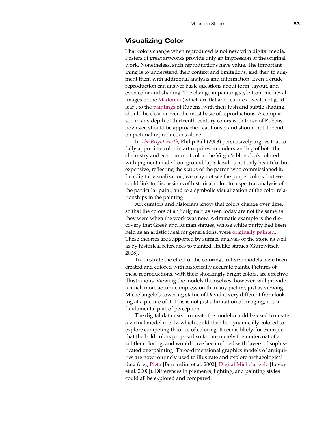#### Visualizing Color

That colors change when reproduced is not new with digital media. Posters of great artworks provide only an impression of the original work. Nonetheless, such reproductions have value. The important thing is to understand their context and limitations, and then to augment them with additional analysis and information. Even a crude reproduction can answer basic questions about form, layout, and even color and shading. The change in painting style from medieval images of the [Madonna](http://en.wikipedia.org/wiki/Madonna_(art)) (which are flat and feature a wealth of gold leaf), to the [paintings](http://graphics.stanford.edu/projects/mich/) of Rubens, with their lush and subtle shading, should be clear in even the most basic of reproductions. A comparison in any depth of thirteenth-century colors with those of Rubens, however, should be approached cautiously and should not depend on pictorial reproductions alone.

In *[The Bright Earth](http://www.amazon.com/Bright-Earth-Art-Invention-Color/dp/0226036286/ref=pd_bbs_5?ie=UTF8&s=books&qid=1217957511&sr=8-5)*, Philip Ball (2003) persuasively argues that to fully appreciate color in art requires an understanding of both the chemistry and economics of color: the Virgin's blue cloak colored with pigment made from ground lapis lazuli is not only beautiful but expensive, reflecting the status of the patron who commissioned it. In a digital visualization, we may not see the proper colors, but we could link to discussions of historical color, to a spectral analysis of the particular paint, and to a symbolic visualization of the color relationships in the painting.

Art curators and historians know that colors change over time, so that the colors of an "original" as seen today are not the same as they were when the work was new. A dramatic example is the discovery that Greek and Roman statues, whose white purity had been held as an artistic ideal for generations, were [originally painted](http://www.smithsonianmag.com/arts-culture/true-colors.html). These theories are supported by surface analysis of the stone as well as by historical references to painted, lifelike statues (Gurewitsch 2008).

To illustrate the effect of the coloring, full-size models have been created and colored with historically accurate paints. Pictures of these reproductions, with their shockingly bright colors, are effective illustrations. Viewing the models themselves, however, will provide a much more accurate impression than any picture, just as viewing Michelangelo's towering statue of David is very different from looking at a picture of it. This is not just a limitation of imaging; it is a fundamental part of perception.

The digital data used to create the models could be used to create a virtual model in 3-D, which could then be dynamically colored to explore competing theories of coloring. It seems likely, for example, that the bold colors proposed so far are merely the undercoat of a subtler coloring, and would have been refined with layers of sophisticated overpainting. Three-dimensional graphics models of antiquities are now routinely used to illustrate and explore archaeological data (e.g., [Pieta](http://www.research.ibm.com/vgc/pdf/pieta-cga.pdf) [Bernardini et al. 2002], [Digital Michelangelo](http://graphics.stanford.edu/projects/mich/) [Levoy et al. 2000]). Differences in pigments, lighting, and painting styles could all be explored and compared.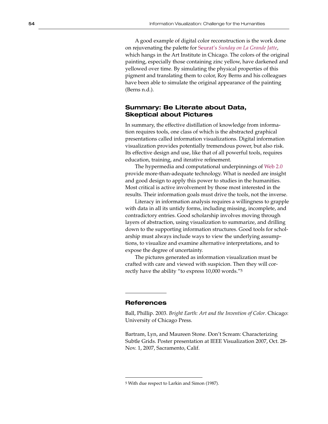A good example of digital color reconstruction is the work done on rejuvenating the palette for Seurat's *[Sunday on La Grande Jatte](http://www.cis.rit.edu/people/faculty/berns/seurat/)*, which hangs in the Art Institute in Chicago. The colors of the original painting, especially those containing zinc yellow, have darkened and yellowed over time. By simulating the physical properties of this pigment and translating them to color, Roy Berns and his colleagues have been able to simulate the original appearance of the painting (Berns n.d.).

# Summary: Be Literate about Data, Skeptical about Pictures

In summary, the effective distillation of knowledge from information requires tools, one class of which is the abstracted graphical presentations called information visualizations. Digital information visualization provides potentially tremendous power, but also risk. Its effective design and use, like that of all powerful tools, requires education, training, and iterative refinement.

The hypermedia and computational underpinnings of [Web 2.0](http://en.wikipedia.org/wiki/Web_2.0) provide more-than-adequate technology. What is needed are insight and good design to apply this power to studies in the humanities. Most critical is active involvement by those most interested in the results. Their information goals must drive the tools, not the inverse.

Literacy in information analysis requires a willingness to grapple with data in all its untidy forms, including missing, incomplete, and contradictory entries. Good scholarship involves moving through layers of abstraction, using visualization to summarize, and drilling down to the supporting information structures. Good tools for scholarship must always include ways to view the underlying assumptions, to visualize and examine alternative interpretations, and to expose the degree of uncertainty.

The pictures generated as information visualization must be crafted with care and viewed with suspicion. Then they will correctly have the ability "to express 10,000 words."5

#### References

Ball, Phillip. 2003. *Bright Earth: Art and the Invention of Color*. Chicago: University of Chicago Press.

Bartram, Lyn, and Maureen Stone. Don't Scream: Characterizing Subtle Grids. Poster presentation at IEEE Visualization 2007, Oct. 28- Nov. 1, 2007, Sacramento, Calif.

<sup>5</sup> With due respect to Larkin and Simon (1987).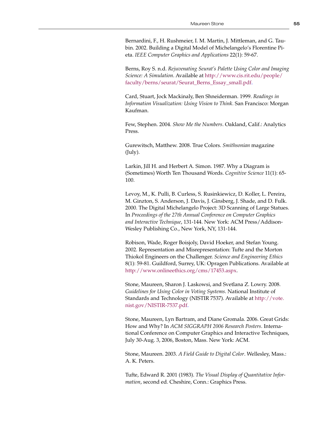Bernardini, F., H. Rushmeier, I. M. Martin, J. Mittleman, and G. Taubin. 2002. Building a Digital Model of Michelangelo's Florentine Pieta. *IEEE Computer Graphics and Applications* 22(1): 59-67.

Berns, Roy S. n.d. *Rejuvenating Seurat's Palette Using Color and Imaging Science: A Simulation*. Available at [http://www.cis.rit.edu/people/](http://www.cis.rit.edu/people/faculty/berns/seurat/Seurat_Berns_Essay_small.pdf) [faculty/berns/seurat/Seurat\\_Berns\\_Essay\\_small.pdf](http://www.cis.rit.edu/people/faculty/berns/seurat/Seurat_Berns_Essay_small.pdf).

Card, Stuart, Jock Mackinaly, Ben Shneiderman. 1999. *Readings in Information Visualization: Using Vision to Think*. San Francisco: Morgan Kaufman.

Few, Stephen. 2004. *Show Me the Numbers*. Oakland, Calif.: Analytics Press.

Gurewitsch, Matthew. 2008. True Colors. *Smithsonian* magazine (July).

Larkin, Jill H. and Herbert A. Simon. 1987. Why a Diagram is (Sometimes) Worth Ten Thousand Words. *Cognitive Science* 11(1): 65- 100.

Levoy, M., K. Pulli, B. Curless, S. Rusinkiewicz, D. Koller, L. Pereira, M. Ginzton, S. Anderson, J. Davis, J. Ginsberg, J. Shade, and D. Fulk. 2000. The Digital Michelangelo Project: 3D Scanning of Large Statues. In *Proceedings of the 27th Annual Conference on Computer Graphics and Interactive Technique*, 131-144. New York: ACM Press/Addison-Wesley Publishing Co., New York, NY, 131-144.

Robison, Wade, Roger Boisjoly, David Hoeker, and Stefan Young. 2002. Representation and Misrepresentation: Tufte and the Morton Thiokol Engineers on the Challenger. *Science and Engineering Ethics* 8(1): 59-81. Guildford, Surrey, UK: Opragen Publications. Available at [http://www.onlineethics.org/cms/17453.aspx.](http://www.onlineethics.org/cms/17453.aspx)

Stone, Maureen, Sharon J. Laskowsi, and Svetlana Z. Lowry. 2008. *Guidelines for Using Color in Voting Systems*. National Institute of Standards and Technology (NISTIR 7537). Available at [http://vote.](http://vote.nist.gov/NISTIR-7537.pdf) [nist.gov/NISTIR-7537.pdf.](http://vote.nist.gov/NISTIR-7537.pdf)

Stone, Maureen, Lyn Bartram, and Diane Gromala. 2006. Great Grids: How and Why? In *ACM SIGGRAPH 2006 Research Posters*. International Conference on Computer Graphics and Interactive Techniques, July 30-Aug. 3, 2006, Boston, Mass. New York: ACM.

Stone, Maureen. 2003. *A Field Guide to Digital Color*. Wellesley, Mass.: A. K. Peters.

Tufte, Edward R. 2001 (1983). *The Visual Display of Quantitative Information*, second ed. Cheshire, Conn.: Graphics Press.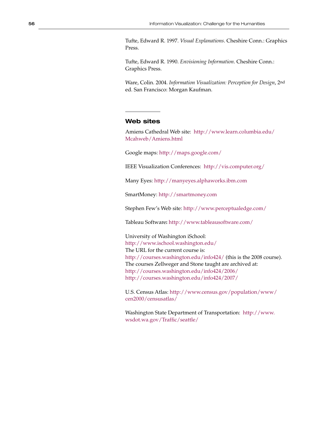Tufte, Edward R. 1997. *Visual Explanations*. Cheshire Conn.: Graphics Press.

Tufte, Edward R. 1990. *Envisioning Information*. Cheshire Conn.: Graphics Press.

Ware, Colin. 2004. *Information Visualization: Perception for Design*, 2nd ed. San Francisco: Morgan Kaufman.

# Web sites

Amiens Cathedral Web site: [http://www.learn.columbia.edu/](http://www.learn.columbia.edu/Mcahweb/Amiens.html) [Mcahweb/Amiens.html](http://www.learn.columbia.edu/Mcahweb/Amiens.html)

Google maps:<http://maps.google.com/>

IEEE Visualization Conferences: <http://vis.computer.org/>

Many Eyes:<http://manyeyes.alphaworks.ibm.com>

SmartMoney:<http://smartmoney.com>

Stephen Few's Web site: <http://www.perceptualedge.com/>

Tableau Software**:** <http://www.tableausoftware.com/>

University of Washington iSchool: <http://www.ischool.washington.edu/> The URL for the current course is: <http://courses.washington.edu/info424/>(this is the 2008 course). The courses Zellweger and Stone taught are archived at: <http://courses.washington.edu/info424/2006/> <http://courses.washington.edu/info424/2007/>

U.S. Census Atlas: [http://www.census.gov/population/www/](http://www.census.gov/population/www/cen2000/censusatlas/) [cen2000/censusatlas/](http://www.census.gov/population/www/cen2000/censusatlas/)

Washington State Department of Transportation: [http://www.](http://www.wsdot.wa.gov/Traffic/seattle/) [wsdot.wa.gov/Traffic/seattle/](http://www.wsdot.wa.gov/Traffic/seattle/)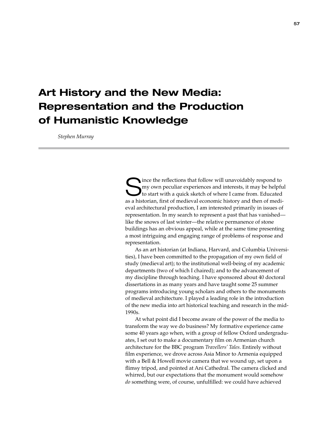# Art History and the New Media: Representation and the Production of Humanistic Knowledge

 *Stephen Murray*

Since the reflections that follow will unavoidably respond to my own peculiar experiences and interests, it may be helpful to start with a quick sketch of where I came from. Educated my own peculiar experiences and interests, it may be helpful as a historian, first of medieval economic history and then of medieval architectural production, I am interested primarily in issues of representation. In my search to represent a past that has vanished like the snows of last winter—the relative permanence of stone buildings has an obvious appeal, while at the same time presenting a most intriguing and engaging range of problems of response and representation.

As an art historian (at Indiana, Harvard, and Columbia Universities), I have been committed to the propagation of my own field of study (medieval art); to the institutional well-being of my academic departments (two of which I chaired); and to the advancement of my discipline through teaching. I have sponsored about 40 doctoral dissertations in as many years and have taught some 25 summer programs introducing young scholars and others to the monuments of medieval architecture. I played a leading role in the introduction of the new media into art historical teaching and research in the mid-1990s.

At what point did I become aware of the power of the media to transform the way we do business? My formative experience came some 40 years ago when, with a group of fellow Oxford undergraduates, I set out to make a documentary film on Armenian church architecture for the BBC program *Travellers' Tales*. Entirely without film experience, we drove across Asia Minor to Armenia equipped with a Bell & Howell movie camera that we wound up, set upon a flimsy tripod, and pointed at Ani Cathedral. The camera clicked and whirred, but our expectations that the monument would somehow *do* something were, of course, unfulfilled: we could have achieved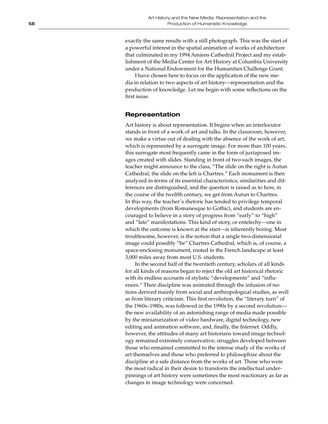exactly the same results with a still photograph. This was the start of a powerful interest in the spatial animation of works of architecture that culminated in my 1994 Amiens Cathedral Project and my estab lishment of the Media Center for Art History at Columbia University under a National Endowment for the Humanities Challenge Grant.

I have chosen here to focus on the application of the new media in relation to two aspects of art history—representation and the production of knowledge. Let me begin with some reflections on the first issue.

# Representation

Art history is about representation. It begins when an interlocutor stands in front of a work of art and talks. In the classroom, however, we make a virtue out of dealing with the absence of the work of art, which is represented by a surrogate image. For more than 100 years, this surrogate most frequently came in the form of juxtaposed im ages created with slides. Standing in front of two such images, the teacher might announce to the class, "The slide on the right is Autun Cathedral; the slide on the left is Chartres." Each monument is then analyzed in terms of its essential characteristics; similarities and dif ferences are distinguished, and the question is raised as to how, in the course of the twelfth century, we get from Autun to Chartres. In this way, the teacher's rhetoric has tended to privilege temporal developments (from Romanesque to Gothic), and students are en couraged to believe in a story of progress from "early" to "high" and "late" manifestations. This kind of story, or entelechy—one in which the outcome is known at the start—is inherently boring. Most troublesome, however, is the notion that a single two-dimensional image could possibly "be" Chartres Cathedral, which is, of course, a space-enclosing monument, rooted in the French landscape at least 3,000 miles away from most U.S. students.

In the second half of the twentieth century, scholars of all kinds for all kinds of reasons began to reject the old art historical rhetoric with its endless accounts of stylistic "developments" and "influ ences." Their discipline was animated through the infusion of no tions derived mainly from social and anthropological studies, as well as from literary criticism. This first revolution, the "literary turn" of the 1960s–1980s, was followed in the 1990s by a second revolution the new availability of an astonishing range of media made possible by the miniaturization of video hardware, digital technology, new editing and animation software, and, finally, the Internet. Oddly, however, the attitudes of many art historians toward image technol ogy remained extremely conservative; struggles developed between those who remained committed to the intense study of the works of art themselves and those who preferred to philosophize about the discipline at a safe distance from the works of art. Those who were the most radical in their desire to transform the intellectual under pinnings of art history were sometimes the most reactionary as far as changes in image technology were concerned.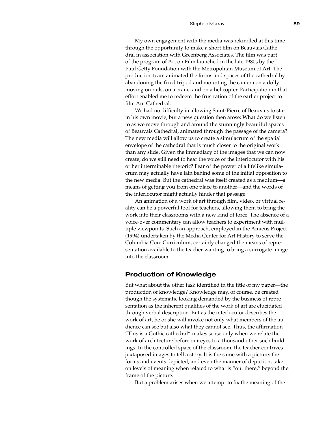My own engagement with the media was rekindled at this time through the opportunity to make a short film on Beauvais Cathedral in association with Greenberg Associates. The film was part of the program of Art on Film launched in the late 1980s by the J. Paul Getty Foundation with the Metropolitan Museum of Art. The production team animated the forms and spaces of the cathedral by abandoning the fixed tripod and mounting the camera on a dolly moving on rails, on a crane, and on a helicopter. Participation in that effort enabled me to redeem the frustration of the earlier project to film Ani Cathedral.

We had no difficulty in allowing Saint-Pierre of Beauvais to star in his own movie, but a new question then arose: What do we listen to as we move through and around the stunningly beautiful spaces of Beauvais Cathedral, animated through the passage of the camera? The new media will allow us to create a simulacrum of the spatial envelope of the cathedral that is much closer to the original work than any slide. Given the immediacy of the images that we can now create, do we still need to hear the voice of the interlocutor with his or her interminable rhetoric? Fear of the power of a lifelike simulacrum may actually have lain behind some of the initial opposition to the new media. But the cathedral was itself created as a medium—a means of getting you from one place to another—and the words of the interlocutor might actually hinder that passage.

An animation of a work of art through film, video, or virtual reality can be a powerful tool for teachers, allowing them to bring the work into their classrooms with a new kind of force. The absence of a voice-over commentary can allow teachers to experiment with multiple viewpoints. Such an approach, employed in the Amiens Project (1994) undertaken by the Media Center for Art History to serve the Columbia Core Curriculum, certainly changed the means of representation available to the teacher wanting to bring a surrogate image into the classroom.

#### Production of Knowledge

But what about the other task identified in the title of my paper—the production of knowledge? Knowledge may, of course, be created though the systematic looking demanded by the business of representation as the inherent qualities of the work of art are elucidated through verbal description. But as the interlocutor describes the work of art, he or she will invoke not only what members of the audience can see but also what they cannot see. Thus, the affirmation "This is a Gothic cathedral" makes sense only when we relate the work of architecture before our eyes to a thousand other such buildings. In the controlled space of the classroom, the teacher contrives juxtaposed images to tell a story. It is the same with a picture: the forms and events depicted, and even the manner of depiction, take on levels of meaning when related to what is "out there," beyond the frame of the picture.

But a problem arises when we attempt to fix the meaning of the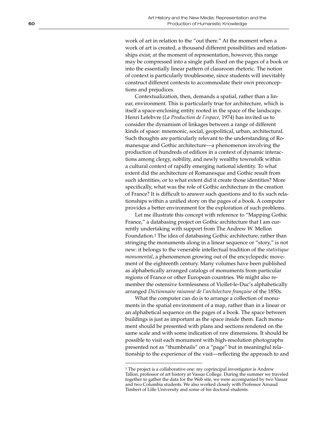work of art in relation to the "out there." At the moment when a work of art is created, a thousand different possibilities and relation ships exist; at the moment of representation, however, this range may be compressed into a single path fixed on the pages of a book or into the essentially linear pattern of classroom rhetoric. The notion of context is particularly troublesome, since students will inevitably construct different contexts to accommodate their own preconcep tions and prejudices.

Contextualization, then, demands a spatial, rather than a lin ear, environment. This is particularly true for architecture, which is itself a space-enclosing entity rooted in the space of the landscape. Henri Lefebvre (*La Production de l'espace*, 1974) has invited us to consider the dynamism of linkages between a range of different kinds of space: mnemonic, social, geopolitical, urban, architectural. Such thoughts are particularly relevant to the understanding of Ro manesque and Gothic architecture—a phenomenon involving the production of hundreds of edifices in a context of dynamic interac tions among clergy, nobility, and newly wealthy townsfolk within a cultural context of rapidly emerging national identity. To what extent did the architecture of Romanesque and Gothic result from such identities, or to what extent did it create those identities? More specifically, what was the role of Gothic architecture in the creation of France? It is difficult to answer such questions and to fix such rela tionships within a unified story on the pages of a book. A computer provides a better environment for the exploration of such problems.

Let me illustrate this concept with reference to "Mapping Gothic France," a databasing project on Gothic architecture that I am cur rently undertaking with support from The Andrew W. Mellon Foundation. 1 The idea of databasing Gothic architecture, rather than stringing the monuments along in a linear sequence or "story," is not new: it belongs to the venerable intellectual tradition of the *statistique monumental*, a phenomenon growing out of the encyclopedic move ment of the eighteenth century. Many volumes have been published as alphabetically arranged catalogs of monuments from particular regions of France or other European countries. We might also re member the ostensive formlessness of Viollet-le-Duc's alphabetically arranged *Dictionnaire raisonné de l'architecture française* of the 1850s.

What the computer can do is to arrange a collection of monu ments in the spatial environment of a map, rather than in a linear or an alphabetical sequence on the pages of a book. The space between buildings is just as important as the space inside them. Each monu ment should be presented with plans and sections rendered on the same scale and with some indication of raw dimensions. It should be possible to visit each monument with high-resolution photographs presented not as "thumbnails" on a "page" but in meaningful rela tionship to the experience of the visit—reflecting the approach to and<br>1 The project is a collaborative one: my coprincipal investigator is Andrew

Tallon, professor of art history at Vassar College. During the summer we traveled together to gather the data for the Web site, we were accompanied by two Vassar and two Columbia students. We also worked closely with Professor Arnaud Timbert of Lille University and some of his doctoral students.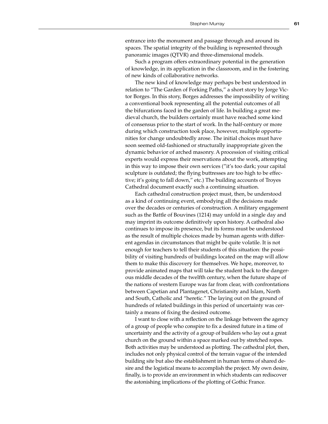entrance into the monument and passage through and around its spaces. The spatial integrity of the building is represented through panoramic images (QTVR) and three-dimensional models.

Such a program offers extraordinary potential in the generation of knowledge, in its application in the classroom, and in the fostering of new kinds of collaborative networks.

The new kind of knowledge may perhaps be best understood in relation to "The Garden of Forking Paths," a short story by Jorge Victor Borges. In this story, Borges addresses the impossibility of writing a conventional book representing all the potential outcomes of all the bifurcations faced in the garden of life. In building a great medieval church, the builders certainly must have reached some kind of consensus prior to the start of work. In the half-century or more during which construction took place, however, multiple opportunities for change undoubtedly arose. The initial choices must have soon seemed old-fashioned or structurally inappropriate given the dynamic behavior of arched masonry. A procession of visiting critical experts would express their reservations about the work, attempting in this way to impose their own services ("it's too dark; your capital sculpture is outdated; the flying buttresses are too high to be effective; it's going to fall down," etc.) The building accounts of Troyes Cathedral document exactly such a continuing situation.

Each cathedral construction project must, then, be understood as a kind of continuing event, embodying all the decisions made over the decades or centuries of construction. A military engagement such as the Battle of Bouvines (1214) may unfold in a single day and may imprint its outcome definitively upon history. A cathedral also continues to impose its presence, but its forms must be understood as the result of multiple choices made by human agents with different agendas in circumstances that might be quite volatile. It is not enough for teachers to tell their students of this situation: the possibility of visiting hundreds of buildings located on the map will allow them to make this discovery for themselves. We hope, moreover, to provide animated maps that will take the student back to the dangerous middle decades of the twelfth century, when the future shape of the nations of western Europe was far from clear, with confrontations between Capetian and Plantagenet, Christianity and Islam, North and South, Catholic and "heretic." The laying out on the ground of hundreds of related buildings in this period of uncertainty was certainly a means of fixing the desired outcome.

I want to close with a reflection on the linkage between the agency of a group of people who conspire to fix a desired future in a time of uncertainty and the activity of a group of builders who lay out a great church on the ground within a space marked out by stretched ropes. Both activities may be understood as plotting. The cathedral plot, then, includes not only physical control of the terrain vague of the intended building site but also the establishment in human terms of shared desire and the logistical means to accomplish the project. My own desire, finally, is to provide an environment in which students can rediscover the astonishing implications of the plotting of Gothic France.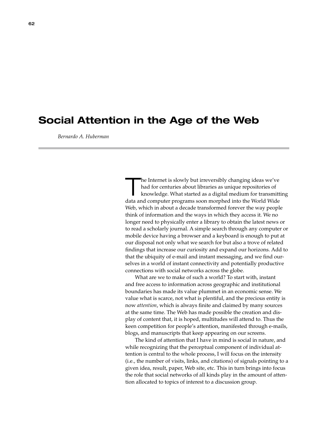# Social Attention in the Age of the Web

 *Bernardo A. Huberman*

The Internet is slowly but irreversibly changing ideas we've had for centuries about libraries as unique repositories of knowledge. What started as a digital medium for transmitting had for centuries about libraries as unique repositories of data and computer programs soon morphed into the World Wide Web, which in about a decade transformed forever the way people think of information and the ways in which they access it. We no longer need to physically enter a library to obtain the latest news or to read a scholarly journal. A simple search through any computer or mobile device having a browser and a keyboard is enough to put at our disposal not only what we search for but also a trove of related findings that increase our curiosity and expand our horizons. Add to that the ubiquity of e-mail and instant messaging, and we find ourselves in a world of instant connectivity and potentially productive connections with social networks across the globe.

What are we to make of such a world? To start with, instant and free access to information across geographic and institutional boundaries has made its value plummet in an economic sense. We value what is scarce, not what is plentiful, and the precious entity is now *attention*, which is always finite and claimed by many sources at the same time. The Web has made possible the creation and display of content that, it is hoped, multitudes will attend to. Thus the keen competition for people's attention, manifested through e-mails, blogs, and manuscripts that keep appearing on our screens.

The kind of attention that I have in mind is social in nature, and while recognizing that the perceptual component of individual attention is central to the whole process, I will focus on the intensity (i.e., the number of visits, links, and citations) of signals pointing to a given idea, result, paper, Web site, etc. This in turn brings into focus the role that social networks of all kinds play in the amount of attention allocated to topics of interest to a discussion group.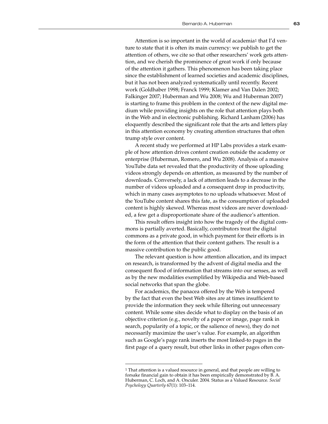Attention is so important in the world of academia1 that I'd venture to state that it is often its main currency: we publish to get the attention of others, we cite so that other researchers' work gets attention, and we cherish the prominence of great work if only because of the attention it gathers. This phenomenon has been taking place since the establishment of learned societies and academic disciplines, but it has not been analyzed systematically until recently. Recent work (Goldhaber 1998; Franck 1999; Klamer and Van Dalen 2002; Falkinger 2007; Huberman and Wu 2008; Wu and Huberman 2007) is starting to frame this problem in the context of the new digital medium while providing insights on the role that attention plays both in the Web and in electronic publishing. Richard Lanham (2006) has eloquently described the significant role that the arts and letters play in this attention economy by creating attention structures that often trump style over content.

A recent study we performed at HP Labs provides a stark example of how attention drives content creation outside the academy or enterprise (Huberman, Romero, and Wu 2008). Analysis of a massive YouTube data set revealed that the productivity of those uploading videos strongly depends on attention, as measured by the number of downloads. Conversely, a lack of attention leads to a decrease in the number of videos uploaded and a consequent drop in productivity, which in many cases asymptotes to no uploads whatsoever. Most of the YouTube content shares this fate, as the consumption of uploaded content is highly skewed. Whereas most videos are never downloaded, a few get a disproportionate share of the audience's attention.

This result offers insight into how the tragedy of the digital commons is partially averted. Basically, contributors treat the digital commons as a private good, in which payment for their efforts is in the form of the attention that their content gathers. The result is a massive contribution to the public good.

The relevant question is how attention allocation, and its impact on research, is transformed by the advent of digital media and the consequent flood of information that streams into our senses, as well as by the new modalities exemplified by Wikipedia and Web-based social networks that span the globe.

For academics, the panacea offered by the Web is tempered by the fact that even the best Web sites are at times insufficient to provide the information they seek while filtering out unnecessary content. While some sites decide what to display on the basis of an objective criterion (e.g., novelty of a paper or image, page rank in search, popularity of a topic, or the salience of news), they do not necessarily maximize the user's value. For example, an algorithm such as Google's page rank inserts the most linked-to pages in the first page of a query result, but other links in other pages often con-

<sup>1</sup> That attention is a valued resource in general, and that people are willing to forsake financial gain to obtain it has been empirically demonstrated by B. A. Huberman, C. Loch, and A. Onculer. 2004. Status as a Valued Resource. *Social Psychology Quarterly* 67(1): 103–114.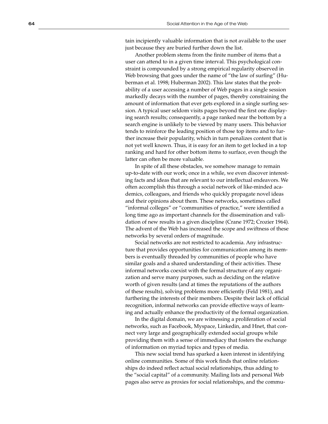tain incipiently valuable information that is not available to the user just because they are buried further down the list.

Another problem stems from the finite number of items that a user can attend to in a given time interval. This psychological con straint is compounded by a strong empirical regularity observed in Web browsing that goes under the name of "the law of surfing" (Hu berman et al. 1998; Huberman 2002). This law states that the prob ability of a user accessing a number of Web pages in a single session markedly decays with the number of pages, thereby constraining the amount of information that ever gets explored in a single surfing ses sion. A typical user seldom visits pages beyond the first one display ing search results; consequently, a page ranked near the bottom by a search engine is unlikely to be viewed by many users. This behavior tends to reinforce the leading position of those top items and to fur ther increase their popularity, which in turn penalizes content that is not yet well known. Thus, it is easy for an item to get locked in a top ranking and hard for other bottom items to surface, even though the latter can often be more valuable.

In spite of all these obstacles, we somehow manage to remain up-to-date with our work; once in a while, we even discover interest ing facts and ideas that are relevant to our intellectual endeavors. We often accomplish this through a social network of like-minded aca demics, colleagues, and friends who quickly propagate novel ideas and their opinions about them. These networks, sometimes called "informal colleges" or "communities of practice," were identified a long time ago as important channels for the dissemination and vali dation of new results in a given discipline (Crane 1972; Crozier 1964). The advent of the Web has increased the scope and swiftness of these networks by several orders of magnitude.

Social networks are not restricted to academia. Any infrastruc ture that provides opportunities for communication among its mem bers is eventually threaded by communities of people who have similar goals and a shared understanding of their activities. These informal networks coexist with the formal structure of any organi zation and serve many purposes, such as deciding on the relative worth of given results (and at times the reputations of the authors of these results), solving problems more efficiently (Feld 1981), and furthering the interests of their members. Despite their lack of official recognition, informal networks can provide effective ways of learn ing and actually enhance the productivity of the formal organization.

In the digital domain, we are witnessing a proliferation of social networks, such as Facebook, Myspace, Linkedin, and Hnet, that con nect very large and geographically extended social groups while providing them with a sense of immediacy that fosters the exchange of information on myriad topics and types of media.

This new social trend has sparked a keen interest in identifying online communities. Some of this work finds that online relation ships do indeed reflect actual social relationships, thus adding to the "social capital" of a community. Mailing lists and personal Web pages also serve as proxies for social relationships, and the commu -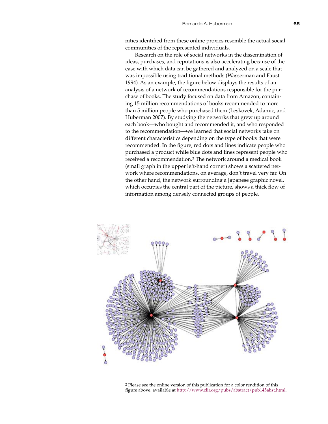nities identified from these online proxies resemble the actual social communities of the represented individuals.

Research on the role of social networks in the dissemination of ideas, purchases, and reputations is also accelerating because of the ease with which data can be gathered and analyzed on a scale that was impossible using traditional methods (Wasserman and Faust 1994). As an example, the figure below displays the results of an analysis of a network of recommendations responsible for the purchase of books. The study focused on data from Amazon, containing 15 million recommendations of books recommended to more than 5 million people who purchased them (Leskovek, Adamic, and Huberman 2007). By studying the networks that grew up around each book—who bought and recommended it, and who responded to the recommendation—we learned that social networks take on different characteristics depending on the type of books that were recommended. In the figure, red dots and lines indicate people who purchased a product while blue dots and lines represent people who received a recommendation.2 The network around a medical book (small graph in the upper left-hand corner) shows a scattered network where recommendations, on average, don't travel very far. On the other hand, the network surrounding a Japanese graphic novel, which occupies the central part of the picture, shows a thick flow of information among densely connected groups of people.



<sup>2</sup> Please see the online version of this publication for a color rendition of this figure above, available at<http://www.clir.org/pubs/abstract/pub145abst.html>.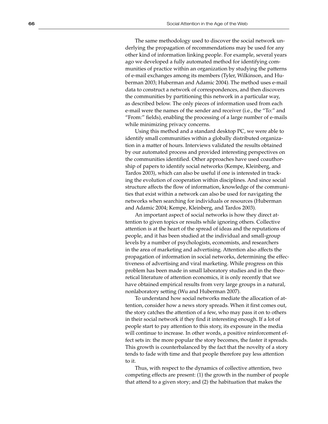The same methodology used to discover the social network un derlying the propagation of recommendations may be used for any other kind of information linking people. For example, several years ago we developed a fully automated method for identifying com munities of practice within an organization by studying the patterns of e-mail exchanges among its members (Tyler, Wilkinson, and Hu berman 2003; Huberman and Adamic 2004). The method uses e-mail data to construct a network of correspondences, and then discovers the communities by partitioning this network in a particular way, as described below. The only pieces of information used from each e-mail were the names of the sender and receiver (i.e., the "To:" and "From:" fields), enabling the processing of a large number of e-mails while minimizing privacy concerns.

Using this method and a standard desktop PC, we were able to identify small communities within a globally distributed organiza tion in a matter of hours. Interviews validated the results obtained by our automated process and provided interesting perspectives on the communities identified. Other approaches have used coauthor ship of papers to identify social networks (Kempe, Kleinberg, and Tardos 2003), which can also be useful if one is interested in track ing the evolution of cooperation within disciplines. And since social structure affects the flow of information, knowledge of the communi ties that exist within a network can also be used for navigating the networks when searching for individuals or resources (Huberman and Adamic 2004; Kempe, Kleinberg, and Tardos 2003).

An important aspect of social networks is how they direct at tention to given topics or results while ignoring others. Collective attention is at the heart of the spread of ideas and the reputations of people, and it has been studied at the individual and small-group levels by a number of psychologists, economists, and researchers in the area of marketing and advertising. Attention also affects the propagation of information in social networks, determining the effec tiveness of advertising and viral marketing. While progress on this problem has been made in small laboratory studies and in the theo retical literature of attention economics, it is only recently that we have obtained empirical results from very large groups in a natural, nonlaboratory setting (Wu and Huberman 2007).

To understand how social networks mediate the allocation of at tention, consider how a news story spreads. When it first comes out, the story catches the attention of a few, who may pass it on to others in their social network if they find it interesting enough. If a lot of people start to pay attention to this story, its exposure in the media will continue to increase. In other words, a positive reinforcement ef fect sets in: the more popular the story becomes, the faster it spreads. This growth is counterbalanced by the fact that the novelty of a story tends to fade with time and that people therefore pay less attention to it.

Thus, with respect to the dynamics of collective attention, two competing effects are present: (1) the growth in the number of people that attend to a given story; and (2) the habituation that makes the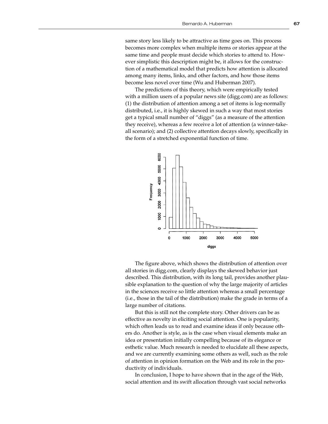same story less likely to be attractive as time goes on. This process becomes more complex when multiple items or stories appear at the same time and people must decide which stories to attend to. However simplistic this description might be, it allows for the construction of a mathematical model that predicts how attention is allocated among many items, links, and other factors, and how those items become less novel over time (Wu and Huberman 2007).

The predictions of this theory, which were empirically tested with a million users of a popular news site (digg.com) are as follows: (1) the distribution of attention among a set of items is log-normally distributed, i.e., it is highly skewed in such a way that most stories get a typical small number of "diggs" (as a measure of the attention they receive), whereas a few receive a lot of attention (a winner-takeall scenario); and (2) collective attention decays slowly, specifically in the form of a stretched exponential function of time.



The figure above, which shows the distribution of attention over all stories in digg.com, clearly displays the skewed behavior just described. This distribution, with its long tail, provides another plausible explanation to the question of why the large majority of articles in the sciences receive so little attention whereas a small percentage (i.e., those in the tail of the distribution) make the grade in terms of a large number of citations.

But this is still not the complete story. Other drivers can be as effective as novelty in eliciting social attention. One is popularity, which often leads us to read and examine ideas if only because others do. Another is style, as is the case when visual elements make an idea or presentation initially compelling because of its elegance or esthetic value. Much research is needed to elucidate all these aspects, and we are currently examining some others as well, such as the role of attention in opinion formation on the Web and its role in the productivity of individuals.

In conclusion, I hope to have shown that in the age of the Web, social attention and its swift allocation through vast social networks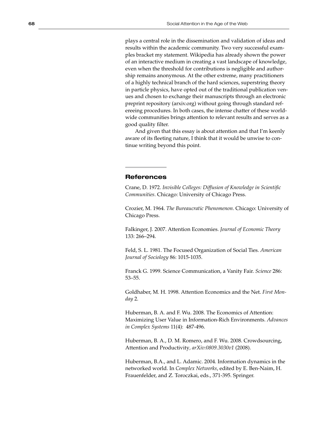plays a central role in the dissemination and validation of ideas and results within the academic community. Two very successful examples bracket my statement. Wikipedia has already shown the power of an interactive medium in creating a vast landscape of knowledge, even when the threshold for contributions is negligible and authorship remains anonymous. At the other extreme, many practitioners of a highly technical branch of the hard sciences, superstring theory in particle physics, have opted out of the traditional publication venues and chosen to exchange their manuscripts through an electronic preprint repository (arxiv.org) without going through standard refereeing procedures. In both cases, the intense chatter of these worldwide communities brings attention to relevant results and serves as a good quality filter.

And given that this essay is about attention and that I'm keenly aware of its fleeting nature, I think that it would be unwise to continue writing beyond this point.

# **References**

Crane, D. 1972. *Invisible Colleges: Diffusion of Knowledge in Scientific Communities*. Chicago: University of Chicago Press.

Crozier, M. 1964. *The Bureaucratic Phenomenon*. Chicago: University of Chicago Press.

Falkinger, J. 2007. Attention Economies. *Journal of Economic Theory* 133: 266–294.

Feld, S. L. 1981. The Focused Organization of Social Ties. *American Journal of Sociology* 86: 1015-1035.

Franck G. 1999. Science Communication, a Vanity Fair. *Science* 286: 53–55.

Goldhaber, M. H. 1998. Attention Economics and the Net. *First Monday* 2.

Huberman, B. A. and F. Wu. 2008. The Economics of Attention: Maximizing User Value in Information-Rich Environments. *Advances in Complex Systems* 11(4):487-496.

Huberman, B. A., D. M. Romero, and F. Wu. 2008. Crowdsourcing, Attention and Productivity*, arXiv:0809.3030v1* (2008).

Huberman, B.A., and L. Adamic. 2004. Information dynamics in the networked world. In *Complex Networks*, edited by E. Ben-Naim, H. Frauenfelder, and Z. Toroczkai, eds., 371-395. Springer.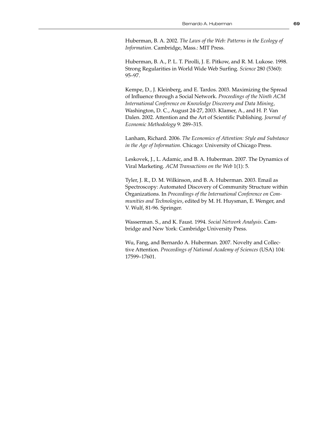Huberman, B. A. 2002. *The Laws of the Web: Patterns in the Ecology of Information*. Cambridge, Mass.: MIT Press.

Huberman, B. A., P. L. T. Pirolli, J. E. Pitkow, and R. M. Lukose. 1998. Strong Regularities in World Wide Web Surfing. *Science* 280 (5360): 95–97.

Kempe, D., J. Kleinberg, and E. Tardos. 2003. Maximizing the Spread of Influence through a Social Network. *Proceedings of the Ninth ACM International Conference on Knowledge Discovery and Data Mining*, Washington, D. C., August 24-27, 2003. Klamer, A., and H. P. Van Dalen. 2002. Attention and the Art of Scientific Publishing. *Journal of Economic Methodology* 9: 289–315.

Lanham, Richard. 2006. *The Economics of Attention: Style and Substance in the Age of Information.* Chicago: University of Chicago Press.

Leskovek, J., L. Adamic, and B. A. Huberman. 2007. The Dynamics of Viral Marketing. *ACM Transactions on the Web* 1(1): 5.

Tyler, J. R., D. M. Wilkinson, and B. A. Huberman. 2003. Email as Spectroscopy: Automated Discovery of Community Structure within Organizations. In *Proceedings of the International Conference on Communities and Technologies*, edited by M. H. Huysman, E. Wenger, and V. Wulf, 81-96. Springer.

Wasserman. S., and K. Faust. 1994. *Social Network Analysis*. Cambridge and New York: Cambridge University Press.

Wu, Fang, and Bernardo A. Huberman. 2007. Novelty and Collective Attention. *Proceedings of National Academy of Sciences* (USA) 104: 17599–17601.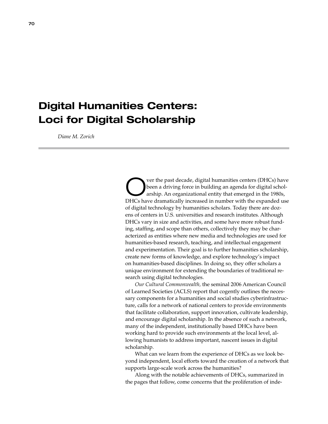# Digital Humanities Centers: Loci for Digital Scholarship

 *Diane M. Zorich*

ver the past decade, digital humanities centers (DHCs) have been a driving force in building an agenda for digital scholarship. An organizational entity that emerged in the 1980s, DHCs have dramatically increased in number with the expanded use of digital technology by humanities scholars. Today there are dozens of centers in U.S. universities and research institutes. Although DHCs vary in size and activities, and some have more robust funding, staffing, and scope than others, collectively they may be characterized as entities where new media and technologies are used for humanities-based research, teaching, and intellectual engagement and experimentation. Their goal is to further humanities scholarship, create new forms of knowledge, and explore technology's impact on humanities-based disciplines. In doing so, they offer scholars a unique environment for extending the boundaries of traditional research using digital technologies.

*Our Cultural Commonwealth,* the seminal 2006 American Council of Learned Societies (ACLS) report that cogently outlines the necessary components for a humanities and social studies cyberinfrastructure, calls for a network of national centers to provide environments that facilitate collaboration, support innovation, cultivate leadership, and encourage digital scholarship. In the absence of such a network, many of the independent, institutionally based DHCs have been working hard to provide such environments at the local level, allowing humanists to address important, nascent issues in digital scholarship.

What can we learn from the experience of DHCs as we look beyond independent, local efforts toward the creation of a network that supports large-scale work across the humanities?

Along with the notable achievements of DHCs, summarized in the pages that follow, come concerns that the proliferation of inde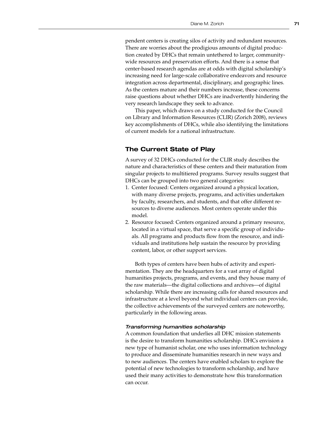pendent centers is creating silos of activity and redundant resources. There are worries about the prodigious amounts of digital production created by DHCs that remain untethered to larger, communitywide resources and preservation efforts. And there is a sense that center-based research agendas are at odds with digital scholarship's increasing need for large-scale collaborative endeavors and resource integration across departmental, disciplinary, and geographic lines. As the centers mature and their numbers increase, these concerns raise questions about whether DHCs are inadvertently hindering the very research landscape they seek to advance.

This paper, which draws on a study conducted for the Council on Library and Information Resources (CLIR) (Zorich 2008), reviews key accomplishments of DHCs, while also identifying the limitations of current models for a national infrastructure.

# The Current State of Play

A survey of 32 DHCs conducted for the CLIR study describes the nature and characteristics of these centers and their maturation from singular projects to multitiered programs. Survey results suggest that DHCs can be grouped into two general categories:

- 1. Center focused: Centers organized around a physical location, with many diverse projects, programs, and activities undertaken by faculty, researchers, and students, and that offer different resources to diverse audiences. Most centers operate under this model.
- 2. Resource focused: Centers organized around a primary resource, located in a virtual space, that serve a specific group of individuals. All programs and products flow from the resource, and individuals and institutions help sustain the resource by providing content, labor, or other support services.

Both types of centers have been hubs of activity and experimentation. They are the headquarters for a vast array of digital humanities projects, programs, and events, and they house many of the raw materials—the digital collections and archives—of digital scholarship. While there are increasing calls for shared resources and infrastructure at a level beyond what individual centers can provide, the collective achievements of the surveyed centers are noteworthy, particularly in the following areas.

## *Transforming humanities scholarship*

A common foundation that underlies all DHC mission statements is the desire to transform humanities scholarship. DHCs envision a new type of humanist scholar, one who uses information technology to produce and disseminate humanities research in new ways and to new audiences. The centers have enabled scholars to explore the potential of new technologies to transform scholarship, and have used their many activities to demonstrate how this transformation can occur.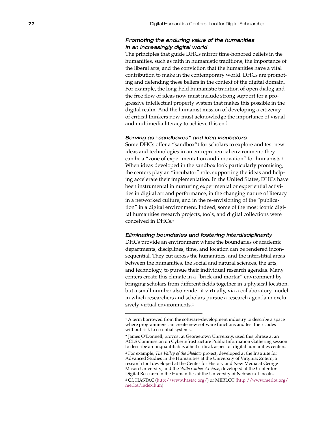# *Promoting the enduring value of the humanities in an increasingly digital world*

The principles that guide DHCs mirror time-honored beliefs in the humanities, such as faith in humanistic traditions, the importance of the liberal arts, and the conviction that the humanities have a vital contribution to make in the contemporary world. DHCs are promot ing and defending these beliefs in the context of the digital domain. For example, the long-held humanistic tradition of open dialog and the free flow of ideas now must include strong support for a pro gressive intellectual property system that makes this possible in the digital realm. And the humanist mission of developing a citizenry of critical thinkers now must acknowledge the importance of visual and multimedia literacy to achieve this end.

## *Serving as "sandboxes" and idea incubators*

Some DHCs offer a "sandbox" 1 for scholars to explore and test new ideas and technologies in an entrepreneurial environment: they can be a "zone of experimentation and innovation" for humanists. 2 When ideas developed in the sandbox look particularly promising, the centers play an "incubator" role, supporting the ideas and help ing accelerate their implementation. In the United States, DHCs have been instrumental in nurturing experimental or experiential activi ties in digital art and performance, in the changing nature of literacy in a networked culture, and in the re-envisioning of the "publica tion" in a digital environment. Indeed, some of the most iconic digi tal humanities research projects, tools, and digital collections were conceived in DHCs. 3

### *Eliminating boundaries and fostering interdisciplinarity*

DHCs provide an environment where the boundaries of academic departments, disciplines, time, and location can be rendered incon sequential. They cut across the humanities, and the interstitial areas between the humanities, the social and natural sciences, the arts, and technology, to pursue their individual research agendas. Many centers create this climate in a "brick and mortar" environment by bringing scholars from different fields together in a physical location, but a small number also render it virtually, via a collaboratory model in which researchers and scholars pursue a research agenda in exclu sively virtual environments. 4

<sup>1</sup> A term borrowed from the software-development industry to describe a space where programmers can create new software functions and test their codes without risk to essential systems.

<sup>2</sup> James O'Donnell, provost at Georgetown University, used this phrase at an ACLS Commission on Cyberinfrastructure Public Information Gathering session to describe an unquantifiable, albeit critical, aspect of digital humanities centers.

<sup>3</sup> For example, *The Valley of the Shadow* project, developed at the Institute for Advanced Studies in the Humanities at the University of Virginia; Zotero, a research tool developed at the Center for History and New Media at George Mason University; and the *Willa Cather Archive*, developed at the Center for Digital Research in the Humanities at the University of Nebraska-Lincoln.

<sup>4</sup> Cf. HASTAC ([http://www.hastac.org/\)](http://www.hastac.org/) or MERLOT ([http://www.merlot.org/](http://www.merlot.org/merlot/index.htm) [merlot/index.ht](http://www.merlot.org/merlot/index.htm) m).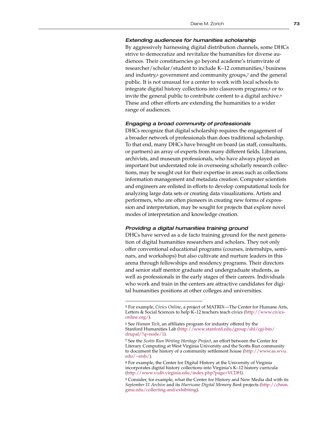## *Extending audiences for humanities scholarship*

By aggressively harnessing digital distribution channels, some DHCs strive to democratize and revitalize the humanities for diverse audiences. Their constituencies go beyond academe's triumvirate of researcher/scholar/student to include K–12 communities,5 business and industry,6 government and community groups,7 and the general public. It is not unusual for a center to work with local schools to integrate digital history collections into classroom programs,8 or to invite the general public to contribute content to a digital archive.9 These and other efforts are extending the humanities to a wider range of audiences.

## *Engaging a broad community of professionals*

DHCs recognize that digital scholarship requires the engagement of a broader network of professionals than does traditional scholarship. To that end, many DHCs have brought on board (as staff, consultants, or partners) an array of experts from many different fields. Librarians, archivists, and museum professionals, who have always played an important but understated role in overseeing scholarly research collections, may be sought out for their expertise in areas such as collections information management and metadata creation. Computer scientists and engineers are enlisted in efforts to develop computational tools for analyzing large data sets or creating data visualizations. Artists and performers, who are often pioneers in creating new forms of expression and interpretation, may be sought for projects that explore novel modes of interpretation and knowledge creation.

#### *Providing a digital humanities training ground*

DHCs have served as a de facto training ground for the next generation of digital humanities researchers and scholars. They not only offer conventional educational programs (courses, internships, seminars, and workshops) but also cultivate and nurture leaders in this arena through fellowships and residency programs. Their directors and senior staff mentor graduate and undergraduate students, as well as professionals in the early stages of their careers. Individuals who work and train in the centers are attractive candidates for digital humanities positions at other colleges and universities.

<sup>5</sup> For example, *Civics Online*, a project of MATRIX—The Center for Humane Arts, Letters & Social Sciences to help K-12 teachers teach civics [\(http://www.civics](http://www.civics-online.org/)[online.org/](http://www.civics-online.org/)).

<sup>6</sup> See *Human Tech*, an affiliates program for industry offered by the Stanford Humanities Lab ([http://www.stanford.edu/group/shl/cgi-bin/](http://www.stanford.edu/group/shl/cgi-bin/drupal/?q=node/1) [drupal/?q=node/1\)](http://www.stanford.edu/group/shl/cgi-bin/drupal/?q=node/1).

<sup>7</sup> See the *Scotts Run Writing Heritage Project*, an effort between the Center for Literary Computing at West Virginia University and the Scotts Run community to document the history of a community settlement house [\(http://www.as.wvu.](http://www.as.wvu.edu/~srsh/) [edu/~srsh/](http://www.as.wvu.edu/~srsh/) $)$ .

<sup>8</sup> For example, the Center for Digital History at the University of Virginia incorporates digital history collections into Virginia's K–12 history curricula ([http://www.vcdh.virginia.edu/index.php?page=VCDH\)](http://www.vcdh.virginia.edu/index.php?page=VCDH).

<sup>9</sup> Consider, for example, what the Center for History and New Media did with its *September 11 Archive* and its *Hurricane Digital Memory Bank* projects ([http://chnm.](http://chnm.gmu.edu/collecting-and-exhibiting) [gmu.edu/collecting-and-exhibiting](http://chnm.gmu.edu/collecting-and-exhibiting)).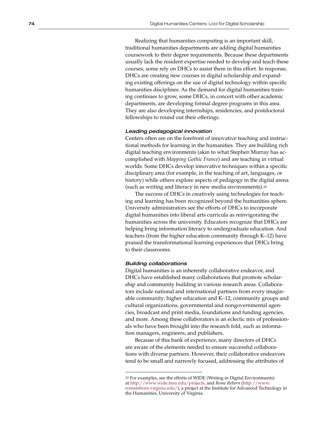Realizing that humanities computing is an important skill, traditional humanities departments are adding digital humanities coursework to their degree requirements. Because these departments usually lack the resident expertise needed to develop and teach these courses, some rely on DHCs to assist them in this effort. In response, DHCs are creating new courses in digital scholarship and expand ing existing offerings on the use of digital technology within specific humanities disciplines. As the demand for digital humanities train ing continues to grow, some DHCs, in concert with other academic departments, are developing formal degree programs in this area. They are also developing internships, residencies, and postdoctoral fellowships to round out their offerings.

### *Leading pedagogical innovation*

Centers often are on the forefront of innovative teaching and instruc tional methods for learning in the humanities. They are building rich digital teaching environments (akin to what Stephen Murray has ac complished with *Mapping Gothic France*) and are teaching in virtual worlds. Some DHCs develop innovative techniques within a specific disciplinary area (for example, in the teaching of art, languages, or history) while others explore aspects of pedagogy in the digital arena (such as writing and literacy in new media environments).10

The success of DHCs in creatively using technologies for teach ing and learning has been recognized beyond the humanities sphere. University administrators see the efforts of DHCs to incorporate digital humanities into liberal arts curricula as reinvigorating the humanities across the university. Educators recognize that DHCs are helping bring information literacy to undergraduate education. And teachers (from the higher education community through K–12) have praised the transformational learning experiences that DHCs bring to their classrooms.

#### *Building collaborations*

Digital humanities is an inherently collaborative endeavor, and DHCs have established many collaborations that promote scholar ship and community building in various research areas. Collabora tors include national and international partners from every imagin able community: higher education and K–12, community groups and cultural organizations, governmental and nongovernmental agen cies, broadcast and print media, foundations and funding agencies, and more. Among these collaborators is an eclectic mix of profession als who have been brought into the research fold, such as informa tion managers, engineers, and publishers.

Because of this bank of experience, many directors of DHCs are aware of the elements needed to ensure successful collabora tions with diverse partners. However, their collaborative endeavors tend to be small and narrowly focused, addressing the attributes of

<sup>10</sup> For examples, see the efforts of WIDE (Writing in Digital Environments) at [http://www.wide.msu.edu/project](http://www.wide.msu.edu/projects) s, and *Rome Reborn* ([http://www.](http://www.romereborn.virginia.edu/) [romereborn.virginia.edu](http://www.romereborn.virginia.edu/) /), a project at the Institute for Advanced Technology in the Humanities, University of Virginia.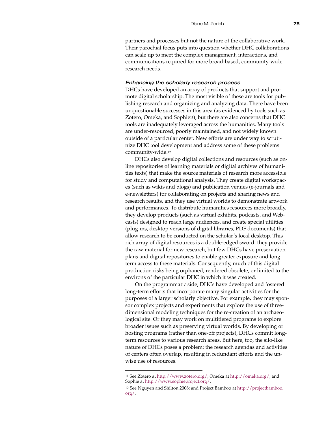partners and processes but not the nature of the collaborative work. Their parochial focus puts into question whether DHC collaborations can scale up to meet the complex management, interactions, and communications required for more broad-based, community-wide research needs.

### *Enhancing the scholarly research process*

DHCs have developed an array of products that support and promote digital scholarship. The most visible of these are tools for publishing research and organizing and analyzing data. There have been unquestionable successes in this area (as evidenced by tools such as Zotero, Omeka, and Sophie11), but there are also concerns that DHC tools are inadequately leveraged across the humanities. Many tools are under-resourced, poorly maintained, and not widely known outside of a particular center. New efforts are under way to scrutinize DHC tool development and address some of these problems community-wide.12

DHCs also develop digital collections and resources (such as online repositories of learning materials or digital archives of humanities texts) that make the source materials of research more accessible for study and computational analysis. They create digital workspaces (such as wikis and blogs) and publication venues (e-journals and e-newsletters) for collaborating on projects and sharing news and research results, and they use virtual worlds to demonstrate artwork and performances. To distribute humanities resources more broadly, they develop products (such as virtual exhibits, podcasts, and Webcasts) designed to reach large audiences, and create special utilities (plug-ins, desktop versions of digital libraries, PDF documents) that allow research to be conducted on the scholar's local desktop. This rich array of digital resources is a double-edged sword: they provide the raw material for new research, but few DHCs have preservation plans and digital repositories to enable greater exposure and longterm access to these materials. Consequently, much of this digital production risks being orphaned, rendered obsolete, or limited to the environs of the particular DHC in which it was created.

On the programmatic side, DHCs have developed and fostered long-term efforts that incorporate many singular activities for the purposes of a larger scholarly objective. For example, they may sponsor complex projects and experiments that explore the use of threedimensional modeling techniques for the re-creation of an archaeological site. Or they may work on multitiered programs to explore broader issues such as preserving virtual worlds. By developing or hosting programs (rather than one-off projects), DHCs commit longterm resources to various research areas. But here, too, the silo-like nature of DHCs poses a problem: the research agendas and activities of centers often overlap, resulting in redundant efforts and the unwise use of resources.

<sup>11</sup> See Zotero at<http://www.zotero.org/>; Omeka at <http://omeka.org/>; and Sophie at [http://www.sophieproject.org/.](http://www.sophieproject.org/)

<sup>12</sup> See Nguyen and Shilton 2008; and Project Bamboo at [http://projectbamboo.](http://projectbamboo.org/) [org/.](http://projectbamboo.org/)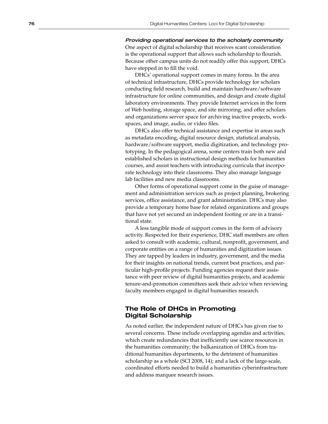*Providing operational services to the scholarly community* One aspect of digital scholarship that receives scant consideration is the operational support that allows such scholarship to flourish. Because other campus units do not readily offer this support, DHCs have stepped in to fill the void.

DHCs' operational support comes in many forms. In the area of technical infrastructure, DHCs provide technology for scholars conducting field research, build and maintain hardware/software infrastructure for online communities, and design and create digital laboratory environments. They provide Internet services in the form of Web hosting, storage space, and site mirroring, and offer scholars and organizations server space for archiving inactive projects, work spaces, and image, audio, or video files.

DHCs also offer technical assistance and expertise in areas such as metadata encoding, digital resource design, statistical analysis, hardware/software support, media digitization, and technology pro totyping. In the pedagogical arena, some centers train both new and established scholars in instructional design methods for humanities courses, and assist teachers with introducing curricula that incorpo rate technology into their classrooms. They also manage language lab facilities and new media classrooms.

Other forms of operational support come in the guise of manage ment and administration services such as project planning, brokering services, office assistance, and grant administration. DHCs may also provide a temporary home base for related organizations and groups that have not yet secured an independent footing or are in a transi tional state.

A less tangible mode of support comes in the form of advisory activity. Respected for their experience, DHC staff members are often asked to consult with academic, cultural, nonprofit, government, and corporate entities on a range of humanities and digitization issues. They are tapped by leaders in industry, government, and the media for their insights on national trends, current best practices, and par ticular high-profile projects. Funding agencies request their assis tance with peer review of digital humanities projects, and academic tenure-and-promotion committees seek their advice when reviewing faculty members engaged in digital humanities research.

# The Role of DHCs in Promoting Digital Scholarship

As noted earlier, the independent nature of DHCs has given rise to several concerns. These include overlapping agendas and activities, which create redundancies that inefficiently use scarce resources in the humanities community; the balkanization of DHCs from tra ditional humanities departments, to the detriment of humanities scholarship as a whole (SCI 2008, 14); and a lack of the large-scale, coordinated efforts needed to build a humanities cyberinfrastructure and address marquee research issues.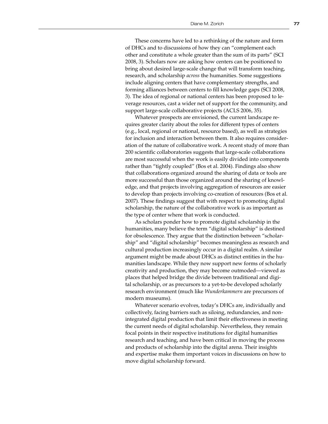These concerns have led to a rethinking of the nature and form of DHCs and to discussions of how they can "complement each other and constitute a whole greater than the sum of its parts" (SCI 2008, 3). Scholars now are asking how centers can be positioned to bring about desired large-scale change that will transform teaching, research, and scholarship *across* the humanities. Some suggestions include aligning centers that have complementary strengths, and forming alliances between centers to fill knowledge gaps (SCI 2008, 3). The idea of regional or national centers has been proposed to leverage resources, cast a wider net of support for the community, and support large-scale collaborative projects (ACLS 2006, 35).

Whatever prospects are envisioned, the current landscape requires greater clarity about the roles for different types of centers (e.g., local, regional or national, resource based), as well as strategies for inclusion and interaction between them. It also requires consideration of the nature of collaborative work. A recent study of more than 200 scientific collaboratories suggests that large-scale collaborations are most successful when the work is easily divided into components rather than "tightly coupled" (Bos et al. 2004). Findings also show that collaborations organized around the sharing of data or tools are more successful than those organized around the sharing of knowledge, and that projects involving aggregation of resources are easier to develop than projects involving co-creation of resources (Bos et al. 2007). These findings suggest that with respect to promoting digital scholarship, the nature of the collaborative work is as important as the type of center where that work is conducted.

As scholars ponder how to promote digital scholarship in the humanities, many believe the term "digital scholarship" is destined for obsolescence. They argue that the distinction between "scholarship" and "digital scholarship" becomes meaningless as research and cultural production increasingly occur in a digital realm. A similar argument might be made about DHCs as distinct entities in the humanities landscape. While they now support new forms of scholarly creativity and production, they may become outmoded—viewed as places that helped bridge the divide between traditional and digital scholarship, or as precursors to a yet-to-be developed scholarly research environment (much like *Wunderkammern* are precursors of modern museums).

Whatever scenario evolves, today's DHCs are, individually and collectively, facing barriers such as siloing, redundancies, and nonintegrated digital production that limit their effectiveness in meeting the current needs of digital scholarship. Nevertheless, they remain focal points in their respective institutions for digital humanities research and teaching, and have been critical in moving the process and products of scholarship into the digital arena. Their insights and expertise make them important voices in discussions on how to move digital scholarship forward.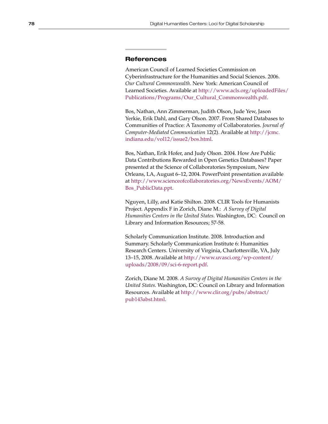# **References**

American Council of Learned Societies Commission on Cyberinfrastructure for the Humanities and Social Sciences. 2006. *Our Cultural Commonwealth*. New York: American Council of Learned Societies. Available at [http://www.acls.org/uploadedFiles/](http://www.acls.org/uploadedFiles/Publications/Programs/Our_Cultural_Commonwealth.pdf) [Publications/Programs/Our\\_Cultural\\_Commonwealth.pdf](http://www.acls.org/uploadedFiles/Publications/Programs/Our_Cultural_Commonwealth.pdf).

Bos, Nathan, Ann Zimmerman, Judith Olson, Jude Yew, Jason Yerkie, Erik Dahl, and Gary Olson. 2007. From Shared Databases to Communities of Practice: A Taxonomy of Collaboratories. *Journal of Computer-Mediated Communication* 12(2). Available at [http://jcmc.](http://jcmc.indiana.edu/vol12/issue2/bos.html) [indiana.edu/vol12/issue2/bos.html.](http://jcmc.indiana.edu/vol12/issue2/bos.html)

Bos, Nathan, Erik Hofer, and Judy Olson. 2004. How Are Public Data Contributions Rewarded in Open Genetics Databases? Paper presented at the Science of Collaboratories Symposium, New Orleans, LA, August 6–12, 2004. PowerPoint presentation available at [http://www.scienceofcollaboratories.org/NewsEvents/AOM/](http://www.scienceofcollaboratories.org/NewsEvents/AOM/Bos_PublicData.ppt) [Bos\\_PublicData.ppt](http://www.scienceofcollaboratories.org/NewsEvents/AOM/Bos_PublicData.ppt).

Nguyen, Lilly, and Katie Shilton. 2008. CLIR Tools for Humanists Project. Appendix F in Zorich, Diane M.: *A Survey of Digital Humanities Centers in the United States.* Washington, DC: Council on Library and Information Resources; 57-58.

Scholarly Communication Institute. 2008. Introduction and Summary. Scholarly Communication Institute 6: Humanities Research Centers. University of Virginia, Charlottesville, VA, July 13–15, 2008. Available at [http://www.uvasci.org/wp-content/](http://www.uvasci.org/wp-content/uploads/2008/09/sci-6-report.pdf) [uploads/2008/09/sci-6-report.pdf](http://www.uvasci.org/wp-content/uploads/2008/09/sci-6-report.pdf).

Zorich, Diane M. 2008. *A Survey of Digital Humanities Centers in the United States*. Washington, DC: Council on Library and Information Resources. Available at [http://www.clir.org/pubs/abstract/](http://www.clir.org/pubs/abstract/pub143abst.html) [pub143abst.html.](http://www.clir.org/pubs/abstract/pub143abst.html)